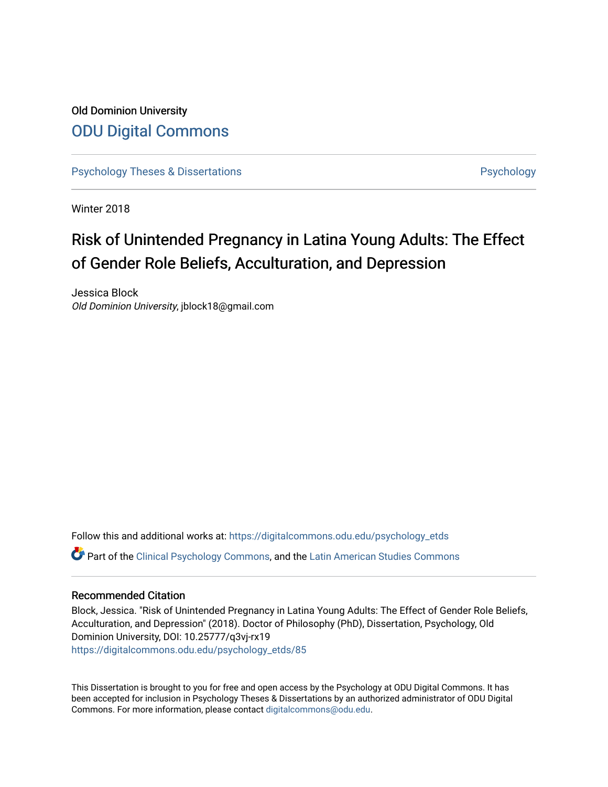## Old Dominion University [ODU Digital Commons](https://digitalcommons.odu.edu/)

[Psychology Theses & Dissertations](https://digitalcommons.odu.edu/psychology_etds) **Psychology** Psychology

Winter 2018

# Risk of Unintended Pregnancy in Latina Young Adults: The Effect of Gender Role Beliefs, Acculturation, and Depression

Jessica Block Old Dominion University, jblock18@gmail.com

Follow this and additional works at: [https://digitalcommons.odu.edu/psychology\\_etds](https://digitalcommons.odu.edu/psychology_etds?utm_source=digitalcommons.odu.edu%2Fpsychology_etds%2F85&utm_medium=PDF&utm_campaign=PDFCoverPages) Part of the [Clinical Psychology Commons,](http://network.bepress.com/hgg/discipline/406?utm_source=digitalcommons.odu.edu%2Fpsychology_etds%2F85&utm_medium=PDF&utm_campaign=PDFCoverPages) and the [Latin American Studies Commons](http://network.bepress.com/hgg/discipline/363?utm_source=digitalcommons.odu.edu%2Fpsychology_etds%2F85&utm_medium=PDF&utm_campaign=PDFCoverPages)

### Recommended Citation

Block, Jessica. "Risk of Unintended Pregnancy in Latina Young Adults: The Effect of Gender Role Beliefs, Acculturation, and Depression" (2018). Doctor of Philosophy (PhD), Dissertation, Psychology, Old Dominion University, DOI: 10.25777/q3vj-rx19 [https://digitalcommons.odu.edu/psychology\\_etds/85](https://digitalcommons.odu.edu/psychology_etds/85?utm_source=digitalcommons.odu.edu%2Fpsychology_etds%2F85&utm_medium=PDF&utm_campaign=PDFCoverPages) 

This Dissertation is brought to you for free and open access by the Psychology at ODU Digital Commons. It has been accepted for inclusion in Psychology Theses & Dissertations by an authorized administrator of ODU Digital Commons. For more information, please contact [digitalcommons@odu.edu](mailto:digitalcommons@odu.edu).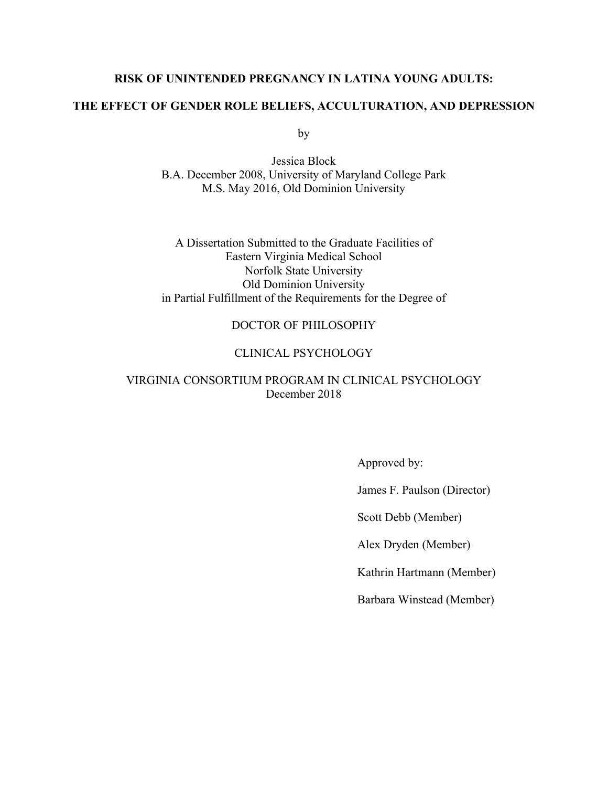### **RISK OF UNINTENDED PREGNANCY IN LATINA YOUNG ADULTS:**

### **THE EFFECT OF GENDER ROLE BELIEFS, ACCULTURATION, AND DEPRESSION**

by

Jessica Block B.A. December 2008, University of Maryland College Park M.S. May 2016, Old Dominion University

A Dissertation Submitted to the Graduate Facilities of Eastern Virginia Medical School Norfolk State University Old Dominion University in Partial Fulfillment of the Requirements for the Degree of

### DOCTOR OF PHILOSOPHY

### CLINICAL PSYCHOLOGY

### VIRGINIA CONSORTIUM PROGRAM IN CLINICAL PSYCHOLOGY December 2018

Approved by:

James F. Paulson (Director)

Scott Debb (Member)

Alex Dryden (Member)

Kathrin Hartmann (Member)

Barbara Winstead (Member)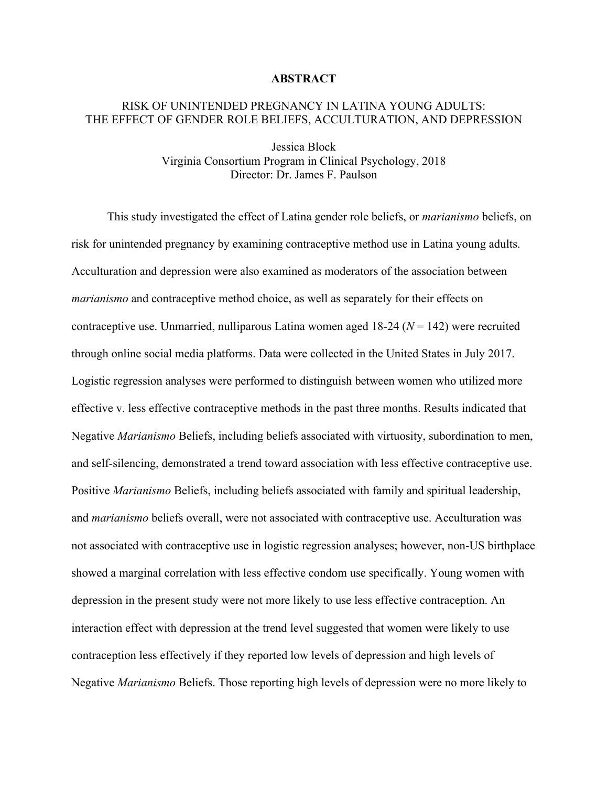### **ABSTRACT**

### RISK OF UNINTENDED PREGNANCY IN LATINA YOUNG ADULTS: THE EFFECT OF GENDER ROLE BELIEFS, ACCULTURATION, AND DEPRESSION

Jessica Block Virginia Consortium Program in Clinical Psychology, 2018 Director: Dr. James F. Paulson

This study investigated the effect of Latina gender role beliefs, or *marianismo* beliefs, on risk for unintended pregnancy by examining contraceptive method use in Latina young adults. Acculturation and depression were also examined as moderators of the association between *marianismo* and contraceptive method choice, as well as separately for their effects on contraceptive use. Unmarried, nulliparous Latina women aged 18-24 (*N* = 142) were recruited through online social media platforms. Data were collected in the United States in July 2017. Logistic regression analyses were performed to distinguish between women who utilized more effective v. less effective contraceptive methods in the past three months. Results indicated that Negative *Marianismo* Beliefs, including beliefs associated with virtuosity, subordination to men, and self-silencing, demonstrated a trend toward association with less effective contraceptive use. Positive *Marianismo* Beliefs, including beliefs associated with family and spiritual leadership, and *marianismo* beliefs overall, were not associated with contraceptive use. Acculturation was not associated with contraceptive use in logistic regression analyses; however, non-US birthplace showed a marginal correlation with less effective condom use specifically. Young women with depression in the present study were not more likely to use less effective contraception. An interaction effect with depression at the trend level suggested that women were likely to use contraception less effectively if they reported low levels of depression and high levels of Negative *Marianismo* Beliefs. Those reporting high levels of depression were no more likely to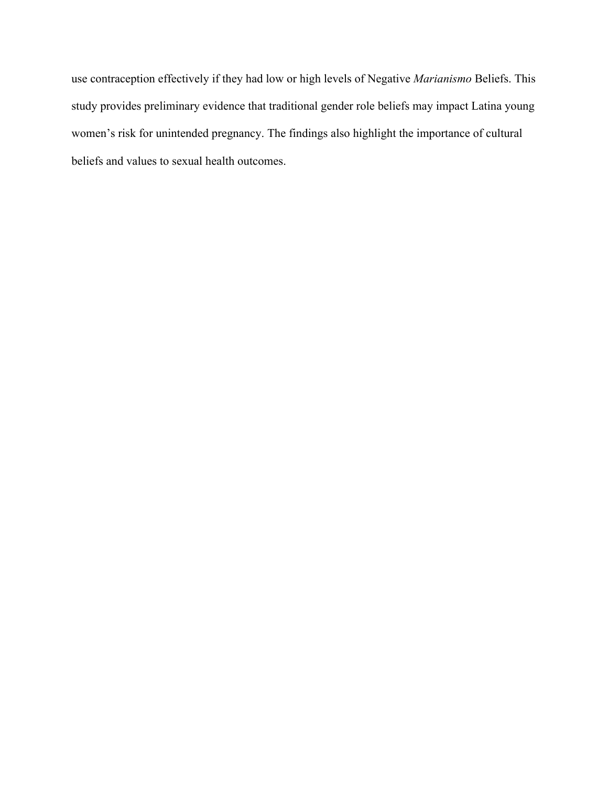use contraception effectively if they had low or high levels of Negative *Marianismo* Beliefs. This study provides preliminary evidence that traditional gender role beliefs may impact Latina young women's risk for unintended pregnancy. The findings also highlight the importance of cultural beliefs and values to sexual health outcomes.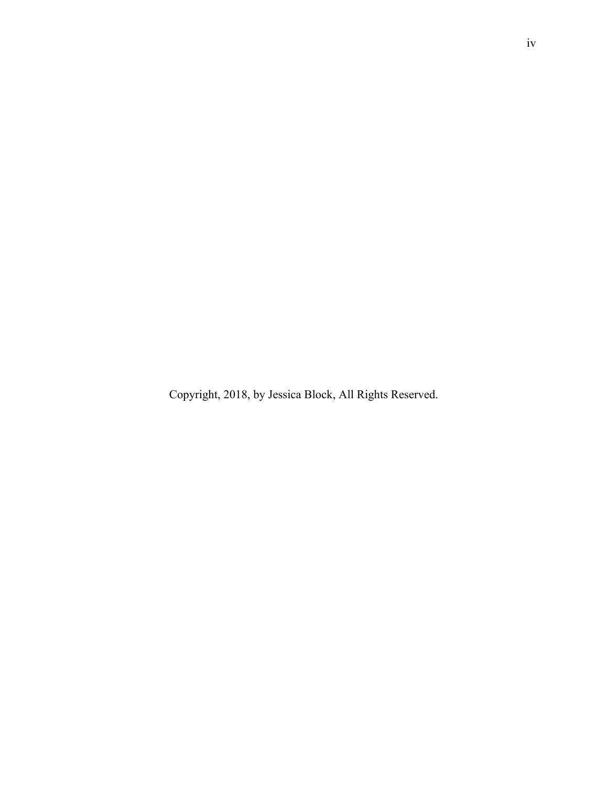Copyright, 2018, by Jessica Block, All Rights Reserved.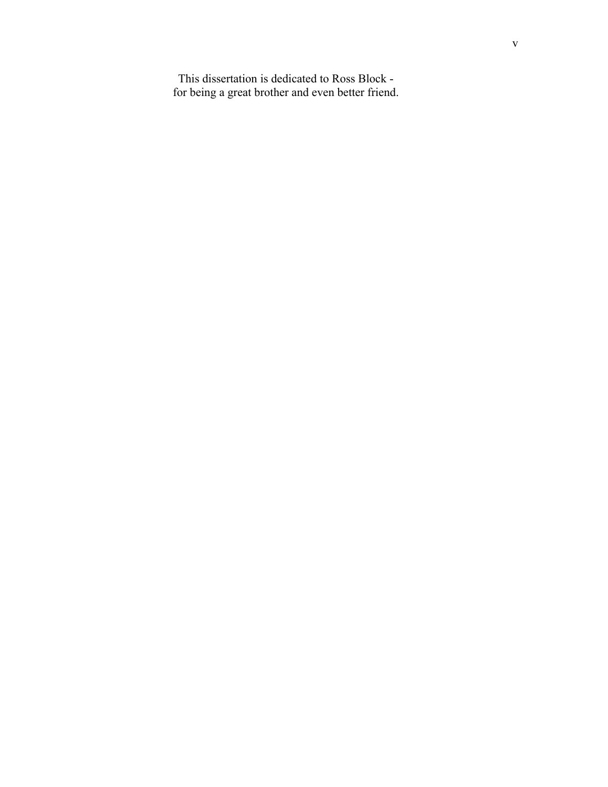This dissertation is dedicated to Ross Block for being a great brother and even better friend.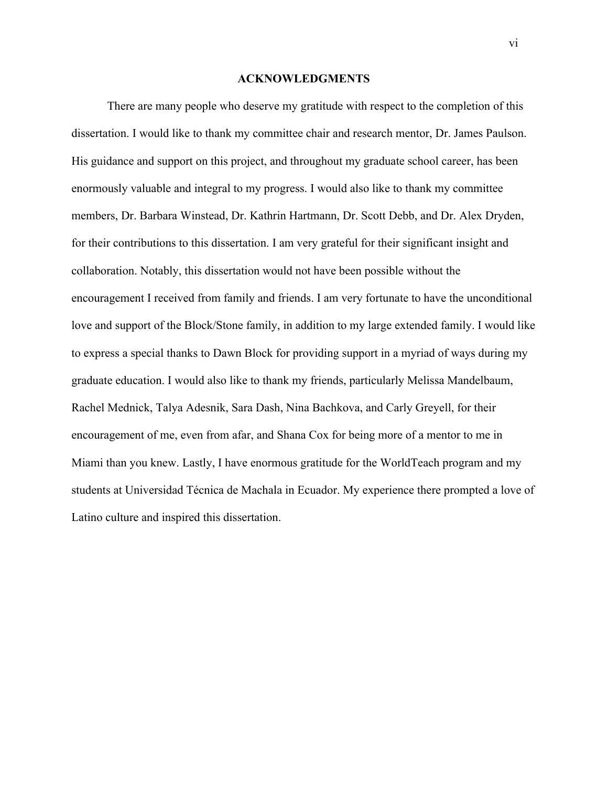#### **ACKNOWLEDGMENTS**

There are many people who deserve my gratitude with respect to the completion of this dissertation. I would like to thank my committee chair and research mentor, Dr. James Paulson. His guidance and support on this project, and throughout my graduate school career, has been enormously valuable and integral to my progress. I would also like to thank my committee members, Dr. Barbara Winstead, Dr. Kathrin Hartmann, Dr. Scott Debb, and Dr. Alex Dryden, for their contributions to this dissertation. I am very grateful for their significant insight and collaboration. Notably, this dissertation would not have been possible without the encouragement I received from family and friends. I am very fortunate to have the unconditional love and support of the Block/Stone family, in addition to my large extended family. I would like to express a special thanks to Dawn Block for providing support in a myriad of ways during my graduate education. I would also like to thank my friends, particularly Melissa Mandelbaum, Rachel Mednick, Talya Adesnik, Sara Dash, Nina Bachkova, and Carly Greyell, for their encouragement of me, even from afar, and Shana Cox for being more of a mentor to me in Miami than you knew. Lastly, I have enormous gratitude for the WorldTeach program and my students at Universidad Técnica de Machala in Ecuador. My experience there prompted a love of Latino culture and inspired this dissertation.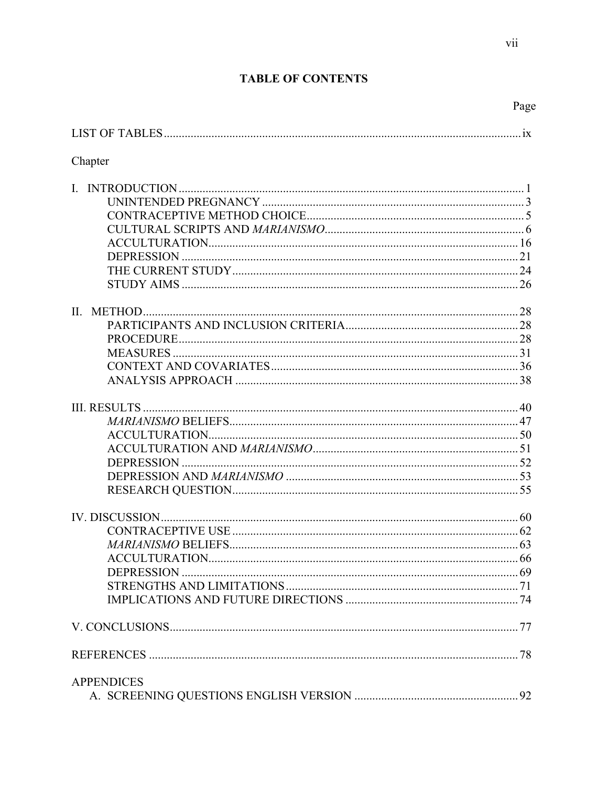### **TABLE OF CONTENTS**

vii

|--|

| Chapter           |  |
|-------------------|--|
|                   |  |
|                   |  |
|                   |  |
|                   |  |
|                   |  |
|                   |  |
|                   |  |
|                   |  |
|                   |  |
|                   |  |
|                   |  |
|                   |  |
|                   |  |
|                   |  |
|                   |  |
|                   |  |
|                   |  |
|                   |  |
|                   |  |
|                   |  |
|                   |  |
|                   |  |
|                   |  |
|                   |  |
|                   |  |
|                   |  |
|                   |  |
|                   |  |
|                   |  |
|                   |  |
| <b>APPENDICES</b> |  |
|                   |  |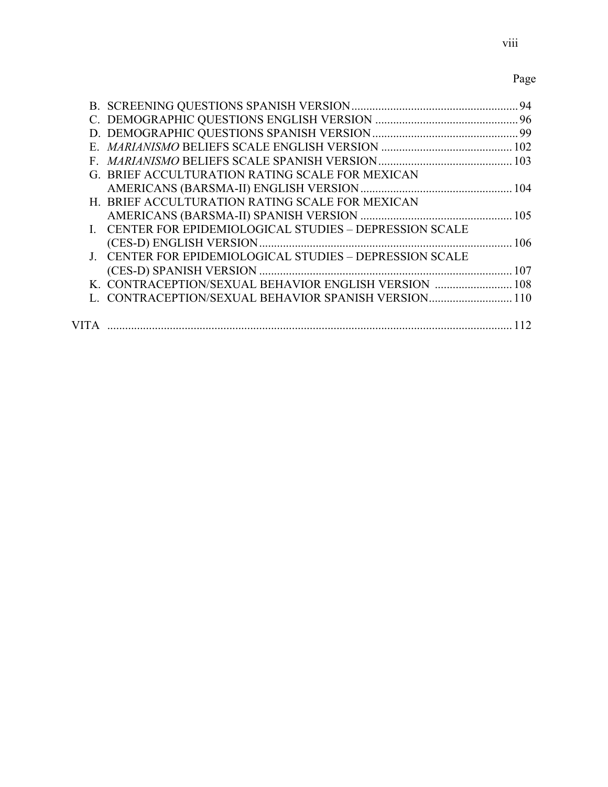## Page

|                                                          | 94 |
|----------------------------------------------------------|----|
|                                                          |    |
|                                                          |    |
|                                                          |    |
|                                                          |    |
| G. BRIEF ACCULTURATION RATING SCALE FOR MEXICAN          |    |
|                                                          |    |
| H. BRIEF ACCULTURATION RATING SCALE FOR MEXICAN          |    |
|                                                          |    |
| I. CENTER FOR EPIDEMIOLOGICAL STUDIES - DEPRESSION SCALE |    |
|                                                          |    |
| J. CENTER FOR EPIDEMIOLOGICAL STUDIES - DEPRESSION SCALE |    |
|                                                          |    |
| K. CONTRACEPTION/SEXUAL BEHAVIOR ENGLISH VERSION  108    |    |
| L. CONTRACEPTION/SEXUAL BEHAVIOR SPANISH VERSION 110     |    |
|                                                          |    |
|                                                          |    |
|                                                          |    |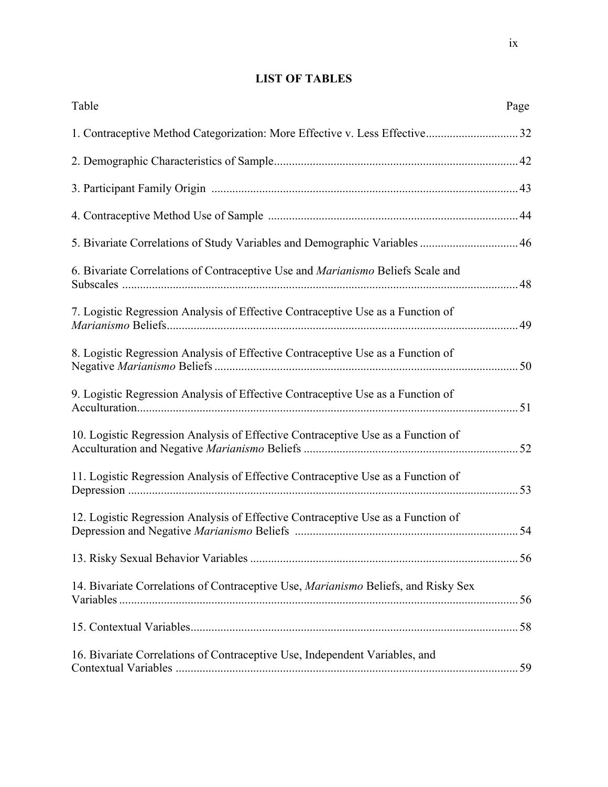### **LIST OF TABLES**

| Table                                                                                  | Page |
|----------------------------------------------------------------------------------------|------|
| 1. Contraceptive Method Categorization: More Effective v. Less Effective32             |      |
|                                                                                        |      |
|                                                                                        |      |
|                                                                                        |      |
| 5. Bivariate Correlations of Study Variables and Demographic Variables  46             |      |
| 6. Bivariate Correlations of Contraceptive Use and <i>Marianismo</i> Beliefs Scale and |      |
| 7. Logistic Regression Analysis of Effective Contraceptive Use as a Function of        |      |
| 8. Logistic Regression Analysis of Effective Contraceptive Use as a Function of        |      |
| 9. Logistic Regression Analysis of Effective Contraceptive Use as a Function of        |      |
| 10. Logistic Regression Analysis of Effective Contraceptive Use as a Function of       |      |
| 11. Logistic Regression Analysis of Effective Contraceptive Use as a Function of       |      |
| 12. Logistic Regression Analysis of Effective Contraceptive Use as a Function of       |      |
|                                                                                        |      |
| 14. Bivariate Correlations of Contraceptive Use, Marianismo Beliefs, and Risky Sex     |      |
|                                                                                        |      |
| 16. Bivariate Correlations of Contraceptive Use, Independent Variables, and            |      |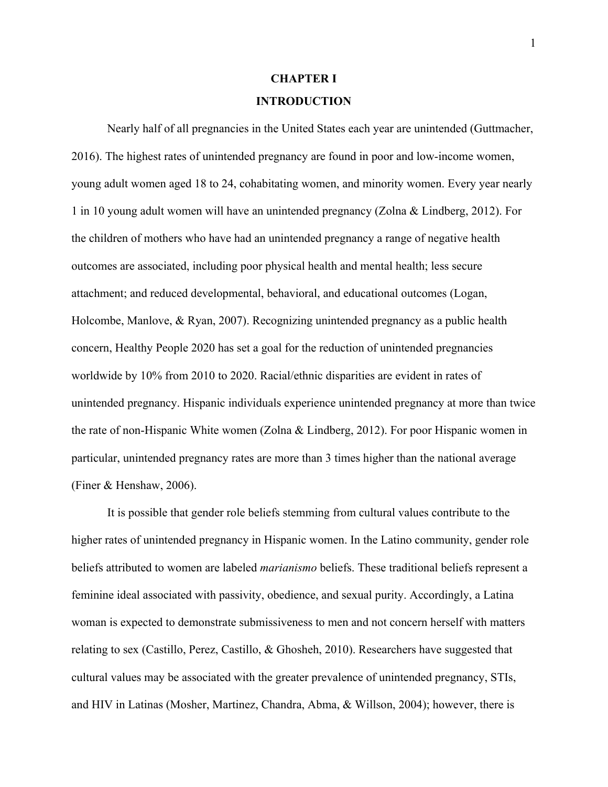## **CHAPTER I INTRODUCTION**

Nearly half of all pregnancies in the United States each year are unintended (Guttmacher, 2016). The highest rates of unintended pregnancy are found in poor and low-income women, young adult women aged 18 to 24, cohabitating women, and minority women. Every year nearly 1 in 10 young adult women will have an unintended pregnancy (Zolna & Lindberg, 2012). For the children of mothers who have had an unintended pregnancy a range of negative health outcomes are associated, including poor physical health and mental health; less secure attachment; and reduced developmental, behavioral, and educational outcomes (Logan, Holcombe, Manlove, & Ryan, 2007). Recognizing unintended pregnancy as a public health concern, Healthy People 2020 has set a goal for the reduction of unintended pregnancies worldwide by 10% from 2010 to 2020. Racial/ethnic disparities are evident in rates of unintended pregnancy. Hispanic individuals experience unintended pregnancy at more than twice the rate of non-Hispanic White women (Zolna & Lindberg, 2012). For poor Hispanic women in particular, unintended pregnancy rates are more than 3 times higher than the national average (Finer & Henshaw, 2006).

It is possible that gender role beliefs stemming from cultural values contribute to the higher rates of unintended pregnancy in Hispanic women. In the Latino community, gender role beliefs attributed to women are labeled *marianismo* beliefs. These traditional beliefs represent a feminine ideal associated with passivity, obedience, and sexual purity. Accordingly, a Latina woman is expected to demonstrate submissiveness to men and not concern herself with matters relating to sex (Castillo, Perez, Castillo, & Ghosheh, 2010). Researchers have suggested that cultural values may be associated with the greater prevalence of unintended pregnancy, STIs, and HIV in Latinas (Mosher, Martinez, Chandra, Abma, & Willson, 2004); however, there is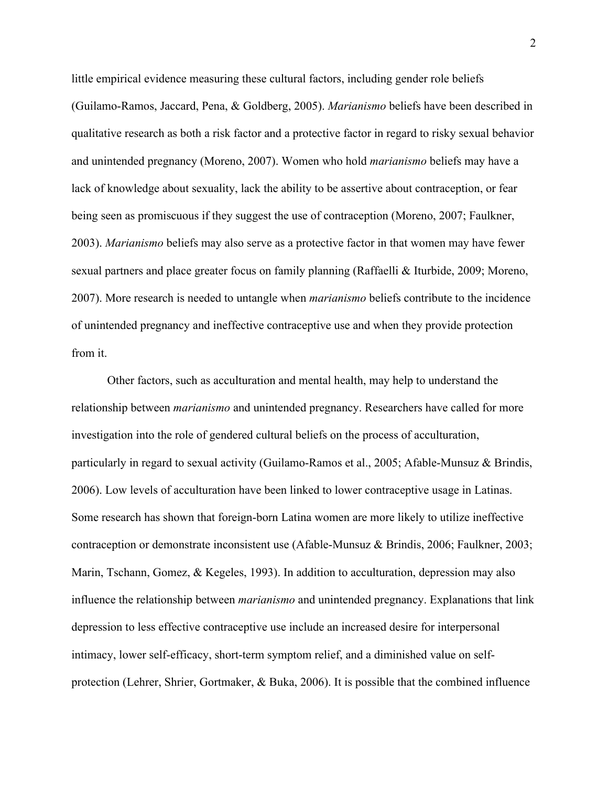little empirical evidence measuring these cultural factors, including gender role beliefs (Guilamo-Ramos, Jaccard, Pena, & Goldberg, 2005). *Marianismo* beliefs have been described in qualitative research as both a risk factor and a protective factor in regard to risky sexual behavior and unintended pregnancy (Moreno, 2007). Women who hold *marianismo* beliefs may have a lack of knowledge about sexuality, lack the ability to be assertive about contraception, or fear being seen as promiscuous if they suggest the use of contraception (Moreno, 2007; Faulkner, 2003). *Marianismo* beliefs may also serve as a protective factor in that women may have fewer sexual partners and place greater focus on family planning (Raffaelli & Iturbide, 2009; Moreno, 2007). More research is needed to untangle when *marianismo* beliefs contribute to the incidence of unintended pregnancy and ineffective contraceptive use and when they provide protection from it.

Other factors, such as acculturation and mental health, may help to understand the relationship between *marianismo* and unintended pregnancy. Researchers have called for more investigation into the role of gendered cultural beliefs on the process of acculturation, particularly in regard to sexual activity (Guilamo-Ramos et al., 2005; Afable-Munsuz & Brindis, 2006). Low levels of acculturation have been linked to lower contraceptive usage in Latinas. Some research has shown that foreign-born Latina women are more likely to utilize ineffective contraception or demonstrate inconsistent use (Afable-Munsuz & Brindis, 2006; Faulkner, 2003; Marin, Tschann, Gomez, & Kegeles, 1993). In addition to acculturation, depression may also influence the relationship between *marianismo* and unintended pregnancy. Explanations that link depression to less effective contraceptive use include an increased desire for interpersonal intimacy, lower self-efficacy, short-term symptom relief, and a diminished value on selfprotection (Lehrer, Shrier, Gortmaker, & Buka, 2006). It is possible that the combined influence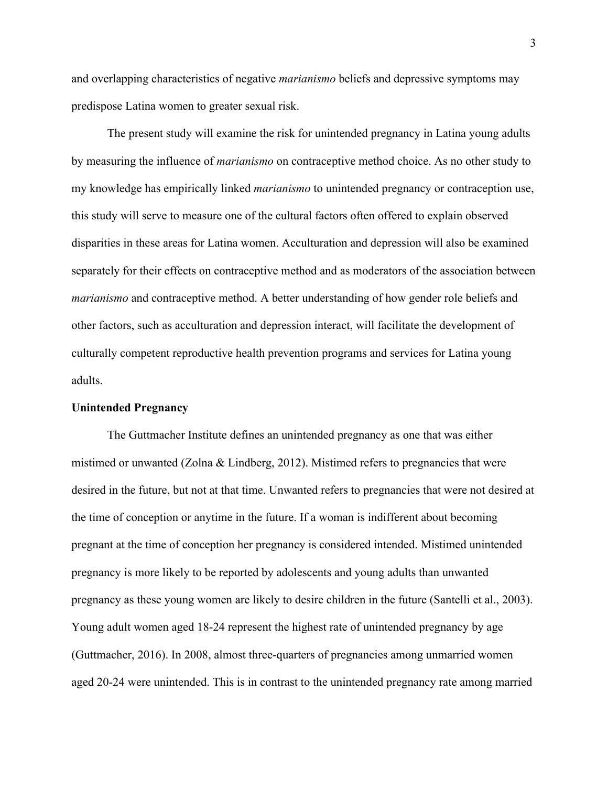and overlapping characteristics of negative *marianismo* beliefs and depressive symptoms may predispose Latina women to greater sexual risk.

The present study will examine the risk for unintended pregnancy in Latina young adults by measuring the influence of *marianismo* on contraceptive method choice. As no other study to my knowledge has empirically linked *marianismo* to unintended pregnancy or contraception use, this study will serve to measure one of the cultural factors often offered to explain observed disparities in these areas for Latina women. Acculturation and depression will also be examined separately for their effects on contraceptive method and as moderators of the association between *marianismo* and contraceptive method. A better understanding of how gender role beliefs and other factors, such as acculturation and depression interact, will facilitate the development of culturally competent reproductive health prevention programs and services for Latina young adults.

### **Unintended Pregnancy**

The Guttmacher Institute defines an unintended pregnancy as one that was either mistimed or unwanted (Zolna & Lindberg, 2012). Mistimed refers to pregnancies that were desired in the future, but not at that time. Unwanted refers to pregnancies that were not desired at the time of conception or anytime in the future. If a woman is indifferent about becoming pregnant at the time of conception her pregnancy is considered intended. Mistimed unintended pregnancy is more likely to be reported by adolescents and young adults than unwanted pregnancy as these young women are likely to desire children in the future (Santelli et al., 2003). Young adult women aged 18-24 represent the highest rate of unintended pregnancy by age (Guttmacher, 2016). In 2008, almost three-quarters of pregnancies among unmarried women aged 20-24 were unintended. This is in contrast to the unintended pregnancy rate among married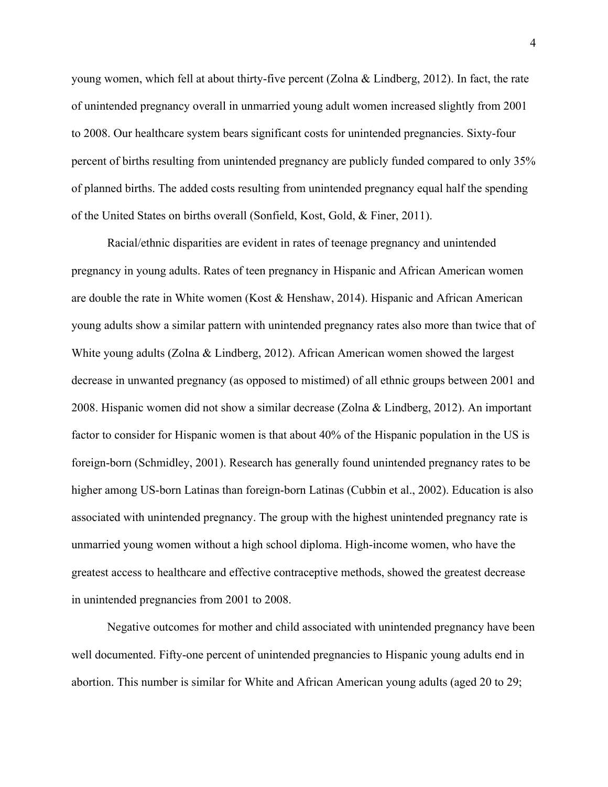young women, which fell at about thirty-five percent (Zolna & Lindberg, 2012). In fact, the rate of unintended pregnancy overall in unmarried young adult women increased slightly from 2001 to 2008. Our healthcare system bears significant costs for unintended pregnancies. Sixty-four percent of births resulting from unintended pregnancy are publicly funded compared to only 35% of planned births. The added costs resulting from unintended pregnancy equal half the spending of the United States on births overall (Sonfield, Kost, Gold, & Finer, 2011).

Racial/ethnic disparities are evident in rates of teenage pregnancy and unintended pregnancy in young adults. Rates of teen pregnancy in Hispanic and African American women are double the rate in White women (Kost & Henshaw, 2014). Hispanic and African American young adults show a similar pattern with unintended pregnancy rates also more than twice that of White young adults (Zolna & Lindberg, 2012). African American women showed the largest decrease in unwanted pregnancy (as opposed to mistimed) of all ethnic groups between 2001 and 2008. Hispanic women did not show a similar decrease (Zolna & Lindberg, 2012). An important factor to consider for Hispanic women is that about 40% of the Hispanic population in the US is foreign-born (Schmidley, 2001). Research has generally found unintended pregnancy rates to be higher among US-born Latinas than foreign-born Latinas (Cubbin et al., 2002). Education is also associated with unintended pregnancy. The group with the highest unintended pregnancy rate is unmarried young women without a high school diploma. High-income women, who have the greatest access to healthcare and effective contraceptive methods, showed the greatest decrease in unintended pregnancies from 2001 to 2008.

Negative outcomes for mother and child associated with unintended pregnancy have been well documented. Fifty-one percent of unintended pregnancies to Hispanic young adults end in abortion. This number is similar for White and African American young adults (aged 20 to 29;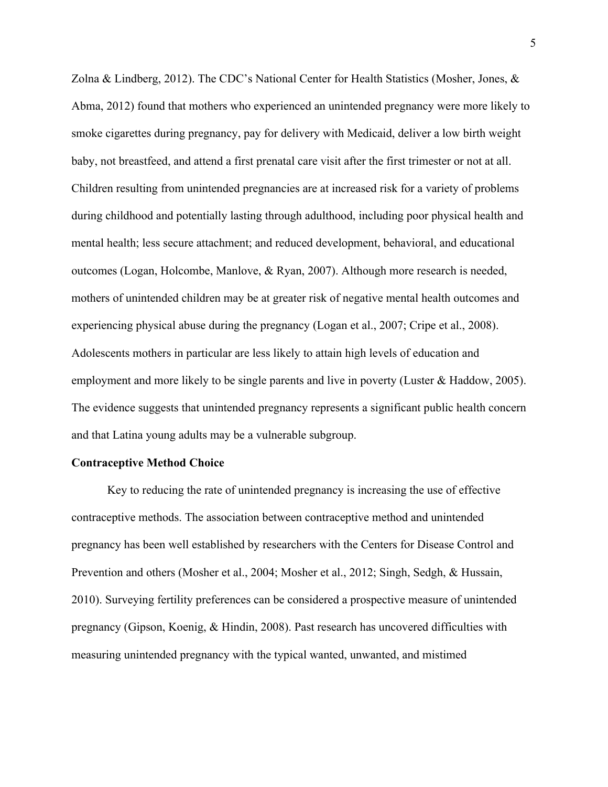Zolna & Lindberg, 2012). The CDC's National Center for Health Statistics (Mosher, Jones, & Abma, 2012) found that mothers who experienced an unintended pregnancy were more likely to smoke cigarettes during pregnancy, pay for delivery with Medicaid, deliver a low birth weight baby, not breastfeed, and attend a first prenatal care visit after the first trimester or not at all. Children resulting from unintended pregnancies are at increased risk for a variety of problems during childhood and potentially lasting through adulthood, including poor physical health and mental health; less secure attachment; and reduced development, behavioral, and educational outcomes (Logan, Holcombe, Manlove, & Ryan, 2007). Although more research is needed, mothers of unintended children may be at greater risk of negative mental health outcomes and experiencing physical abuse during the pregnancy (Logan et al., 2007; Cripe et al., 2008). Adolescents mothers in particular are less likely to attain high levels of education and employment and more likely to be single parents and live in poverty (Luster & Haddow, 2005). The evidence suggests that unintended pregnancy represents a significant public health concern and that Latina young adults may be a vulnerable subgroup.

### **Contraceptive Method Choice**

Key to reducing the rate of unintended pregnancy is increasing the use of effective contraceptive methods. The association between contraceptive method and unintended pregnancy has been well established by researchers with the Centers for Disease Control and Prevention and others (Mosher et al., 2004; Mosher et al., 2012; Singh, Sedgh, & Hussain, 2010). Surveying fertility preferences can be considered a prospective measure of unintended pregnancy (Gipson, Koenig, & Hindin, 2008). Past research has uncovered difficulties with measuring unintended pregnancy with the typical wanted, unwanted, and mistimed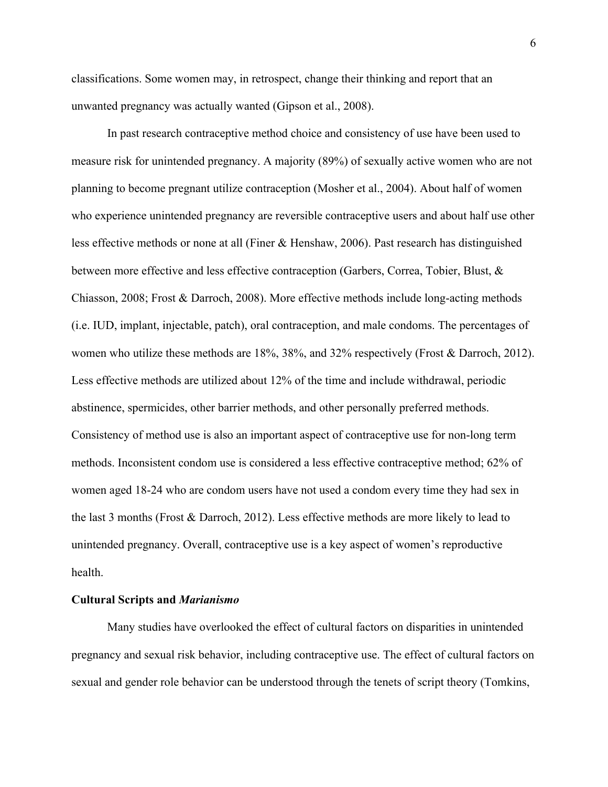classifications. Some women may, in retrospect, change their thinking and report that an unwanted pregnancy was actually wanted (Gipson et al., 2008).

In past research contraceptive method choice and consistency of use have been used to measure risk for unintended pregnancy. A majority (89%) of sexually active women who are not planning to become pregnant utilize contraception (Mosher et al., 2004). About half of women who experience unintended pregnancy are reversible contraceptive users and about half use other less effective methods or none at all (Finer & Henshaw, 2006). Past research has distinguished between more effective and less effective contraception (Garbers, Correa, Tobier, Blust, & Chiasson, 2008; Frost & Darroch, 2008). More effective methods include long-acting methods (i.e. IUD, implant, injectable, patch), oral contraception, and male condoms. The percentages of women who utilize these methods are 18%, 38%, and 32% respectively (Frost & Darroch, 2012). Less effective methods are utilized about 12% of the time and include withdrawal, periodic abstinence, spermicides, other barrier methods, and other personally preferred methods. Consistency of method use is also an important aspect of contraceptive use for non-long term methods. Inconsistent condom use is considered a less effective contraceptive method; 62% of women aged 18-24 who are condom users have not used a condom every time they had sex in the last 3 months (Frost & Darroch, 2012). Less effective methods are more likely to lead to unintended pregnancy. Overall, contraceptive use is a key aspect of women's reproductive health.

### **Cultural Scripts and** *Marianismo*

Many studies have overlooked the effect of cultural factors on disparities in unintended pregnancy and sexual risk behavior, including contraceptive use. The effect of cultural factors on sexual and gender role behavior can be understood through the tenets of script theory (Tomkins,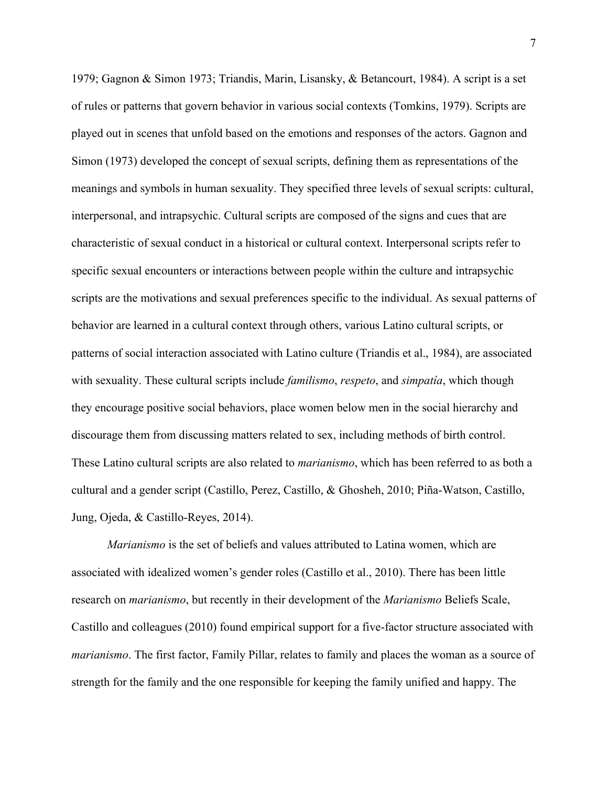1979; Gagnon & Simon 1973; Triandis, Marin, Lisansky, & Betancourt, 1984). A script is a set of rules or patterns that govern behavior in various social contexts (Tomkins, 1979). Scripts are played out in scenes that unfold based on the emotions and responses of the actors. Gagnon and Simon (1973) developed the concept of sexual scripts, defining them as representations of the meanings and symbols in human sexuality. They specified three levels of sexual scripts: cultural, interpersonal, and intrapsychic. Cultural scripts are composed of the signs and cues that are characteristic of sexual conduct in a historical or cultural context. Interpersonal scripts refer to specific sexual encounters or interactions between people within the culture and intrapsychic scripts are the motivations and sexual preferences specific to the individual. As sexual patterns of behavior are learned in a cultural context through others, various Latino cultural scripts, or patterns of social interaction associated with Latino culture (Triandis et al., 1984), are associated with sexuality. These cultural scripts include *familismo*, *respeto*, and *simpatía*, which though they encourage positive social behaviors, place women below men in the social hierarchy and discourage them from discussing matters related to sex, including methods of birth control. These Latino cultural scripts are also related to *marianismo*, which has been referred to as both a cultural and a gender script (Castillo, Perez, Castillo, & Ghosheh, 2010; Piña-Watson, Castillo, Jung, Ojeda, & Castillo-Reyes, 2014).

*Marianismo* is the set of beliefs and values attributed to Latina women, which are associated with idealized women's gender roles (Castillo et al., 2010). There has been little research on *marianismo*, but recently in their development of the *Marianismo* Beliefs Scale, Castillo and colleagues (2010) found empirical support for a five-factor structure associated with *marianismo*. The first factor, Family Pillar, relates to family and places the woman as a source of strength for the family and the one responsible for keeping the family unified and happy. The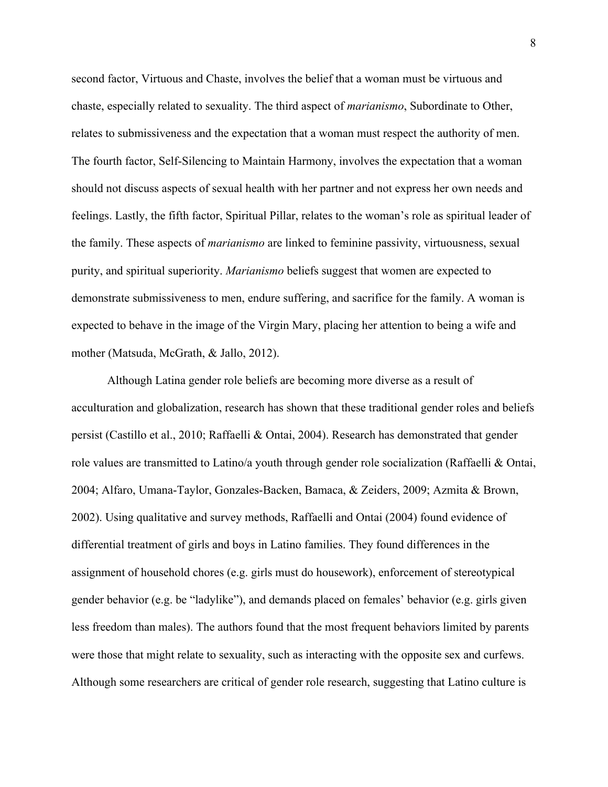second factor, Virtuous and Chaste, involves the belief that a woman must be virtuous and chaste, especially related to sexuality. The third aspect of *marianismo*, Subordinate to Other, relates to submissiveness and the expectation that a woman must respect the authority of men. The fourth factor, Self-Silencing to Maintain Harmony, involves the expectation that a woman should not discuss aspects of sexual health with her partner and not express her own needs and feelings. Lastly, the fifth factor, Spiritual Pillar, relates to the woman's role as spiritual leader of the family. These aspects of *marianismo* are linked to feminine passivity, virtuousness, sexual purity, and spiritual superiority. *Marianismo* beliefs suggest that women are expected to demonstrate submissiveness to men, endure suffering, and sacrifice for the family. A woman is expected to behave in the image of the Virgin Mary, placing her attention to being a wife and mother (Matsuda, McGrath, & Jallo, 2012).

Although Latina gender role beliefs are becoming more diverse as a result of acculturation and globalization, research has shown that these traditional gender roles and beliefs persist (Castillo et al., 2010; Raffaelli & Ontai, 2004). Research has demonstrated that gender role values are transmitted to Latino/a youth through gender role socialization (Raffaelli & Ontai, 2004; Alfaro, Umana-Taylor, Gonzales-Backen, Bamaca, & Zeiders, 2009; Azmita & Brown, 2002). Using qualitative and survey methods, Raffaelli and Ontai (2004) found evidence of differential treatment of girls and boys in Latino families. They found differences in the assignment of household chores (e.g. girls must do housework), enforcement of stereotypical gender behavior (e.g. be "ladylike"), and demands placed on females' behavior (e.g. girls given less freedom than males). The authors found that the most frequent behaviors limited by parents were those that might relate to sexuality, such as interacting with the opposite sex and curfews. Although some researchers are critical of gender role research, suggesting that Latino culture is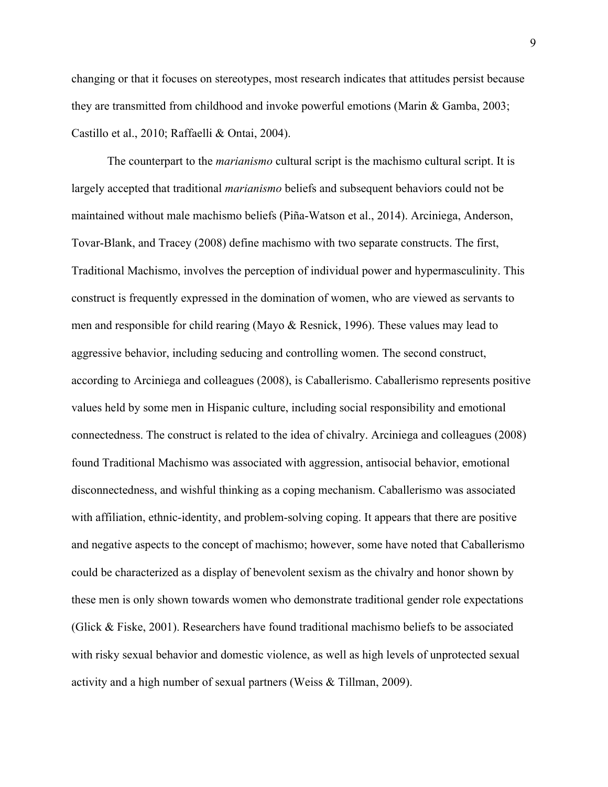changing or that it focuses on stereotypes, most research indicates that attitudes persist because they are transmitted from childhood and invoke powerful emotions (Marin & Gamba, 2003; Castillo et al., 2010; Raffaelli & Ontai, 2004).

The counterpart to the *marianismo* cultural script is the machismo cultural script. It is largely accepted that traditional *marianismo* beliefs and subsequent behaviors could not be maintained without male machismo beliefs (Piña-Watson et al., 2014). Arciniega, Anderson, Tovar-Blank, and Tracey (2008) define machismo with two separate constructs. The first, Traditional Machismo, involves the perception of individual power and hypermasculinity. This construct is frequently expressed in the domination of women, who are viewed as servants to men and responsible for child rearing (Mayo & Resnick, 1996). These values may lead to aggressive behavior, including seducing and controlling women. The second construct, according to Arciniega and colleagues (2008), is Caballerismo. Caballerismo represents positive values held by some men in Hispanic culture, including social responsibility and emotional connectedness. The construct is related to the idea of chivalry. Arciniega and colleagues (2008) found Traditional Machismo was associated with aggression, antisocial behavior, emotional disconnectedness, and wishful thinking as a coping mechanism. Caballerismo was associated with affiliation, ethnic-identity, and problem-solving coping. It appears that there are positive and negative aspects to the concept of machismo; however, some have noted that Caballerismo could be characterized as a display of benevolent sexism as the chivalry and honor shown by these men is only shown towards women who demonstrate traditional gender role expectations (Glick & Fiske, 2001). Researchers have found traditional machismo beliefs to be associated with risky sexual behavior and domestic violence, as well as high levels of unprotected sexual activity and a high number of sexual partners (Weiss & Tillman, 2009).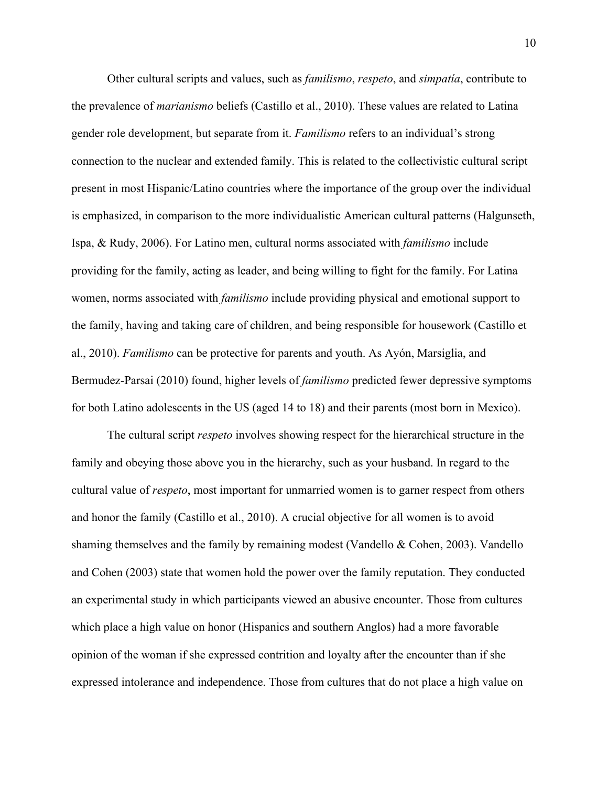Other cultural scripts and values, such as *familismo*, *respeto*, and *simpatía*, contribute to the prevalence of *marianismo* beliefs (Castillo et al., 2010). These values are related to Latina gender role development, but separate from it. *Familismo* refers to an individual's strong connection to the nuclear and extended family. This is related to the collectivistic cultural script present in most Hispanic/Latino countries where the importance of the group over the individual is emphasized, in comparison to the more individualistic American cultural patterns (Halgunseth, Ispa, & Rudy, 2006). For Latino men, cultural norms associated with *familismo* include providing for the family, acting as leader, and being willing to fight for the family. For Latina women, norms associated with *familismo* include providing physical and emotional support to the family, having and taking care of children, and being responsible for housework (Castillo et al., 2010). *Familismo* can be protective for parents and youth. As Ayón, Marsiglia, and Bermudez-Parsai (2010) found, higher levels of *familismo* predicted fewer depressive symptoms for both Latino adolescents in the US (aged 14 to 18) and their parents (most born in Mexico).

The cultural script *respeto* involves showing respect for the hierarchical structure in the family and obeying those above you in the hierarchy, such as your husband. In regard to the cultural value of *respeto*, most important for unmarried women is to garner respect from others and honor the family (Castillo et al., 2010). A crucial objective for all women is to avoid shaming themselves and the family by remaining modest (Vandello & Cohen, 2003). Vandello and Cohen (2003) state that women hold the power over the family reputation. They conducted an experimental study in which participants viewed an abusive encounter. Those from cultures which place a high value on honor (Hispanics and southern Anglos) had a more favorable opinion of the woman if she expressed contrition and loyalty after the encounter than if she expressed intolerance and independence. Those from cultures that do not place a high value on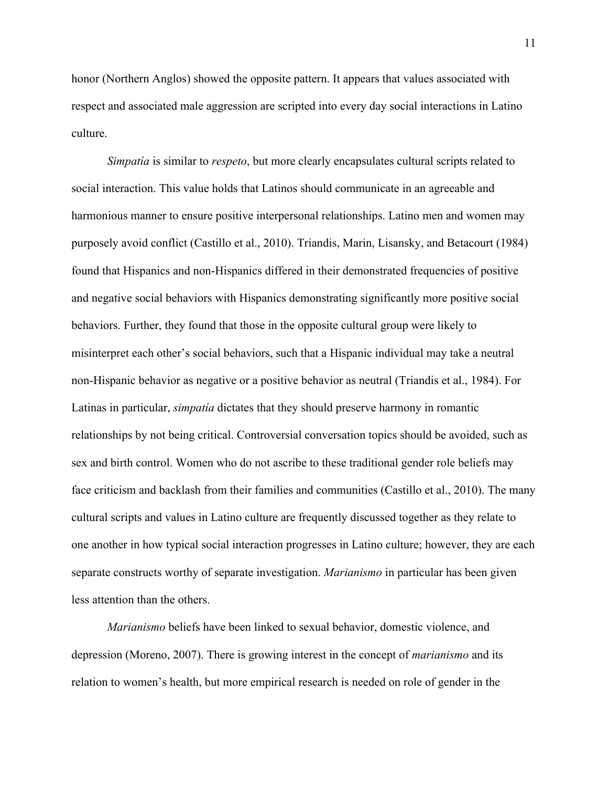honor (Northern Anglos) showed the opposite pattern. It appears that values associated with respect and associated male aggression are scripted into every day social interactions in Latino culture.

*Simpatía* is similar to *respeto*, but more clearly encapsulates cultural scripts related to social interaction. This value holds that Latinos should communicate in an agreeable and harmonious manner to ensure positive interpersonal relationships. Latino men and women may purposely avoid conflict (Castillo et al., 2010). Triandis, Marin, Lisansky, and Betacourt (1984) found that Hispanics and non-Hispanics differed in their demonstrated frequencies of positive and negative social behaviors with Hispanics demonstrating significantly more positive social behaviors. Further, they found that those in the opposite cultural group were likely to misinterpret each other's social behaviors, such that a Hispanic individual may take a neutral non-Hispanic behavior as negative or a positive behavior as neutral (Triandis et al., 1984). For Latinas in particular, *simpatía* dictates that they should preserve harmony in romantic relationships by not being critical. Controversial conversation topics should be avoided, such as sex and birth control. Women who do not ascribe to these traditional gender role beliefs may face criticism and backlash from their families and communities (Castillo et al., 2010). The many cultural scripts and values in Latino culture are frequently discussed together as they relate to one another in how typical social interaction progresses in Latino culture; however, they are each separate constructs worthy of separate investigation. *Marianismo* in particular has been given less attention than the others.

*Marianismo* beliefs have been linked to sexual behavior, domestic violence, and depression (Moreno, 2007). There is growing interest in the concept of *marianismo* and its relation to women's health, but more empirical research is needed on role of gender in the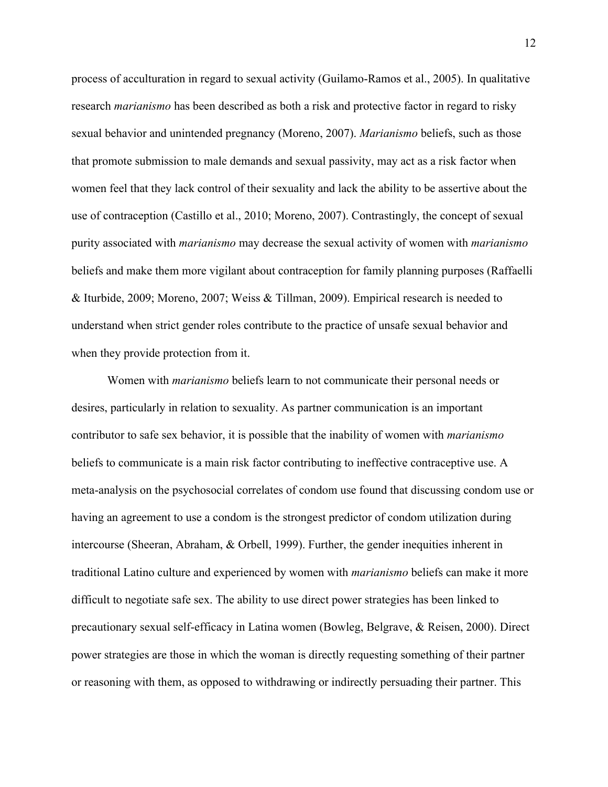process of acculturation in regard to sexual activity (Guilamo-Ramos et al., 2005). In qualitative research *marianismo* has been described as both a risk and protective factor in regard to risky sexual behavior and unintended pregnancy (Moreno, 2007). *Marianismo* beliefs, such as those that promote submission to male demands and sexual passivity, may act as a risk factor when women feel that they lack control of their sexuality and lack the ability to be assertive about the use of contraception (Castillo et al., 2010; Moreno, 2007). Contrastingly, the concept of sexual purity associated with *marianismo* may decrease the sexual activity of women with *marianismo* beliefs and make them more vigilant about contraception for family planning purposes (Raffaelli & Iturbide, 2009; Moreno, 2007; Weiss & Tillman, 2009). Empirical research is needed to understand when strict gender roles contribute to the practice of unsafe sexual behavior and when they provide protection from it.

Women with *marianismo* beliefs learn to not communicate their personal needs or desires, particularly in relation to sexuality. As partner communication is an important contributor to safe sex behavior, it is possible that the inability of women with *marianismo* beliefs to communicate is a main risk factor contributing to ineffective contraceptive use. A meta-analysis on the psychosocial correlates of condom use found that discussing condom use or having an agreement to use a condom is the strongest predictor of condom utilization during intercourse (Sheeran, Abraham, & Orbell, 1999). Further, the gender inequities inherent in traditional Latino culture and experienced by women with *marianismo* beliefs can make it more difficult to negotiate safe sex. The ability to use direct power strategies has been linked to precautionary sexual self-efficacy in Latina women (Bowleg, Belgrave, & Reisen, 2000). Direct power strategies are those in which the woman is directly requesting something of their partner or reasoning with them, as opposed to withdrawing or indirectly persuading their partner. This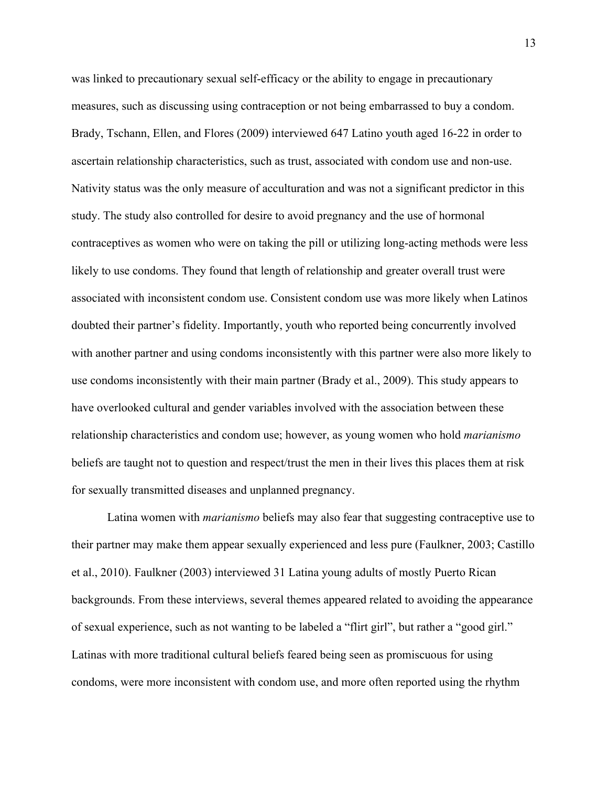was linked to precautionary sexual self-efficacy or the ability to engage in precautionary measures, such as discussing using contraception or not being embarrassed to buy a condom. Brady, Tschann, Ellen, and Flores (2009) interviewed 647 Latino youth aged 16-22 in order to ascertain relationship characteristics, such as trust, associated with condom use and non-use. Nativity status was the only measure of acculturation and was not a significant predictor in this study. The study also controlled for desire to avoid pregnancy and the use of hormonal contraceptives as women who were on taking the pill or utilizing long-acting methods were less likely to use condoms. They found that length of relationship and greater overall trust were associated with inconsistent condom use. Consistent condom use was more likely when Latinos doubted their partner's fidelity. Importantly, youth who reported being concurrently involved with another partner and using condoms inconsistently with this partner were also more likely to use condoms inconsistently with their main partner (Brady et al., 2009). This study appears to have overlooked cultural and gender variables involved with the association between these relationship characteristics and condom use; however, as young women who hold *marianismo* beliefs are taught not to question and respect/trust the men in their lives this places them at risk for sexually transmitted diseases and unplanned pregnancy.

Latina women with *marianismo* beliefs may also fear that suggesting contraceptive use to their partner may make them appear sexually experienced and less pure (Faulkner, 2003; Castillo et al., 2010). Faulkner (2003) interviewed 31 Latina young adults of mostly Puerto Rican backgrounds. From these interviews, several themes appeared related to avoiding the appearance of sexual experience, such as not wanting to be labeled a "flirt girl", but rather a "good girl." Latinas with more traditional cultural beliefs feared being seen as promiscuous for using condoms, were more inconsistent with condom use, and more often reported using the rhythm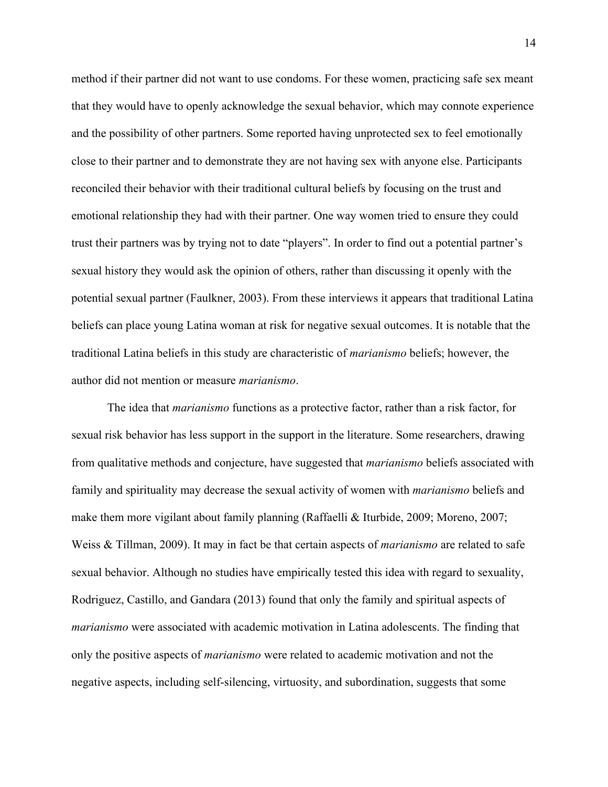method if their partner did not want to use condoms. For these women, practicing safe sex meant that they would have to openly acknowledge the sexual behavior, which may connote experience and the possibility of other partners. Some reported having unprotected sex to feel emotionally close to their partner and to demonstrate they are not having sex with anyone else. Participants reconciled their behavior with their traditional cultural beliefs by focusing on the trust and emotional relationship they had with their partner. One way women tried to ensure they could trust their partners was by trying not to date "players". In order to find out a potential partner's sexual history they would ask the opinion of others, rather than discussing it openly with the potential sexual partner (Faulkner, 2003). From these interviews it appears that traditional Latina beliefs can place young Latina woman at risk for negative sexual outcomes. It is notable that the traditional Latina beliefs in this study are characteristic of *marianismo* beliefs; however, the author did not mention or measure *marianismo*.

The idea that *marianismo* functions as a protective factor, rather than a risk factor, for sexual risk behavior has less support in the support in the literature. Some researchers, drawing from qualitative methods and conjecture, have suggested that *marianismo* beliefs associated with family and spirituality may decrease the sexual activity of women with *marianismo* beliefs and make them more vigilant about family planning (Raffaelli & Iturbide, 2009; Moreno, 2007; Weiss & Tillman, 2009). It may in fact be that certain aspects of *marianismo* are related to safe sexual behavior. Although no studies have empirically tested this idea with regard to sexuality, Rodriguez, Castillo, and Gandara (2013) found that only the family and spiritual aspects of *marianismo* were associated with academic motivation in Latina adolescents. The finding that only the positive aspects of *marianismo* were related to academic motivation and not the negative aspects, including self-silencing, virtuosity, and subordination, suggests that some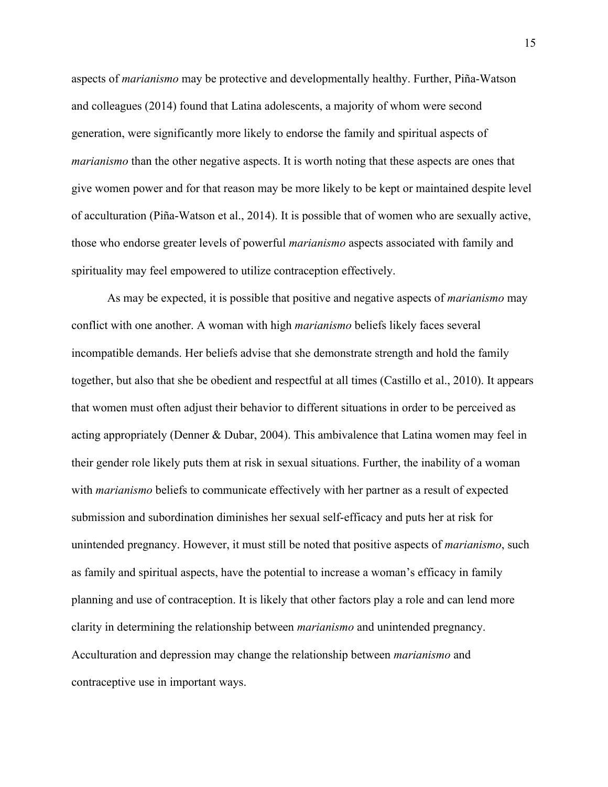aspects of *marianismo* may be protective and developmentally healthy. Further, Piña-Watson and colleagues (2014) found that Latina adolescents, a majority of whom were second generation, were significantly more likely to endorse the family and spiritual aspects of *marianismo* than the other negative aspects. It is worth noting that these aspects are ones that give women power and for that reason may be more likely to be kept or maintained despite level of acculturation (Piña-Watson et al., 2014). It is possible that of women who are sexually active, those who endorse greater levels of powerful *marianismo* aspects associated with family and spirituality may feel empowered to utilize contraception effectively.

As may be expected, it is possible that positive and negative aspects of *marianismo* may conflict with one another. A woman with high *marianismo* beliefs likely faces several incompatible demands. Her beliefs advise that she demonstrate strength and hold the family together, but also that she be obedient and respectful at all times (Castillo et al., 2010). It appears that women must often adjust their behavior to different situations in order to be perceived as acting appropriately (Denner & Dubar, 2004). This ambivalence that Latina women may feel in their gender role likely puts them at risk in sexual situations. Further, the inability of a woman with *marianismo* beliefs to communicate effectively with her partner as a result of expected submission and subordination diminishes her sexual self-efficacy and puts her at risk for unintended pregnancy. However, it must still be noted that positive aspects of *marianismo*, such as family and spiritual aspects, have the potential to increase a woman's efficacy in family planning and use of contraception. It is likely that other factors play a role and can lend more clarity in determining the relationship between *marianismo* and unintended pregnancy. Acculturation and depression may change the relationship between *marianismo* and contraceptive use in important ways.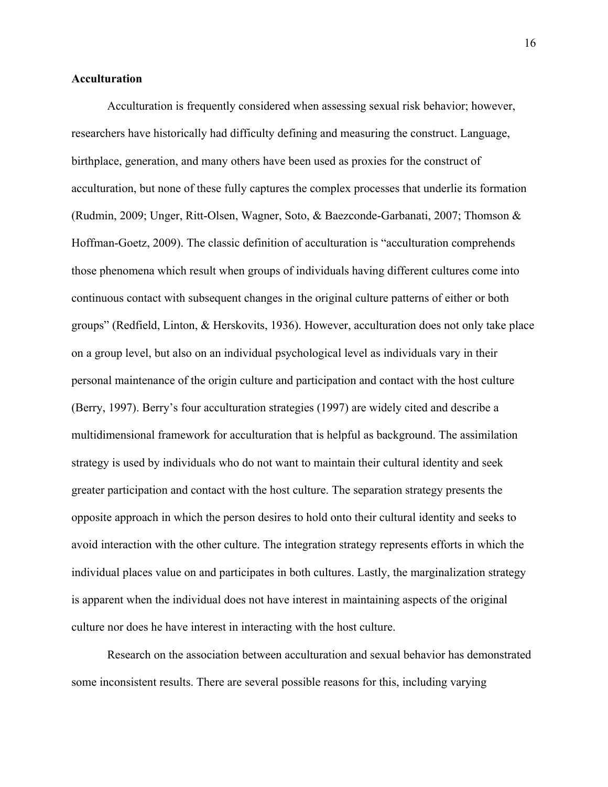### **Acculturation**

Acculturation is frequently considered when assessing sexual risk behavior; however, researchers have historically had difficulty defining and measuring the construct. Language, birthplace, generation, and many others have been used as proxies for the construct of acculturation, but none of these fully captures the complex processes that underlie its formation (Rudmin, 2009; Unger, Ritt-Olsen, Wagner, Soto, & Baezconde-Garbanati, 2007; Thomson & Hoffman-Goetz, 2009). The classic definition of acculturation is "acculturation comprehends those phenomena which result when groups of individuals having different cultures come into continuous contact with subsequent changes in the original culture patterns of either or both groups" (Redfield, Linton, & Herskovits, 1936). However, acculturation does not only take place on a group level, but also on an individual psychological level as individuals vary in their personal maintenance of the origin culture and participation and contact with the host culture (Berry, 1997). Berry's four acculturation strategies (1997) are widely cited and describe a multidimensional framework for acculturation that is helpful as background. The assimilation strategy is used by individuals who do not want to maintain their cultural identity and seek greater participation and contact with the host culture. The separation strategy presents the opposite approach in which the person desires to hold onto their cultural identity and seeks to avoid interaction with the other culture. The integration strategy represents efforts in which the individual places value on and participates in both cultures. Lastly, the marginalization strategy is apparent when the individual does not have interest in maintaining aspects of the original culture nor does he have interest in interacting with the host culture.

Research on the association between acculturation and sexual behavior has demonstrated some inconsistent results. There are several possible reasons for this, including varying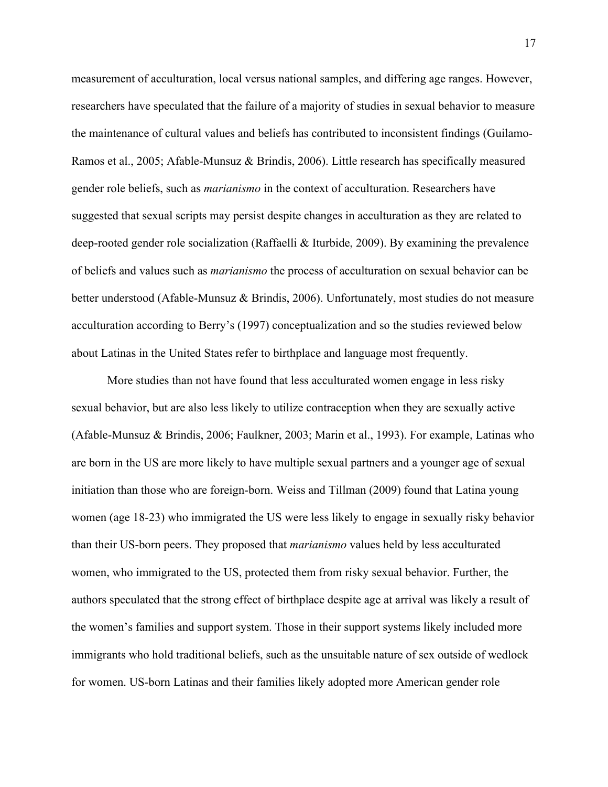measurement of acculturation, local versus national samples, and differing age ranges. However, researchers have speculated that the failure of a majority of studies in sexual behavior to measure the maintenance of cultural values and beliefs has contributed to inconsistent findings (Guilamo-Ramos et al., 2005; Afable-Munsuz & Brindis, 2006). Little research has specifically measured gender role beliefs, such as *marianismo* in the context of acculturation. Researchers have suggested that sexual scripts may persist despite changes in acculturation as they are related to deep-rooted gender role socialization (Raffaelli & Iturbide, 2009). By examining the prevalence of beliefs and values such as *marianismo* the process of acculturation on sexual behavior can be better understood (Afable-Munsuz & Brindis, 2006). Unfortunately, most studies do not measure acculturation according to Berry's (1997) conceptualization and so the studies reviewed below about Latinas in the United States refer to birthplace and language most frequently.

More studies than not have found that less acculturated women engage in less risky sexual behavior, but are also less likely to utilize contraception when they are sexually active (Afable-Munsuz & Brindis, 2006; Faulkner, 2003; Marin et al., 1993). For example, Latinas who are born in the US are more likely to have multiple sexual partners and a younger age of sexual initiation than those who are foreign-born. Weiss and Tillman (2009) found that Latina young women (age 18-23) who immigrated the US were less likely to engage in sexually risky behavior than their US-born peers. They proposed that *marianismo* values held by less acculturated women, who immigrated to the US, protected them from risky sexual behavior. Further, the authors speculated that the strong effect of birthplace despite age at arrival was likely a result of the women's families and support system. Those in their support systems likely included more immigrants who hold traditional beliefs, such as the unsuitable nature of sex outside of wedlock for women. US-born Latinas and their families likely adopted more American gender role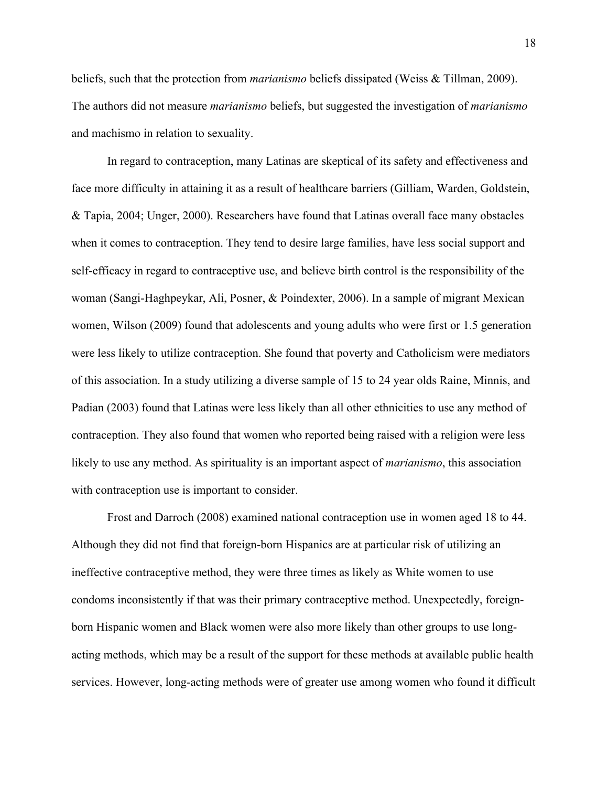beliefs, such that the protection from *marianismo* beliefs dissipated (Weiss & Tillman, 2009). The authors did not measure *marianismo* beliefs, but suggested the investigation of *marianismo* and machismo in relation to sexuality.

In regard to contraception, many Latinas are skeptical of its safety and effectiveness and face more difficulty in attaining it as a result of healthcare barriers (Gilliam, Warden, Goldstein, & Tapia, 2004; Unger, 2000). Researchers have found that Latinas overall face many obstacles when it comes to contraception. They tend to desire large families, have less social support and self-efficacy in regard to contraceptive use, and believe birth control is the responsibility of the woman (Sangi-Haghpeykar, Ali, Posner, & Poindexter, 2006). In a sample of migrant Mexican women, Wilson (2009) found that adolescents and young adults who were first or 1.5 generation were less likely to utilize contraception. She found that poverty and Catholicism were mediators of this association. In a study utilizing a diverse sample of 15 to 24 year olds Raine, Minnis, and Padian (2003) found that Latinas were less likely than all other ethnicities to use any method of contraception. They also found that women who reported being raised with a religion were less likely to use any method. As spirituality is an important aspect of *marianismo*, this association with contraception use is important to consider.

Frost and Darroch (2008) examined national contraception use in women aged 18 to 44. Although they did not find that foreign-born Hispanics are at particular risk of utilizing an ineffective contraceptive method, they were three times as likely as White women to use condoms inconsistently if that was their primary contraceptive method. Unexpectedly, foreignborn Hispanic women and Black women were also more likely than other groups to use longacting methods, which may be a result of the support for these methods at available public health services. However, long-acting methods were of greater use among women who found it difficult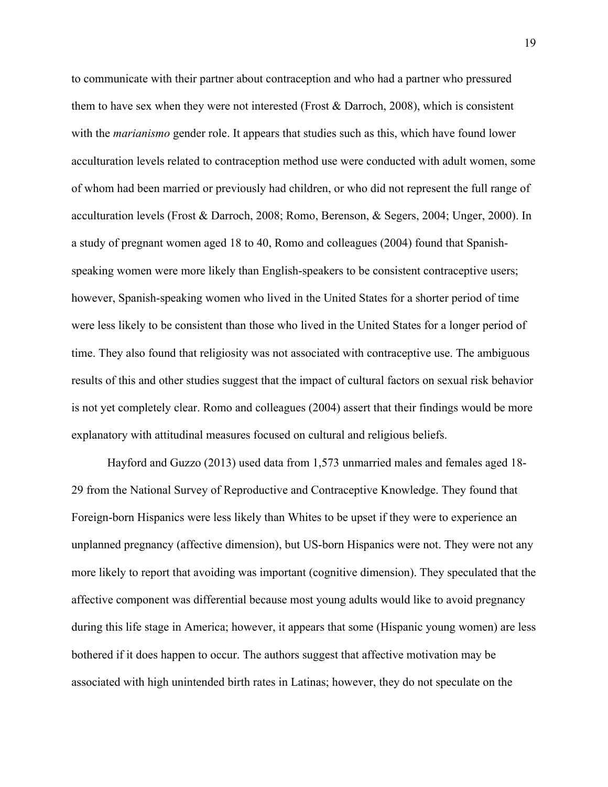to communicate with their partner about contraception and who had a partner who pressured them to have sex when they were not interested (Frost  $\&$  Darroch, 2008), which is consistent with the *marianismo* gender role. It appears that studies such as this, which have found lower acculturation levels related to contraception method use were conducted with adult women, some of whom had been married or previously had children, or who did not represent the full range of acculturation levels (Frost & Darroch, 2008; Romo, Berenson, & Segers, 2004; Unger, 2000). In a study of pregnant women aged 18 to 40, Romo and colleagues (2004) found that Spanishspeaking women were more likely than English-speakers to be consistent contraceptive users; however, Spanish-speaking women who lived in the United States for a shorter period of time were less likely to be consistent than those who lived in the United States for a longer period of time. They also found that religiosity was not associated with contraceptive use. The ambiguous results of this and other studies suggest that the impact of cultural factors on sexual risk behavior is not yet completely clear. Romo and colleagues (2004) assert that their findings would be more explanatory with attitudinal measures focused on cultural and religious beliefs.

Hayford and Guzzo (2013) used data from 1,573 unmarried males and females aged 18- 29 from the National Survey of Reproductive and Contraceptive Knowledge. They found that Foreign-born Hispanics were less likely than Whites to be upset if they were to experience an unplanned pregnancy (affective dimension), but US-born Hispanics were not. They were not any more likely to report that avoiding was important (cognitive dimension). They speculated that the affective component was differential because most young adults would like to avoid pregnancy during this life stage in America; however, it appears that some (Hispanic young women) are less bothered if it does happen to occur. The authors suggest that affective motivation may be associated with high unintended birth rates in Latinas; however, they do not speculate on the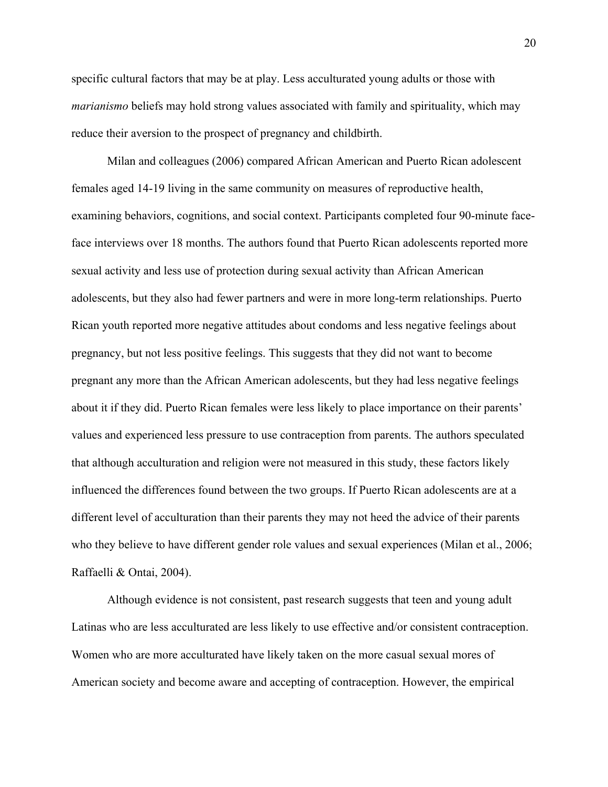specific cultural factors that may be at play. Less acculturated young adults or those with *marianismo* beliefs may hold strong values associated with family and spirituality, which may reduce their aversion to the prospect of pregnancy and childbirth.

Milan and colleagues (2006) compared African American and Puerto Rican adolescent females aged 14-19 living in the same community on measures of reproductive health, examining behaviors, cognitions, and social context. Participants completed four 90-minute faceface interviews over 18 months. The authors found that Puerto Rican adolescents reported more sexual activity and less use of protection during sexual activity than African American adolescents, but they also had fewer partners and were in more long-term relationships. Puerto Rican youth reported more negative attitudes about condoms and less negative feelings about pregnancy, but not less positive feelings. This suggests that they did not want to become pregnant any more than the African American adolescents, but they had less negative feelings about it if they did. Puerto Rican females were less likely to place importance on their parents' values and experienced less pressure to use contraception from parents. The authors speculated that although acculturation and religion were not measured in this study, these factors likely influenced the differences found between the two groups. If Puerto Rican adolescents are at a different level of acculturation than their parents they may not heed the advice of their parents who they believe to have different gender role values and sexual experiences (Milan et al., 2006; Raffaelli & Ontai, 2004).

Although evidence is not consistent, past research suggests that teen and young adult Latinas who are less acculturated are less likely to use effective and/or consistent contraception. Women who are more acculturated have likely taken on the more casual sexual mores of American society and become aware and accepting of contraception. However, the empirical

20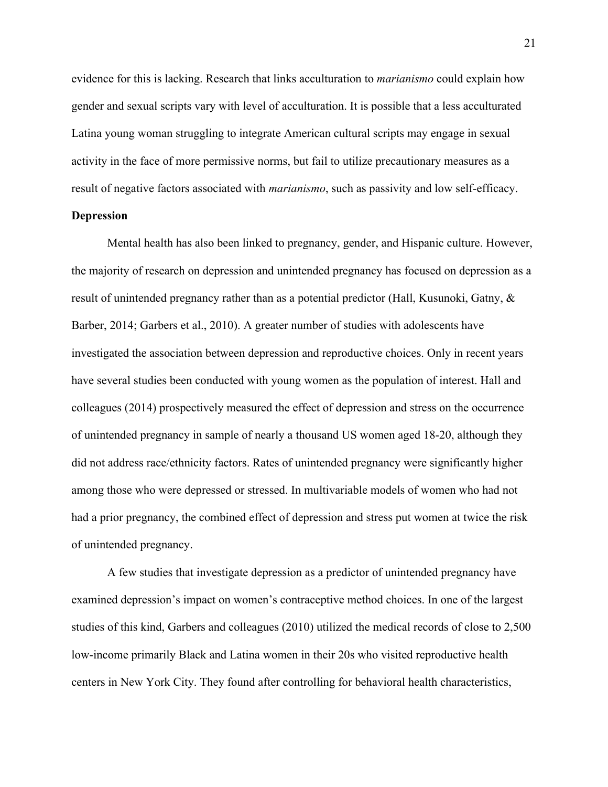evidence for this is lacking. Research that links acculturation to *marianismo* could explain how gender and sexual scripts vary with level of acculturation. It is possible that a less acculturated Latina young woman struggling to integrate American cultural scripts may engage in sexual activity in the face of more permissive norms, but fail to utilize precautionary measures as a result of negative factors associated with *marianismo*, such as passivity and low self-efficacy.

### **Depression**

Mental health has also been linked to pregnancy, gender, and Hispanic culture. However, the majority of research on depression and unintended pregnancy has focused on depression as a result of unintended pregnancy rather than as a potential predictor (Hall, Kusunoki, Gatny, & Barber, 2014; Garbers et al., 2010). A greater number of studies with adolescents have investigated the association between depression and reproductive choices. Only in recent years have several studies been conducted with young women as the population of interest. Hall and colleagues (2014) prospectively measured the effect of depression and stress on the occurrence of unintended pregnancy in sample of nearly a thousand US women aged 18-20, although they did not address race/ethnicity factors. Rates of unintended pregnancy were significantly higher among those who were depressed or stressed. In multivariable models of women who had not had a prior pregnancy, the combined effect of depression and stress put women at twice the risk of unintended pregnancy.

A few studies that investigate depression as a predictor of unintended pregnancy have examined depression's impact on women's contraceptive method choices. In one of the largest studies of this kind, Garbers and colleagues (2010) utilized the medical records of close to 2,500 low-income primarily Black and Latina women in their 20s who visited reproductive health centers in New York City. They found after controlling for behavioral health characteristics,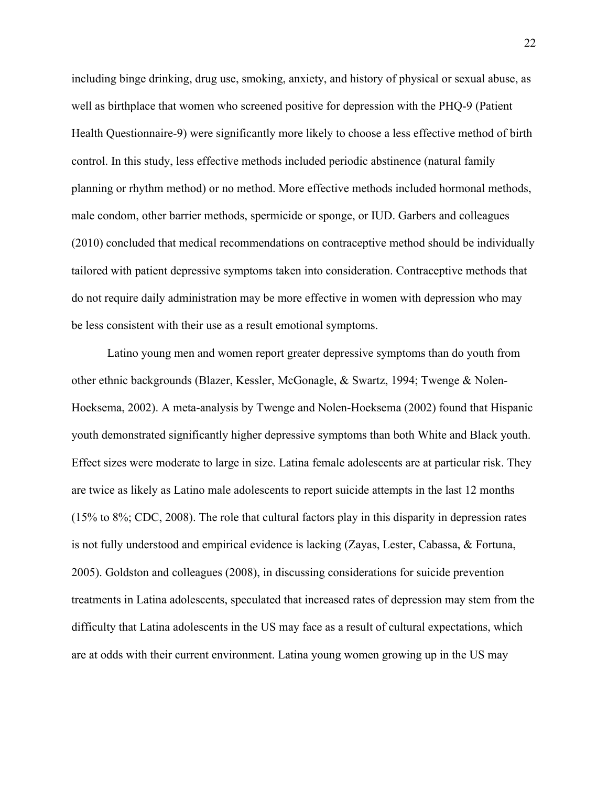including binge drinking, drug use, smoking, anxiety, and history of physical or sexual abuse, as well as birthplace that women who screened positive for depression with the PHQ-9 (Patient Health Questionnaire-9) were significantly more likely to choose a less effective method of birth control. In this study, less effective methods included periodic abstinence (natural family planning or rhythm method) or no method. More effective methods included hormonal methods, male condom, other barrier methods, spermicide or sponge, or IUD. Garbers and colleagues (2010) concluded that medical recommendations on contraceptive method should be individually tailored with patient depressive symptoms taken into consideration. Contraceptive methods that do not require daily administration may be more effective in women with depression who may be less consistent with their use as a result emotional symptoms.

Latino young men and women report greater depressive symptoms than do youth from other ethnic backgrounds (Blazer, Kessler, McGonagle, & Swartz, 1994; Twenge & Nolen-Hoeksema, 2002). A meta-analysis by Twenge and Nolen-Hoeksema (2002) found that Hispanic youth demonstrated significantly higher depressive symptoms than both White and Black youth. Effect sizes were moderate to large in size. Latina female adolescents are at particular risk. They are twice as likely as Latino male adolescents to report suicide attempts in the last 12 months (15% to 8%; CDC, 2008). The role that cultural factors play in this disparity in depression rates is not fully understood and empirical evidence is lacking (Zayas, Lester, Cabassa, & Fortuna, 2005). Goldston and colleagues (2008), in discussing considerations for suicide prevention treatments in Latina adolescents, speculated that increased rates of depression may stem from the difficulty that Latina adolescents in the US may face as a result of cultural expectations, which are at odds with their current environment. Latina young women growing up in the US may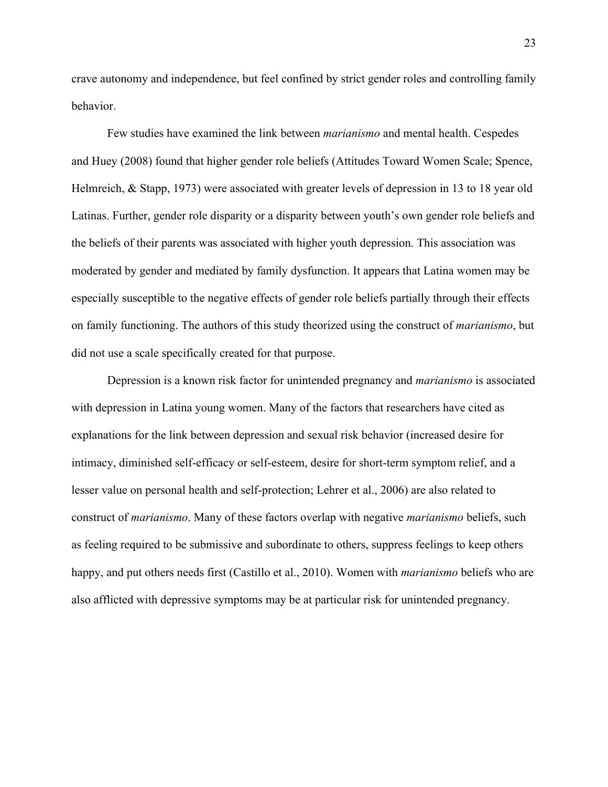crave autonomy and independence, but feel confined by strict gender roles and controlling family behavior.

Few studies have examined the link between *marianismo* and mental health. Cespedes and Huey (2008) found that higher gender role beliefs (Attitudes Toward Women Scale; Spence, Helmreich, & Stapp, 1973) were associated with greater levels of depression in 13 to 18 year old Latinas. Further, gender role disparity or a disparity between youth's own gender role beliefs and the beliefs of their parents was associated with higher youth depression. This association was moderated by gender and mediated by family dysfunction. It appears that Latina women may be especially susceptible to the negative effects of gender role beliefs partially through their effects on family functioning. The authors of this study theorized using the construct of *marianismo*, but did not use a scale specifically created for that purpose.

Depression is a known risk factor for unintended pregnancy and *marianismo* is associated with depression in Latina young women. Many of the factors that researchers have cited as explanations for the link between depression and sexual risk behavior (increased desire for intimacy, diminished self-efficacy or self-esteem, desire for short-term symptom relief, and a lesser value on personal health and self-protection; Lehrer et al., 2006) are also related to construct of *marianismo*. Many of these factors overlap with negative *marianismo* beliefs, such as feeling required to be submissive and subordinate to others, suppress feelings to keep others happy, and put others needs first (Castillo et al., 2010). Women with *marianismo* beliefs who are also afflicted with depressive symptoms may be at particular risk for unintended pregnancy.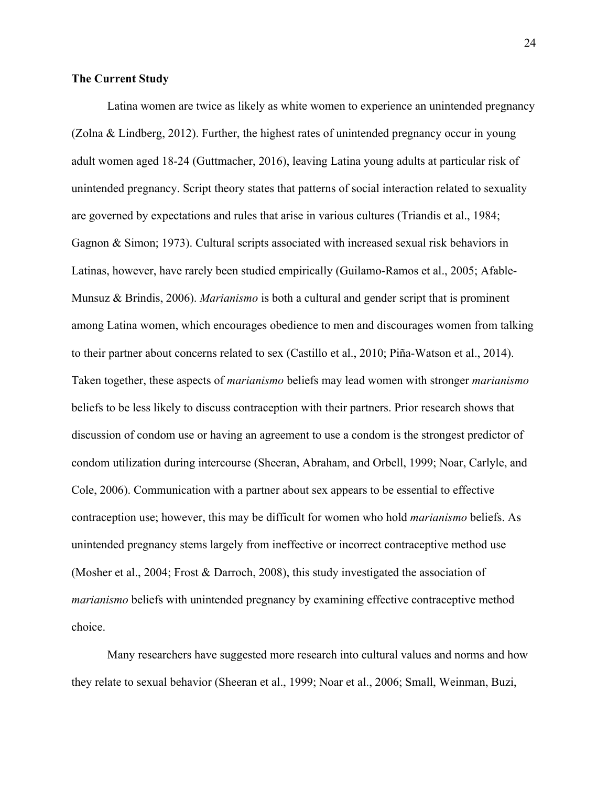### **The Current Study**

Latina women are twice as likely as white women to experience an unintended pregnancy (Zolna & Lindberg, 2012). Further, the highest rates of unintended pregnancy occur in young adult women aged 18-24 (Guttmacher, 2016), leaving Latina young adults at particular risk of unintended pregnancy. Script theory states that patterns of social interaction related to sexuality are governed by expectations and rules that arise in various cultures (Triandis et al., 1984; Gagnon & Simon; 1973). Cultural scripts associated with increased sexual risk behaviors in Latinas, however, have rarely been studied empirically (Guilamo-Ramos et al., 2005; Afable-Munsuz & Brindis, 2006). *Marianismo* is both a cultural and gender script that is prominent among Latina women, which encourages obedience to men and discourages women from talking to their partner about concerns related to sex (Castillo et al., 2010; Piña-Watson et al., 2014). Taken together, these aspects of *marianismo* beliefs may lead women with stronger *marianismo* beliefs to be less likely to discuss contraception with their partners. Prior research shows that discussion of condom use or having an agreement to use a condom is the strongest predictor of condom utilization during intercourse (Sheeran, Abraham, and Orbell, 1999; Noar, Carlyle, and Cole, 2006). Communication with a partner about sex appears to be essential to effective contraception use; however, this may be difficult for women who hold *marianismo* beliefs. As unintended pregnancy stems largely from ineffective or incorrect contraceptive method use (Mosher et al., 2004; Frost & Darroch, 2008), this study investigated the association of *marianismo* beliefs with unintended pregnancy by examining effective contraceptive method choice.

Many researchers have suggested more research into cultural values and norms and how they relate to sexual behavior (Sheeran et al., 1999; Noar et al., 2006; Small, Weinman, Buzi,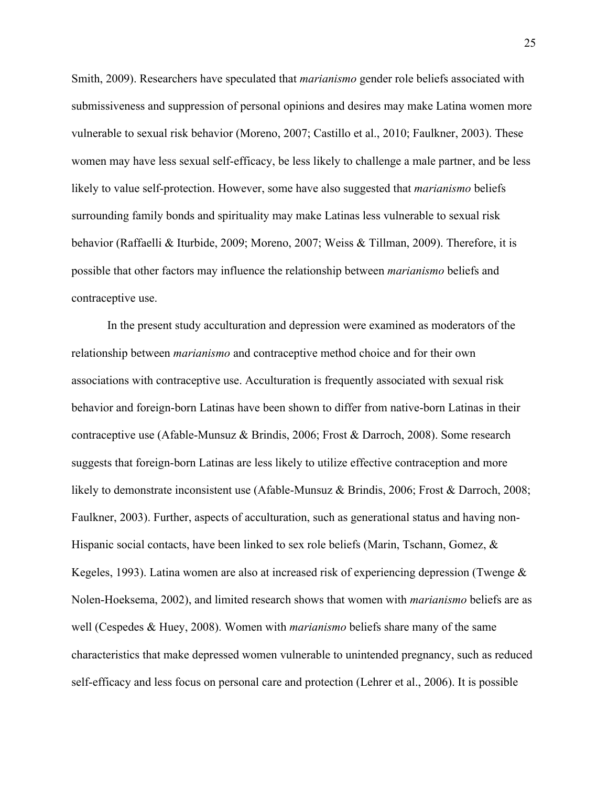Smith, 2009). Researchers have speculated that *marianismo* gender role beliefs associated with submissiveness and suppression of personal opinions and desires may make Latina women more vulnerable to sexual risk behavior (Moreno, 2007; Castillo et al., 2010; Faulkner, 2003). These women may have less sexual self-efficacy, be less likely to challenge a male partner, and be less likely to value self-protection. However, some have also suggested that *marianismo* beliefs surrounding family bonds and spirituality may make Latinas less vulnerable to sexual risk behavior (Raffaelli & Iturbide, 2009; Moreno, 2007; Weiss & Tillman, 2009). Therefore, it is possible that other factors may influence the relationship between *marianismo* beliefs and contraceptive use.

In the present study acculturation and depression were examined as moderators of the relationship between *marianismo* and contraceptive method choice and for their own associations with contraceptive use. Acculturation is frequently associated with sexual risk behavior and foreign-born Latinas have been shown to differ from native-born Latinas in their contraceptive use (Afable-Munsuz & Brindis, 2006; Frost & Darroch, 2008). Some research suggests that foreign-born Latinas are less likely to utilize effective contraception and more likely to demonstrate inconsistent use (Afable-Munsuz & Brindis, 2006; Frost & Darroch, 2008; Faulkner, 2003). Further, aspects of acculturation, such as generational status and having non-Hispanic social contacts, have been linked to sex role beliefs (Marin, Tschann, Gomez, & Kegeles, 1993). Latina women are also at increased risk of experiencing depression (Twenge & Nolen-Hoeksema, 2002), and limited research shows that women with *marianismo* beliefs are as well (Cespedes & Huey, 2008). Women with *marianismo* beliefs share many of the same characteristics that make depressed women vulnerable to unintended pregnancy, such as reduced self-efficacy and less focus on personal care and protection (Lehrer et al., 2006). It is possible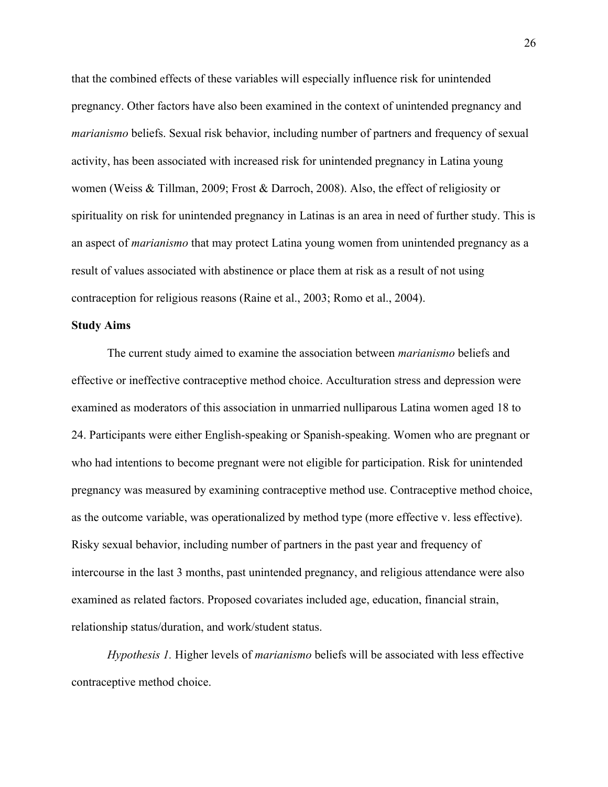that the combined effects of these variables will especially influence risk for unintended pregnancy. Other factors have also been examined in the context of unintended pregnancy and *marianismo* beliefs. Sexual risk behavior, including number of partners and frequency of sexual activity, has been associated with increased risk for unintended pregnancy in Latina young women (Weiss & Tillman, 2009; Frost & Darroch, 2008). Also, the effect of religiosity or spirituality on risk for unintended pregnancy in Latinas is an area in need of further study. This is an aspect of *marianismo* that may protect Latina young women from unintended pregnancy as a result of values associated with abstinence or place them at risk as a result of not using contraception for religious reasons (Raine et al., 2003; Romo et al., 2004).

### **Study Aims**

The current study aimed to examine the association between *marianismo* beliefs and effective or ineffective contraceptive method choice. Acculturation stress and depression were examined as moderators of this association in unmarried nulliparous Latina women aged 18 to 24. Participants were either English-speaking or Spanish-speaking. Women who are pregnant or who had intentions to become pregnant were not eligible for participation. Risk for unintended pregnancy was measured by examining contraceptive method use. Contraceptive method choice, as the outcome variable, was operationalized by method type (more effective v. less effective). Risky sexual behavior, including number of partners in the past year and frequency of intercourse in the last 3 months, past unintended pregnancy, and religious attendance were also examined as related factors. Proposed covariates included age, education, financial strain, relationship status/duration, and work/student status.

*Hypothesis 1.* Higher levels of *marianismo* beliefs will be associated with less effective contraceptive method choice.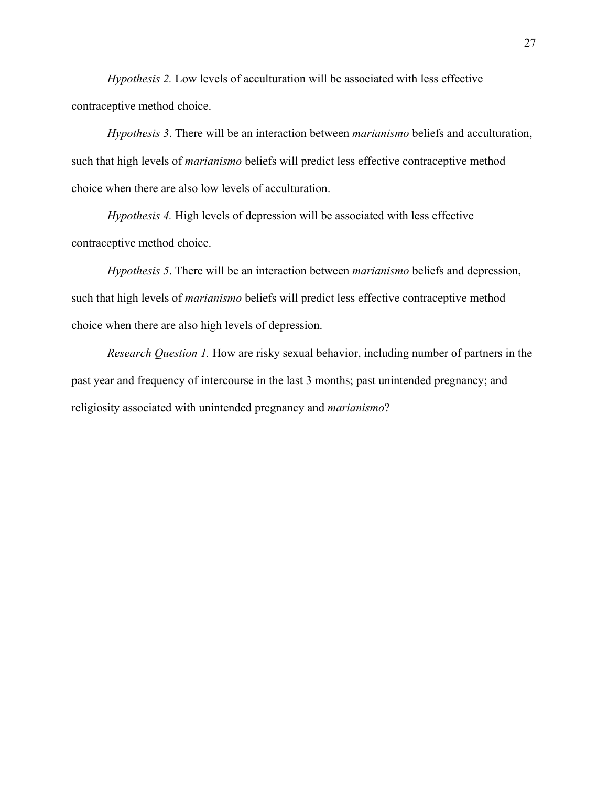*Hypothesis 2.* Low levels of acculturation will be associated with less effective contraceptive method choice.

*Hypothesis 3*. There will be an interaction between *marianismo* beliefs and acculturation, such that high levels of *marianismo* beliefs will predict less effective contraceptive method choice when there are also low levels of acculturation.

*Hypothesis 4.* High levels of depression will be associated with less effective contraceptive method choice.

*Hypothesis 5*. There will be an interaction between *marianismo* beliefs and depression, such that high levels of *marianismo* beliefs will predict less effective contraceptive method choice when there are also high levels of depression.

*Research Question 1.* How are risky sexual behavior, including number of partners in the past year and frequency of intercourse in the last 3 months; past unintended pregnancy; and religiosity associated with unintended pregnancy and *marianismo*?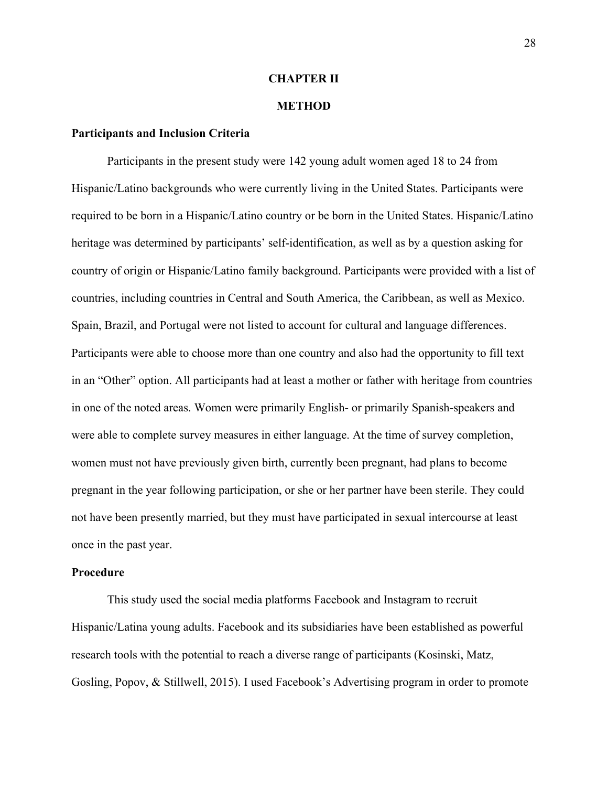### **CHAPTER II**

### **METHOD**

## **Participants and Inclusion Criteria**

Participants in the present study were 142 young adult women aged 18 to 24 from Hispanic/Latino backgrounds who were currently living in the United States. Participants were required to be born in a Hispanic/Latino country or be born in the United States. Hispanic/Latino heritage was determined by participants' self-identification, as well as by a question asking for country of origin or Hispanic/Latino family background. Participants were provided with a list of countries, including countries in Central and South America, the Caribbean, as well as Mexico. Spain, Brazil, and Portugal were not listed to account for cultural and language differences. Participants were able to choose more than one country and also had the opportunity to fill text in an "Other" option. All participants had at least a mother or father with heritage from countries in one of the noted areas. Women were primarily English- or primarily Spanish-speakers and were able to complete survey measures in either language. At the time of survey completion, women must not have previously given birth, currently been pregnant, had plans to become pregnant in the year following participation, or she or her partner have been sterile. They could not have been presently married, but they must have participated in sexual intercourse at least once in the past year.

#### **Procedure**

This study used the social media platforms Facebook and Instagram to recruit Hispanic/Latina young adults. Facebook and its subsidiaries have been established as powerful research tools with the potential to reach a diverse range of participants (Kosinski, Matz, Gosling, Popov, & Stillwell, 2015). I used Facebook's Advertising program in order to promote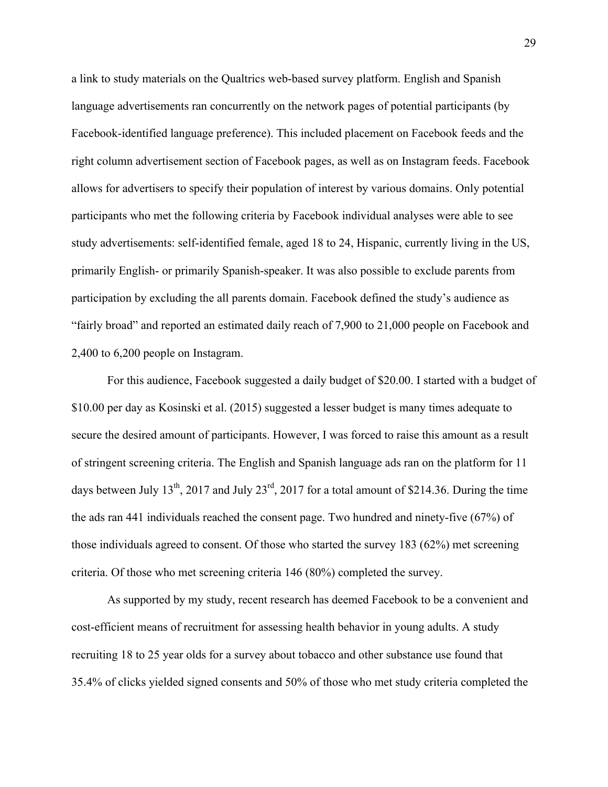a link to study materials on the Qualtrics web-based survey platform. English and Spanish language advertisements ran concurrently on the network pages of potential participants (by Facebook-identified language preference). This included placement on Facebook feeds and the right column advertisement section of Facebook pages, as well as on Instagram feeds. Facebook allows for advertisers to specify their population of interest by various domains. Only potential participants who met the following criteria by Facebook individual analyses were able to see study advertisements: self-identified female, aged 18 to 24, Hispanic, currently living in the US, primarily English- or primarily Spanish-speaker. It was also possible to exclude parents from participation by excluding the all parents domain. Facebook defined the study's audience as "fairly broad" and reported an estimated daily reach of 7,900 to 21,000 people on Facebook and 2,400 to 6,200 people on Instagram.

For this audience, Facebook suggested a daily budget of \$20.00. I started with a budget of \$10.00 per day as Kosinski et al. (2015) suggested a lesser budget is many times adequate to secure the desired amount of participants. However, I was forced to raise this amount as a result of stringent screening criteria. The English and Spanish language ads ran on the platform for 11 days between July 13<sup>th</sup>, 2017 and July 23<sup>rd</sup>, 2017 for a total amount of \$214.36. During the time the ads ran 441 individuals reached the consent page. Two hundred and ninety-five (67%) of those individuals agreed to consent. Of those who started the survey 183 (62%) met screening criteria. Of those who met screening criteria 146 (80%) completed the survey.

As supported by my study, recent research has deemed Facebook to be a convenient and cost-efficient means of recruitment for assessing health behavior in young adults. A study recruiting 18 to 25 year olds for a survey about tobacco and other substance use found that 35.4% of clicks yielded signed consents and 50% of those who met study criteria completed the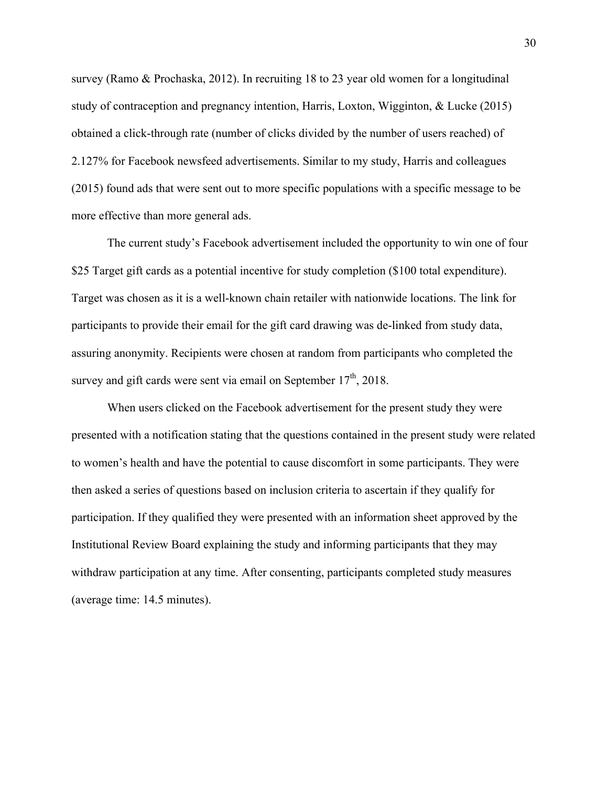survey (Ramo & Prochaska, 2012). In recruiting 18 to 23 year old women for a longitudinal study of contraception and pregnancy intention, Harris, Loxton, Wigginton, & Lucke (2015) obtained a click-through rate (number of clicks divided by the number of users reached) of 2.127% for Facebook newsfeed advertisements. Similar to my study, Harris and colleagues (2015) found ads that were sent out to more specific populations with a specific message to be more effective than more general ads.

The current study's Facebook advertisement included the opportunity to win one of four \$25 Target gift cards as a potential incentive for study completion (\$100 total expenditure). Target was chosen as it is a well-known chain retailer with nationwide locations. The link for participants to provide their email for the gift card drawing was de-linked from study data, assuring anonymity. Recipients were chosen at random from participants who completed the survey and gift cards were sent via email on September  $17<sup>th</sup>$ , 2018.

When users clicked on the Facebook advertisement for the present study they were presented with a notification stating that the questions contained in the present study were related to women's health and have the potential to cause discomfort in some participants. They were then asked a series of questions based on inclusion criteria to ascertain if they qualify for participation. If they qualified they were presented with an information sheet approved by the Institutional Review Board explaining the study and informing participants that they may withdraw participation at any time. After consenting, participants completed study measures (average time: 14.5 minutes).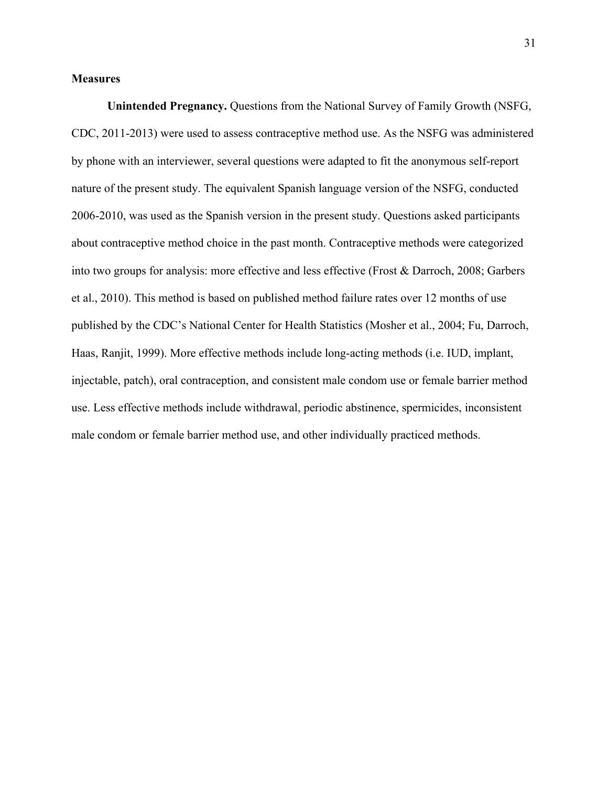## **Measures**

**Unintended Pregnancy.** Questions from the National Survey of Family Growth (NSFG, CDC, 2011-2013) were used to assess contraceptive method use. As the NSFG was administered by phone with an interviewer, several questions were adapted to fit the anonymous self-report nature of the present study. The equivalent Spanish language version of the NSFG, conducted 2006-2010, was used as the Spanish version in the present study. Questions asked participants about contraceptive method choice in the past month. Contraceptive methods were categorized into two groups for analysis: more effective and less effective (Frost & Darroch, 2008; Garbers et al., 2010). This method is based on published method failure rates over 12 months of use published by the CDC's National Center for Health Statistics (Mosher et al., 2004; Fu, Darroch, Haas, Ranjit, 1999). More effective methods include long-acting methods (i.e. IUD, implant, injectable, patch), oral contraception, and consistent male condom use or female barrier method use. Less effective methods include withdrawal, periodic abstinence, spermicides, inconsistent male condom or female barrier method use, and other individually practiced methods.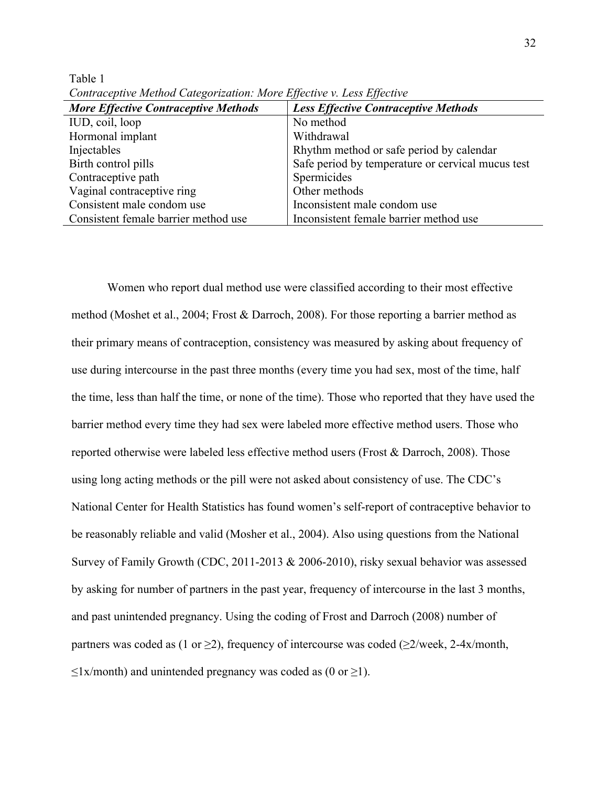|                                             | $-11 - -$                                         |
|---------------------------------------------|---------------------------------------------------|
| <b>More Effective Contraceptive Methods</b> | <b>Less Effective Contraceptive Methods</b>       |
| IUD, coil, loop                             | No method                                         |
| Hormonal implant                            | Withdrawal                                        |
| Injectables                                 | Rhythm method or safe period by calendar          |
| Birth control pills                         | Safe period by temperature or cervical mucus test |
| Contraceptive path                          | Spermicides                                       |
| Vaginal contraceptive ring                  | Other methods                                     |
| Consistent male condom use                  | Inconsistent male condom use                      |
| Consistent female barrier method use        | Inconsistent female barrier method use            |
|                                             |                                                   |

*Contraceptive Method Categorization: More Effective v. Less Effective*

Table 1

Women who report dual method use were classified according to their most effective method (Moshet et al., 2004; Frost & Darroch, 2008). For those reporting a barrier method as their primary means of contraception, consistency was measured by asking about frequency of use during intercourse in the past three months (every time you had sex, most of the time, half the time, less than half the time, or none of the time). Those who reported that they have used the barrier method every time they had sex were labeled more effective method users. Those who reported otherwise were labeled less effective method users (Frost & Darroch, 2008). Those using long acting methods or the pill were not asked about consistency of use. The CDC's National Center for Health Statistics has found women's self-report of contraceptive behavior to be reasonably reliable and valid (Mosher et al., 2004). Also using questions from the National Survey of Family Growth (CDC, 2011-2013 & 2006-2010), risky sexual behavior was assessed by asking for number of partners in the past year, frequency of intercourse in the last 3 months, and past unintended pregnancy. Using the coding of Frost and Darroch (2008) number of partners was coded as (1 or  $\geq$ 2), frequency of intercourse was coded ( $\geq$ 2/week, 2-4x/month,  $\leq$ 1x/month) and unintended pregnancy was coded as (0 or  $\geq$ 1).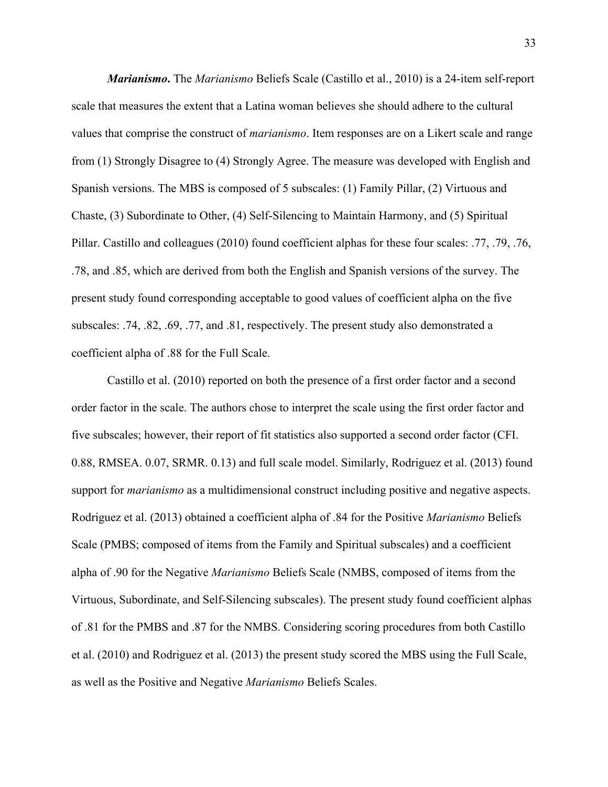*Marianismo***.** The *Marianismo* Beliefs Scale (Castillo et al., 2010) is a 24-item self-report scale that measures the extent that a Latina woman believes she should adhere to the cultural values that comprise the construct of *marianismo*. Item responses are on a Likert scale and range from (1) Strongly Disagree to (4) Strongly Agree. The measure was developed with English and Spanish versions. The MBS is composed of 5 subscales: (1) Family Pillar, (2) Virtuous and Chaste, (3) Subordinate to Other, (4) Self-Silencing to Maintain Harmony, and (5) Spiritual Pillar. Castillo and colleagues (2010) found coefficient alphas for these four scales: .77, .79, .76, .78, and .85, which are derived from both the English and Spanish versions of the survey. The present study found corresponding acceptable to good values of coefficient alpha on the five subscales: .74, .82, .69, .77, and .81, respectively. The present study also demonstrated a coefficient alpha of .88 for the Full Scale.

Castillo et al. (2010) reported on both the presence of a first order factor and a second order factor in the scale. The authors chose to interpret the scale using the first order factor and five subscales; however, their report of fit statistics also supported a second order factor (CFI. 0.88, RMSEA. 0.07, SRMR. 0.13) and full scale model. Similarly, Rodriguez et al. (2013) found support for *marianismo* as a multidimensional construct including positive and negative aspects. Rodriguez et al. (2013) obtained a coefficient alpha of .84 for the Positive *Marianismo* Beliefs Scale (PMBS; composed of items from the Family and Spiritual subscales) and a coefficient alpha of .90 for the Negative *Marianismo* Beliefs Scale (NMBS, composed of items from the Virtuous, Subordinate, and Self-Silencing subscales). The present study found coefficient alphas of .81 for the PMBS and .87 for the NMBS. Considering scoring procedures from both Castillo et al. (2010) and Rodriguez et al. (2013) the present study scored the MBS using the Full Scale, as well as the Positive and Negative *Marianismo* Beliefs Scales.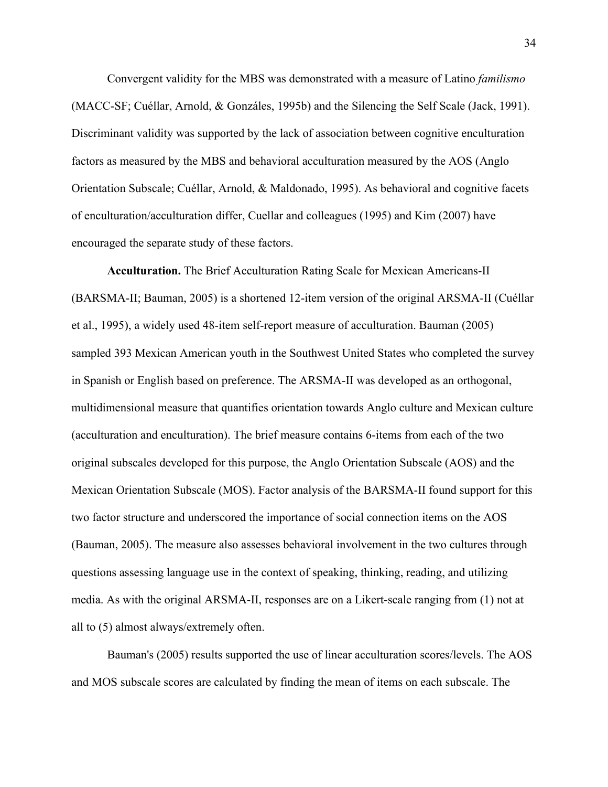Convergent validity for the MBS was demonstrated with a measure of Latino *familismo* (MACC-SF; Cuéllar, Arnold, & Gonzáles, 1995b) and the Silencing the Self Scale (Jack, 1991). Discriminant validity was supported by the lack of association between cognitive enculturation factors as measured by the MBS and behavioral acculturation measured by the AOS (Anglo Orientation Subscale; Cuéllar, Arnold, & Maldonado, 1995). As behavioral and cognitive facets of enculturation/acculturation differ, Cuellar and colleagues (1995) and Kim (2007) have encouraged the separate study of these factors.

**Acculturation.** The Brief Acculturation Rating Scale for Mexican Americans-II (BARSMA-II; Bauman, 2005) is a shortened 12-item version of the original ARSMA-II (Cuéllar et al., 1995), a widely used 48-item self-report measure of acculturation. Bauman (2005) sampled 393 Mexican American youth in the Southwest United States who completed the survey in Spanish or English based on preference. The ARSMA-II was developed as an orthogonal, multidimensional measure that quantifies orientation towards Anglo culture and Mexican culture (acculturation and enculturation). The brief measure contains 6-items from each of the two original subscales developed for this purpose, the Anglo Orientation Subscale (AOS) and the Mexican Orientation Subscale (MOS). Factor analysis of the BARSMA-II found support for this two factor structure and underscored the importance of social connection items on the AOS (Bauman, 2005). The measure also assesses behavioral involvement in the two cultures through questions assessing language use in the context of speaking, thinking, reading, and utilizing media. As with the original ARSMA-II, responses are on a Likert-scale ranging from (1) not at all to (5) almost always/extremely often.

 Bauman's (2005) results supported the use of linear acculturation scores/levels. The AOS and MOS subscale scores are calculated by finding the mean of items on each subscale. The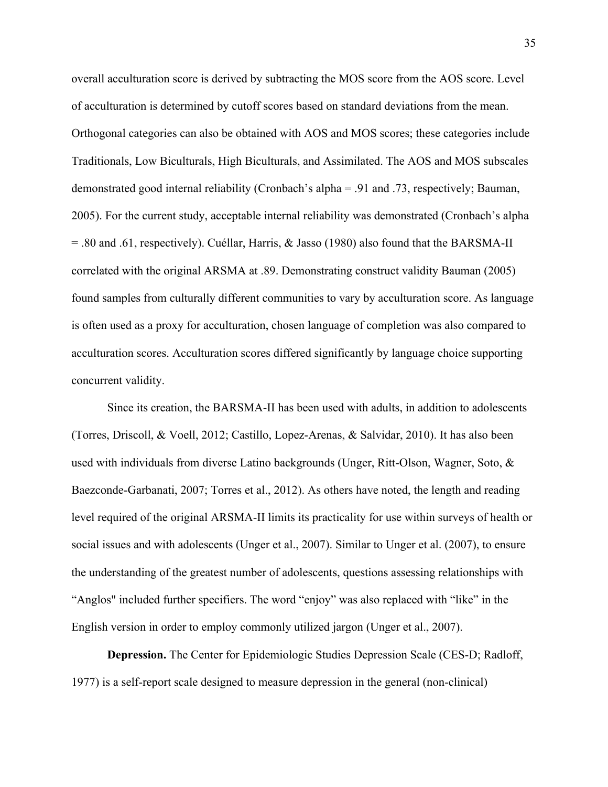overall acculturation score is derived by subtracting the MOS score from the AOS score. Level of acculturation is determined by cutoff scores based on standard deviations from the mean. Orthogonal categories can also be obtained with AOS and MOS scores; these categories include Traditionals, Low Biculturals, High Biculturals, and Assimilated. The AOS and MOS subscales demonstrated good internal reliability (Cronbach's alpha = .91 and .73, respectively; Bauman, 2005). For the current study, acceptable internal reliability was demonstrated (Cronbach's alpha = .80 and .61, respectively). Cuéllar, Harris, & Jasso (1980) also found that the BARSMA-II correlated with the original ARSMA at .89. Demonstrating construct validity Bauman (2005) found samples from culturally different communities to vary by acculturation score. As language is often used as a proxy for acculturation, chosen language of completion was also compared to acculturation scores. Acculturation scores differed significantly by language choice supporting concurrent validity.

 Since its creation, the BARSMA-II has been used with adults, in addition to adolescents (Torres, Driscoll, & Voell, 2012; Castillo, Lopez-Arenas, & Salvidar, 2010). It has also been used with individuals from diverse Latino backgrounds (Unger, Ritt-Olson, Wagner, Soto, & Baezconde-Garbanati, 2007; Torres et al., 2012). As others have noted, the length and reading level required of the original ARSMA-II limits its practicality for use within surveys of health or social issues and with adolescents (Unger et al., 2007). Similar to Unger et al. (2007), to ensure the understanding of the greatest number of adolescents, questions assessing relationships with "Anglos" included further specifiers. The word "enjoy" was also replaced with "like" in the English version in order to employ commonly utilized jargon (Unger et al., 2007).

**Depression.** The Center for Epidemiologic Studies Depression Scale (CES-D; Radloff, 1977) is a self-report scale designed to measure depression in the general (non-clinical)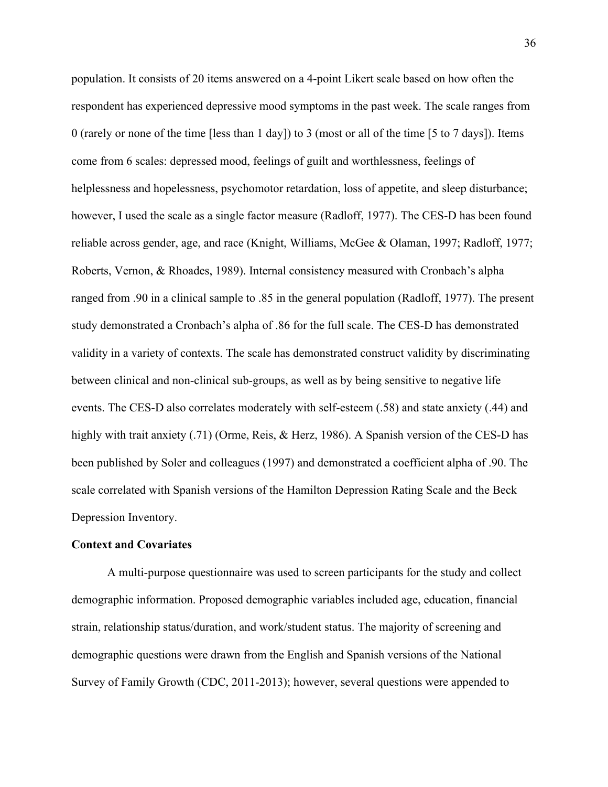population. It consists of 20 items answered on a 4-point Likert scale based on how often the respondent has experienced depressive mood symptoms in the past week. The scale ranges from 0 (rarely or none of the time [less than 1 day]) to 3 (most or all of the time [5 to 7 days]). Items come from 6 scales: depressed mood, feelings of guilt and worthlessness, feelings of helplessness and hopelessness, psychomotor retardation, loss of appetite, and sleep disturbance; however, I used the scale as a single factor measure (Radloff, 1977). The CES-D has been found reliable across gender, age, and race (Knight, Williams, McGee & Olaman, 1997; Radloff, 1977; Roberts, Vernon, & Rhoades, 1989). Internal consistency measured with Cronbach's alpha ranged from .90 in a clinical sample to .85 in the general population (Radloff, 1977). The present study demonstrated a Cronbach's alpha of .86 for the full scale. The CES-D has demonstrated validity in a variety of contexts. The scale has demonstrated construct validity by discriminating between clinical and non-clinical sub-groups, as well as by being sensitive to negative life events. The CES-D also correlates moderately with self-esteem (.58) and state anxiety (.44) and highly with trait anxiety (.71) (Orme, Reis, & Herz, 1986). A Spanish version of the CES-D has been published by Soler and colleagues (1997) and demonstrated a coefficient alpha of .90. The scale correlated with Spanish versions of the Hamilton Depression Rating Scale and the Beck Depression Inventory.

### **Context and Covariates**

A multi-purpose questionnaire was used to screen participants for the study and collect demographic information. Proposed demographic variables included age, education, financial strain, relationship status/duration, and work/student status. The majority of screening and demographic questions were drawn from the English and Spanish versions of the National Survey of Family Growth (CDC, 2011-2013); however, several questions were appended to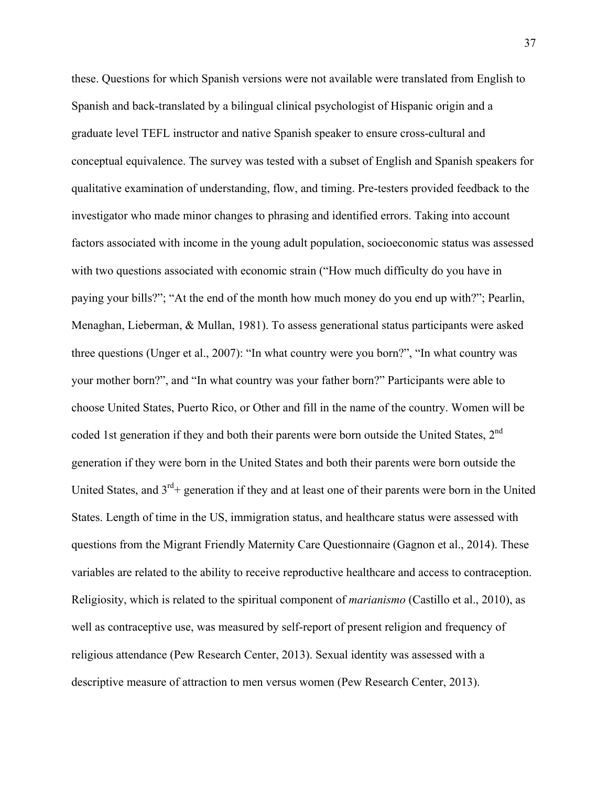these. Questions for which Spanish versions were not available were translated from English to Spanish and back-translated by a bilingual clinical psychologist of Hispanic origin and a graduate level TEFL instructor and native Spanish speaker to ensure cross-cultural and conceptual equivalence. The survey was tested with a subset of English and Spanish speakers for qualitative examination of understanding, flow, and timing. Pre-testers provided feedback to the investigator who made minor changes to phrasing and identified errors. Taking into account factors associated with income in the young adult population, socioeconomic status was assessed with two questions associated with economic strain ("How much difficulty do you have in paying your bills?"; "At the end of the month how much money do you end up with?"; Pearlin, Menaghan, Lieberman, & Mullan, 1981). To assess generational status participants were asked three questions (Unger et al., 2007): "In what country were you born?", "In what country was your mother born?", and "In what country was your father born?" Participants were able to choose United States, Puerto Rico, or Other and fill in the name of the country. Women will be coded 1st generation if they and both their parents were born outside the United States,  $2<sup>nd</sup>$ generation if they were born in the United States and both their parents were born outside the United States, and  $3^{rd}$ + generation if they and at least one of their parents were born in the United States. Length of time in the US, immigration status, and healthcare status were assessed with questions from the Migrant Friendly Maternity Care Questionnaire (Gagnon et al., 2014). These variables are related to the ability to receive reproductive healthcare and access to contraception. Religiosity, which is related to the spiritual component of *marianismo* (Castillo et al., 2010), as well as contraceptive use, was measured by self-report of present religion and frequency of religious attendance (Pew Research Center, 2013). Sexual identity was assessed with a descriptive measure of attraction to men versus women (Pew Research Center, 2013).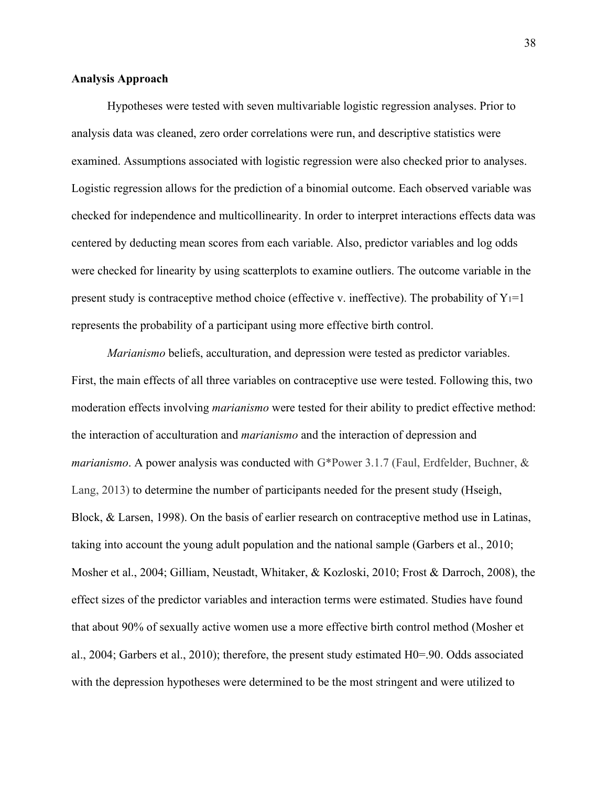### **Analysis Approach**

Hypotheses were tested with seven multivariable logistic regression analyses. Prior to analysis data was cleaned, zero order correlations were run, and descriptive statistics were examined. Assumptions associated with logistic regression were also checked prior to analyses. Logistic regression allows for the prediction of a binomial outcome. Each observed variable was checked for independence and multicollinearity. In order to interpret interactions effects data was centered by deducting mean scores from each variable. Also, predictor variables and log odds were checked for linearity by using scatterplots to examine outliers. The outcome variable in the present study is contraceptive method choice (effective v. ineffective). The probability of  $Y_1=1$ represents the probability of a participant using more effective birth control.

*Marianismo* beliefs, acculturation, and depression were tested as predictor variables. First, the main effects of all three variables on contraceptive use were tested. Following this, two moderation effects involving *marianismo* were tested for their ability to predict effective method: the interaction of acculturation and *marianismo* and the interaction of depression and *marianismo*. A power analysis was conducted with G\*Power 3.1.7 (Faul, Erdfelder, Buchner, & Lang, 2013) to determine the number of participants needed for the present study (Hseigh, Block, & Larsen, 1998). On the basis of earlier research on contraceptive method use in Latinas, taking into account the young adult population and the national sample (Garbers et al., 2010; Mosher et al., 2004; Gilliam, Neustadt, Whitaker, & Kozloski, 2010; Frost & Darroch, 2008), the effect sizes of the predictor variables and interaction terms were estimated. Studies have found that about 90% of sexually active women use a more effective birth control method (Mosher et al., 2004; Garbers et al., 2010); therefore, the present study estimated H0=.90. Odds associated with the depression hypotheses were determined to be the most stringent and were utilized to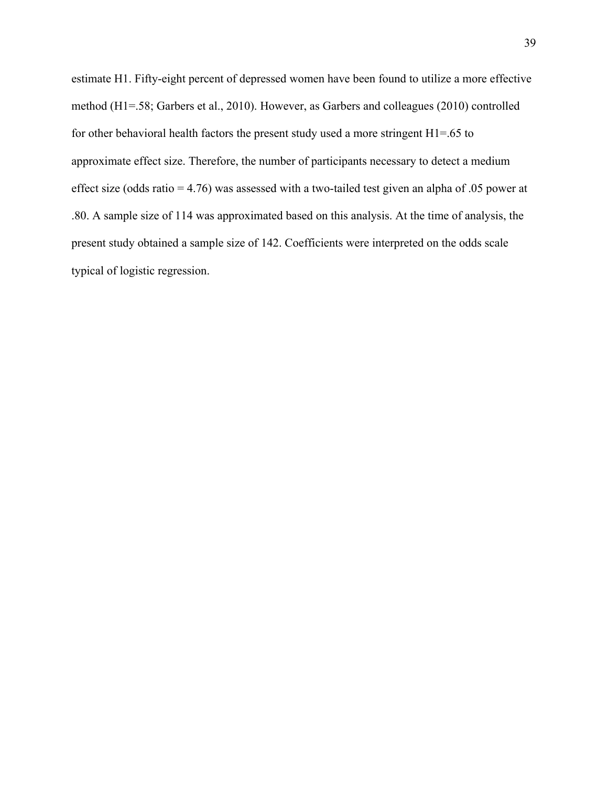estimate H1. Fifty-eight percent of depressed women have been found to utilize a more effective method (H1=.58; Garbers et al., 2010). However, as Garbers and colleagues (2010) controlled for other behavioral health factors the present study used a more stringent H1=.65 to approximate effect size. Therefore, the number of participants necessary to detect a medium effect size (odds ratio = 4.76) was assessed with a two-tailed test given an alpha of .05 power at .80. A sample size of 114 was approximated based on this analysis. At the time of analysis, the present study obtained a sample size of 142. Coefficients were interpreted on the odds scale typical of logistic regression.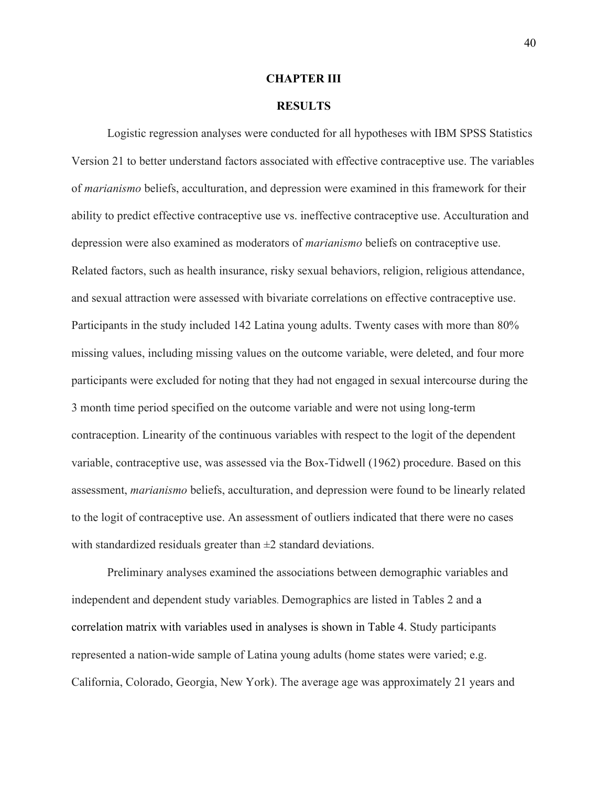#### **CHAPTER III**

# **RESULTS**

Logistic regression analyses were conducted for all hypotheses with IBM SPSS Statistics Version 21 to better understand factors associated with effective contraceptive use. The variables of *marianismo* beliefs, acculturation, and depression were examined in this framework for their ability to predict effective contraceptive use vs. ineffective contraceptive use. Acculturation and depression were also examined as moderators of *marianismo* beliefs on contraceptive use. Related factors, such as health insurance, risky sexual behaviors, religion, religious attendance, and sexual attraction were assessed with bivariate correlations on effective contraceptive use. Participants in the study included 142 Latina young adults. Twenty cases with more than 80% missing values, including missing values on the outcome variable, were deleted, and four more participants were excluded for noting that they had not engaged in sexual intercourse during the 3 month time period specified on the outcome variable and were not using long-term contraception. Linearity of the continuous variables with respect to the logit of the dependent variable, contraceptive use, was assessed via the Box-Tidwell (1962) procedure. Based on this assessment, *marianismo* beliefs, acculturation, and depression were found to be linearly related to the logit of contraceptive use. An assessment of outliers indicated that there were no cases with standardized residuals greater than  $\pm 2$  standard deviations.

Preliminary analyses examined the associations between demographic variables and independent and dependent study variables. Demographics are listed in Tables 2 and a correlation matrix with variables used in analyses is shown in Table 4. Study participants represented a nation-wide sample of Latina young adults (home states were varied; e.g. California, Colorado, Georgia, New York). The average age was approximately 21 years and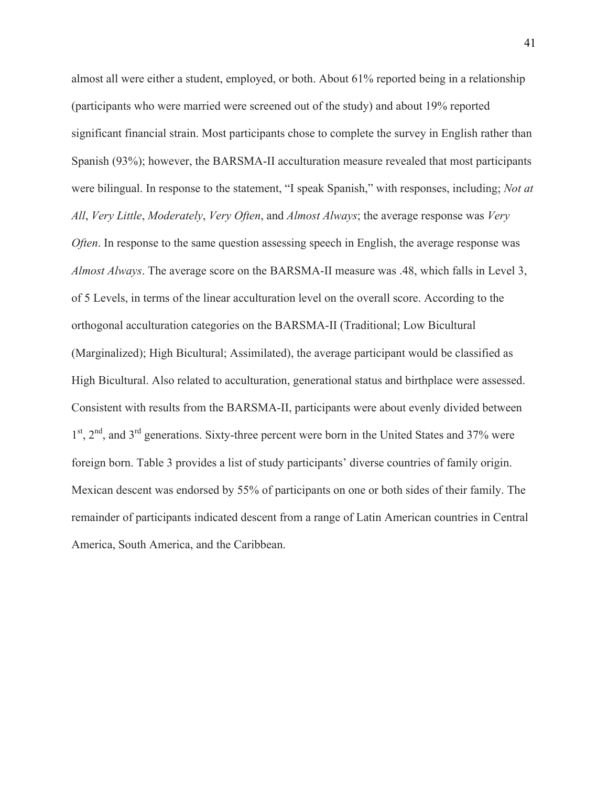almost all were either a student, employed, or both. About 61% reported being in a relationship (participants who were married were screened out of the study) and about 19% reported significant financial strain. Most participants chose to complete the survey in English rather than Spanish (93%); however, the BARSMA-II acculturation measure revealed that most participants were bilingual. In response to the statement, "I speak Spanish," with responses, including; *Not at All*, *Very Little*, *Moderately*, *Very Often*, and *Almost Always*; the average response was *Very Often*. In response to the same question assessing speech in English, the average response was *Almost Always*. The average score on the BARSMA-II measure was .48, which falls in Level 3, of 5 Levels, in terms of the linear acculturation level on the overall score. According to the orthogonal acculturation categories on the BARSMA-II (Traditional; Low Bicultural (Marginalized); High Bicultural; Assimilated), the average participant would be classified as High Bicultural. Also related to acculturation, generational status and birthplace were assessed. Consistent with results from the BARSMA-II, participants were about evenly divided between 1<sup>st</sup>, 2<sup>nd</sup>, and 3<sup>rd</sup> generations. Sixty-three percent were born in the United States and 37% were foreign born. Table 3 provides a list of study participants' diverse countries of family origin. Mexican descent was endorsed by 55% of participants on one or both sides of their family. The remainder of participants indicated descent from a range of Latin American countries in Central America, South America, and the Caribbean.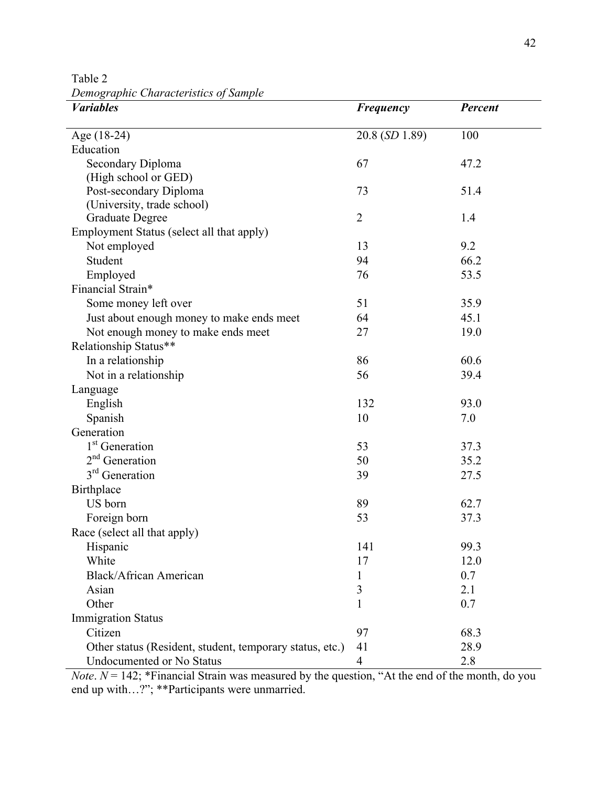Table 2 *Demographic Characteristics of Sample* 

| $\cdots$<br><b><i>Variables</i></b>                      | Frequency      | Percent |
|----------------------------------------------------------|----------------|---------|
| Age (18-24)                                              | 20.8 (SD 1.89) | 100     |
| Education                                                |                |         |
| Secondary Diploma                                        | 67             | 47.2    |
| (High school or GED)                                     |                |         |
| Post-secondary Diploma                                   | 73             | 51.4    |
| (University, trade school)                               |                |         |
| <b>Graduate Degree</b>                                   | $\overline{2}$ | 1.4     |
| Employment Status (select all that apply)                |                |         |
| Not employed                                             | 13             | 9.2     |
| Student                                                  | 94             | 66.2    |
| Employed                                                 | 76             | 53.5    |
| Financial Strain*                                        |                |         |
| Some money left over                                     | 51             | 35.9    |
| Just about enough money to make ends meet                | 64             | 45.1    |
| Not enough money to make ends meet                       | 27             | 19.0    |
| Relationship Status**                                    |                |         |
| In a relationship                                        | 86             | 60.6    |
| Not in a relationship                                    | 56             | 39.4    |
| Language                                                 |                |         |
| English                                                  | 132            | 93.0    |
| Spanish                                                  | 10             | 7.0     |
| Generation                                               |                |         |
| 1 <sup>st</sup> Generation                               | 53             | 37.3    |
| $2nd$ Generation                                         | 50             | 35.2    |
| 3 <sup>rd</sup> Generation                               | 39             | 27.5    |
| <b>Birthplace</b>                                        |                |         |
| US born                                                  | 89             | 62.7    |
| Foreign born                                             | 53             | 37.3    |
| Race (select all that apply)                             |                |         |
| Hispanic                                                 | 141            | 99.3    |
| White                                                    | 17             | 12.0    |
| Black/African American                                   | 1              | 0.7     |
| Asian                                                    | $\mathfrak{Z}$ | 2.1     |
| Other                                                    | 1              | 0.7     |
| <b>Immigration Status</b>                                |                |         |
| Citizen                                                  | 97             | 68.3    |
| Other status (Resident, student, temporary status, etc.) | 41             | 28.9    |
| Undocumented or No Status                                | $\overline{4}$ | 2.8     |

*Note*.  $N = 142$ ; \*Financial Strain was measured by the question, "At the end of the month, do you end up with…?"; \*\*Participants were unmarried.  $N$ ote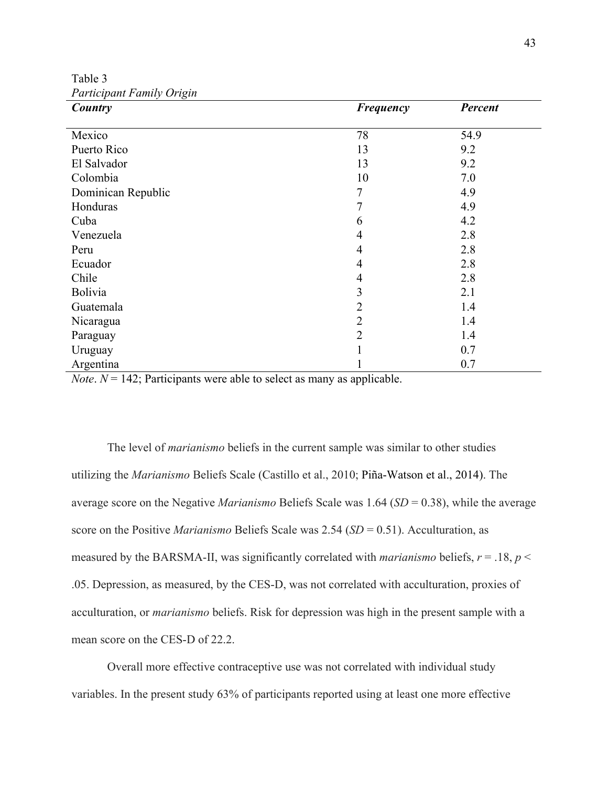Table 3 *Participant Family Origin*

| Country            | <b>Frequency</b> | Percent |
|--------------------|------------------|---------|
|                    |                  |         |
| Mexico             | 78               | 54.9    |
| Puerto Rico        | 13               | 9.2     |
| El Salvador        | 13               | 9.2     |
| Colombia           | 10               | 7.0     |
| Dominican Republic | 7                | 4.9     |
| Honduras           | 7                | 4.9     |
| Cuba               | 6                | 4.2     |
| Venezuela          | 4                | 2.8     |
| Peru               | $\overline{4}$   | 2.8     |
| Ecuador            | $\overline{4}$   | 2.8     |
| Chile              | $\overline{4}$   | 2.8     |
| <b>Bolivia</b>     | 3                | 2.1     |
| Guatemala          | $\overline{2}$   | 1.4     |
| Nicaragua          | $\overline{2}$   | 1.4     |
| Paraguay           | $\overline{2}$   | 1.4     |
| Uruguay            |                  | 0.7     |
| Argentina          |                  | 0.7     |

*Note*.  $N = 142$ ; Participants were able to select as many as applicable.

The level of *marianismo* beliefs in the current sample was similar to other studies utilizing the *Marianismo* Beliefs Scale (Castillo et al., 2010; Piña-Watson et al., 2014). The average score on the Negative *Marianismo* Beliefs Scale was 1.64 (*SD* = 0.38), while the average score on the Positive *Marianismo* Beliefs Scale was 2.54 (*SD* = 0.51). Acculturation, as measured by the BARSMA-II, was significantly correlated with *marianismo* beliefs,  $r = .18$ ,  $p <$ .05. Depression, as measured, by the CES-D, was not correlated with acculturation, proxies of acculturation, or *marianismo* beliefs. Risk for depression was high in the present sample with a mean score on the CES-D of 22.2.

Overall more effective contraceptive use was not correlated with individual study variables. In the present study 63% of participants reported using at least one more effective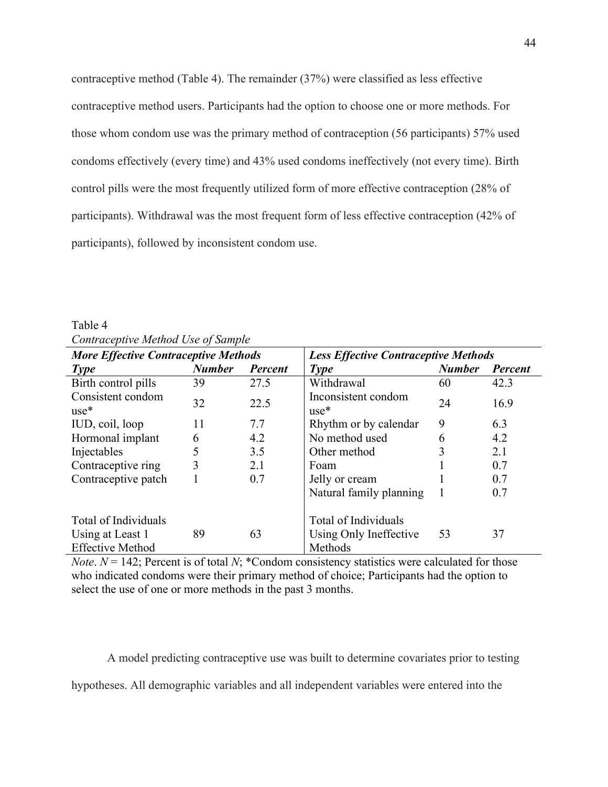contraceptive method (Table 4). The remainder (37%) were classified as less effective contraceptive method users. Participants had the option to choose one or more methods. For those whom condom use was the primary method of contraception (56 participants) 57% used condoms effectively (every time) and 43% used condoms ineffectively (not every time). Birth control pills were the most frequently utilized form of more effective contraception (28% of participants). Withdrawal was the most frequent form of less effective contraception (42% of participants), followed by inconsistent condom use.

| <b>More Effective Contraceptive Methods</b> |               |         | <b>Less Effective Contraceptive Methods</b> |               |         |  |  |  |  |
|---------------------------------------------|---------------|---------|---------------------------------------------|---------------|---------|--|--|--|--|
| <b>Type</b>                                 | <b>Number</b> | Percent | <b>Type</b>                                 | <b>Number</b> | Percent |  |  |  |  |
| Birth control pills                         | 39            | 27.5    | Withdrawal                                  | 60            | 42.3    |  |  |  |  |
| Consistent condom<br>$use*$                 | 32            | 22.5    | Inconsistent condom<br>$use*$               | 24            | 16.9    |  |  |  |  |
| IUD, coil, loop                             | 11            | 7.7     | Rhythm or by calendar                       | 9             | 6.3     |  |  |  |  |
| Hormonal implant                            | 6             | 4.2     | No method used                              | 6             | 4.2     |  |  |  |  |
| Injectables                                 | 5             | 3.5     | Other method                                |               | 2.1     |  |  |  |  |
| Contraceptive ring                          | 3             | 2.1     | Foam                                        |               | 0.7     |  |  |  |  |
| Contraceptive patch                         |               | 0.7     | Jelly or cream                              |               | 0.7     |  |  |  |  |
|                                             |               |         | Natural family planning                     |               | 0.7     |  |  |  |  |
| Total of Individuals                        |               |         | Total of Individuals                        |               |         |  |  |  |  |
| Using at Least 1<br><b>Effective Method</b> | 89            | 63      | Using Only Ineffective<br>Methods           | 53            | 37      |  |  |  |  |

Table 4 *Contraceptive Method Use of Sample*

*Note*.  $N = 142$ ; Percent is of total *N*; \*Condom consistency statistics were calculated for those who indicated condoms were their primary method of choice; Participants had the option to select the use of one or more methods in the past 3 months.

A model predicting contraceptive use was built to determine covariates prior to testing hypotheses. All demographic variables and all independent variables were entered into the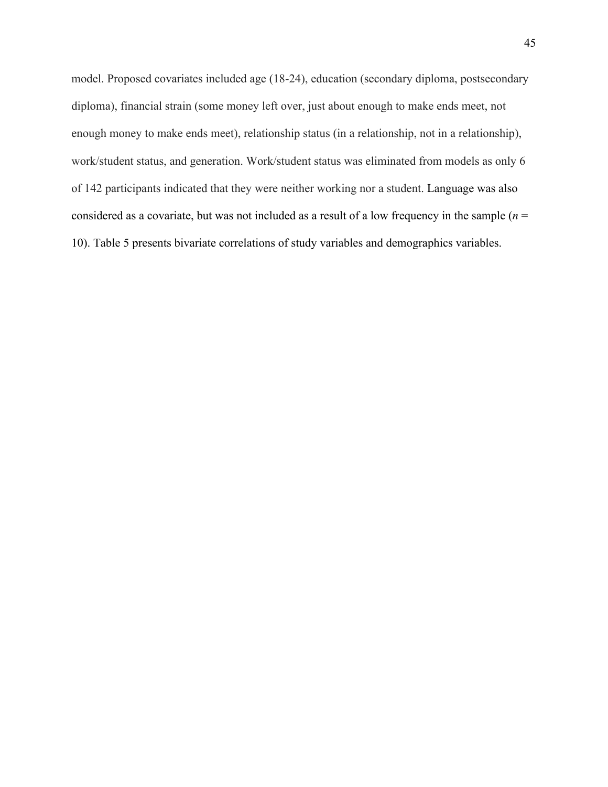model. Proposed covariates included age (18-24), education (secondary diploma, postsecondary diploma), financial strain (some money left over, just about enough to make ends meet, not enough money to make ends meet), relationship status (in a relationship, not in a relationship), work/student status, and generation. Work/student status was eliminated from models as only 6 of 142 participants indicated that they were neither working nor a student. Language was also considered as a covariate, but was not included as a result of a low frequency in the sample (*n* = 10). Table 5 presents bivariate correlations of study variables and demographics variables.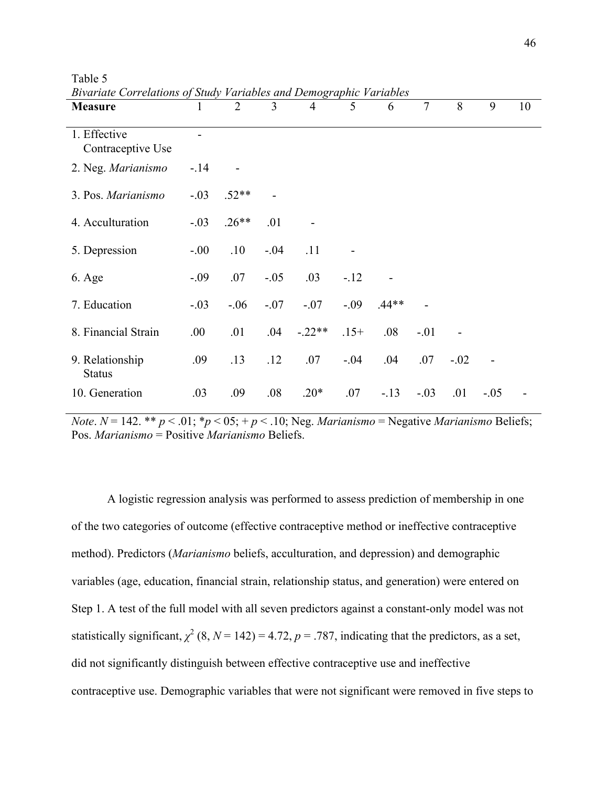| <b>Measure</b>                    |         | $\overline{2}$ | 3      | $\overline{4}$ | 5       | 6       | $\overline{7}$ | 8      | 9      | 10 |
|-----------------------------------|---------|----------------|--------|----------------|---------|---------|----------------|--------|--------|----|
| 1. Effective<br>Contraceptive Use |         |                |        |                |         |         |                |        |        |    |
| 2. Neg. Marianismo                | $-.14$  |                |        |                |         |         |                |        |        |    |
| 3. Pos. Marianismo                | $-.03$  | $.52**$        |        |                |         |         |                |        |        |    |
| 4. Acculturation                  | $-.03$  | $.26**$        | .01    |                |         |         |                |        |        |    |
| 5. Depression                     | $-0.00$ | .10            | $-.04$ | .11            |         |         |                |        |        |    |
| 6. Age                            | $-0.09$ | .07            | $-.05$ | .03            | $-12$   |         |                |        |        |    |
| 7. Education                      | $-.03$  | $-.06$         | $-.07$ | $-.07$         | $-.09$  | $.44**$ |                |        |        |    |
| 8. Financial Strain               | .00.    | .01            | .04    | $-.22**$       | $.15+$  | .08     | $-.01$         |        |        |    |
| 9. Relationship<br><b>Status</b>  | .09     | .13            | .12    | .07            | $-0.04$ | .04     | .07            | $-.02$ |        |    |
| 10. Generation                    | .03     | .09            | .08    | $.20*$         | .07     | $-13$   | $-.03$         | .01    | $-.05$ |    |

Table 5 *Bivariate Correlations of Study Variables and Demographic Variables*

*Note*.  $N = 142.$  \*\*  $p < .01$ ;  $p < .05$ ;  $+ p < .10$ ; Neg. *Marianismo* = Negative *Marianismo* Beliefs; Pos. *Marianismo* = Positive *Marianismo* Beliefs.

A logistic regression analysis was performed to assess prediction of membership in one of the two categories of outcome (effective contraceptive method or ineffective contraceptive method). Predictors (*Marianismo* beliefs, acculturation, and depression) and demographic variables (age, education, financial strain, relationship status, and generation) were entered on Step 1. A test of the full model with all seven predictors against a constant-only model was not statistically significant,  $\chi^2$  (8, *N* = 142) = 4.72, *p* = .787, indicating that the predictors, as a set, did not significantly distinguish between effective contraceptive use and ineffective contraceptive use. Demographic variables that were not significant were removed in five steps to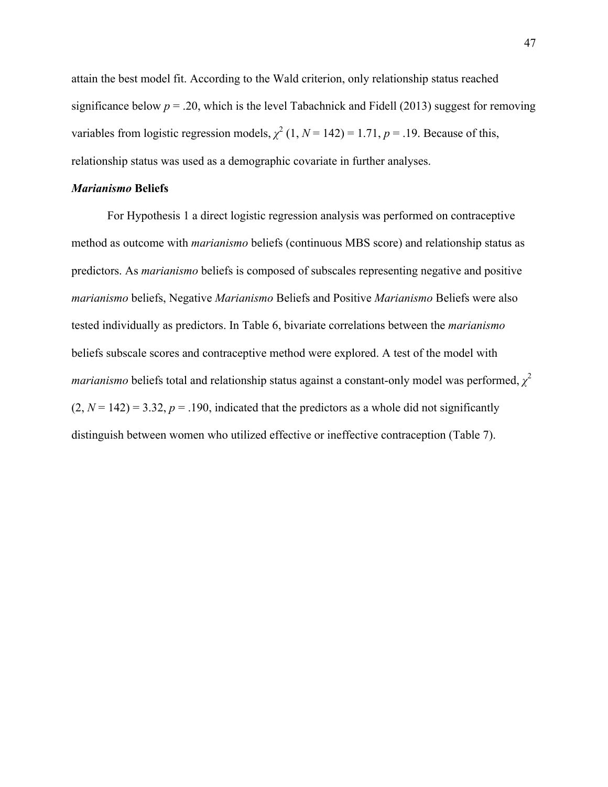attain the best model fit. According to the Wald criterion, only relationship status reached significance below  $p = 0.20$ , which is the level Tabachnick and Fidell (2013) suggest for removing variables from logistic regression models,  $\chi^2$  (1, *N* = 142) = 1.71, *p* = .19. Because of this, relationship status was used as a demographic covariate in further analyses.

## *Marianismo* **Beliefs**

For Hypothesis 1 a direct logistic regression analysis was performed on contraceptive method as outcome with *marianismo* beliefs (continuous MBS score) and relationship status as predictors. As *marianismo* beliefs is composed of subscales representing negative and positive *marianismo* beliefs, Negative *Marianismo* Beliefs and Positive *Marianismo* Beliefs were also tested individually as predictors. In Table 6, bivariate correlations between the *marianismo* beliefs subscale scores and contraceptive method were explored. A test of the model with *marianismo* beliefs total and relationship status against a constant-only model was performed, *χ* 2  $(2, N = 142) = 3.32, p = .190$ , indicated that the predictors as a whole did not significantly distinguish between women who utilized effective or ineffective contraception (Table 7).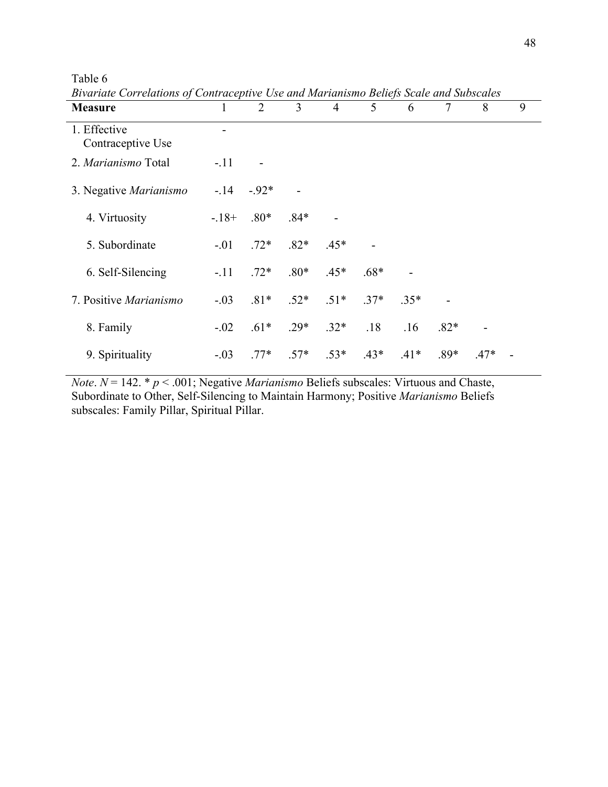| <b>Measure</b>                    | 1      | $\overline{2}$ | $\overline{3}$ | $\overline{4}$ | 5      | 6      | $\tau$ | 8                        | 9 |  |
|-----------------------------------|--------|----------------|----------------|----------------|--------|--------|--------|--------------------------|---|--|
| 1. Effective<br>Contraceptive Use |        |                |                |                |        |        |        |                          |   |  |
| 2. Marianismo Total               | $-.11$ |                |                |                |        |        |        |                          |   |  |
| 3. Negative Marianismo            | $-14$  | $-92*$         |                |                |        |        |        |                          |   |  |
| 4. Virtuosity                     | $-18+$ | $.80*$         | $.84*$         |                |        |        |        |                          |   |  |
| 5. Subordinate                    | $-.01$ | $.72*$         | $.82*$         | $.45*$         |        |        |        |                          |   |  |
| 6. Self-Silencing                 | $-.11$ | $.72*$         | $.80*$         | $.45*$         | $.68*$ |        |        |                          |   |  |
| 7. Positive Marianismo            | $-.03$ | $.81*$         | $.52*$         | $.51*$         | $.37*$ | $35*$  |        |                          |   |  |
| 8. Family                         | $-.02$ | $.61*$         | $.29*$         | $.32*$         | .18    | .16    | $.82*$ | $\overline{\phantom{a}}$ |   |  |
| 9. Spirituality                   | $-.03$ | $.77*$         | $.57*$         | $.53*$         | $.43*$ | $.41*$ | $.89*$ | $.47*$                   |   |  |

*Bivariate Correlations of Contraceptive Use and Marianismo Beliefs Scale and Subscales*

Table 6

*Note*.  $N = 142.$  *\* p* < .001; Negative *Marianismo* Beliefs subscales: Virtuous and Chaste, Subordinate to Other, Self-Silencing to Maintain Harmony; Positive *Marianismo* Beliefs subscales: Family Pillar, Spiritual Pillar.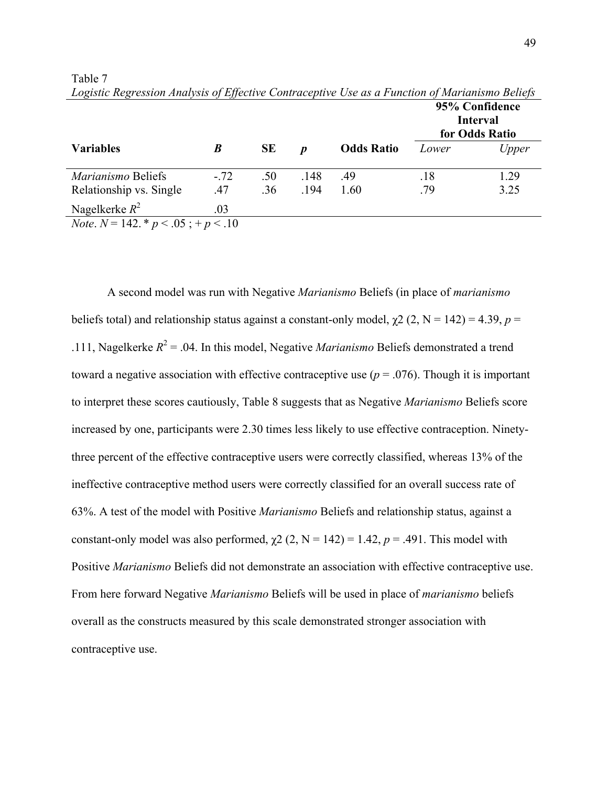|                                                |        |           |      |                   | 95% Confidence<br><b>Interval</b><br>for Odds Ratio |       |  |
|------------------------------------------------|--------|-----------|------|-------------------|-----------------------------------------------------|-------|--|
| <b>Variables</b>                               | B      | <b>SE</b> | D    | <b>Odds Ratio</b> | Lower                                               | Upper |  |
| Marianismo Beliefs                             | $-.72$ | .50       | .148 | .49               | .18                                                 | 1.29  |  |
| Relationship vs. Single                        | .47    | .36       | .194 | 1.60              | .79                                                 | 3.25  |  |
| Nagelkerke $R^2$                               | .03    |           |      |                   |                                                     |       |  |
| <i>Note</i> . $N = 142. * p < .05 ; + p < .10$ |        |           |      |                   |                                                     |       |  |

Table 7 *Logistic Regression Analysis of Effective Contraceptive Use as a Function of Marianismo Beliefs*

A second model was run with Negative *Marianismo* Beliefs (in place of *marianismo* beliefs total) and relationship status against a constant-only model,  $\chi^2$  (2, N = 142) = 4.39, *p* = .111, Nagelkerke  $R^2 = 0.04$ . In this model, Negative *Marianismo* Beliefs demonstrated a trend toward a negative association with effective contraceptive use  $(p = .076)$ . Though it is important to interpret these scores cautiously, Table 8 suggests that as Negative *Marianismo* Beliefs score increased by one, participants were 2.30 times less likely to use effective contraception. Ninetythree percent of the effective contraceptive users were correctly classified, whereas 13% of the ineffective contraceptive method users were correctly classified for an overall success rate of 63%. A test of the model with Positive *Marianismo* Beliefs and relationship status, against a constant-only model was also performed,  $\chi$ 2 (2, N = 142) = 1.42, p = .491. This model with Positive *Marianismo* Beliefs did not demonstrate an association with effective contraceptive use. From here forward Negative *Marianismo* Beliefs will be used in place of *marianismo* beliefs overall as the constructs measured by this scale demonstrated stronger association with contraceptive use.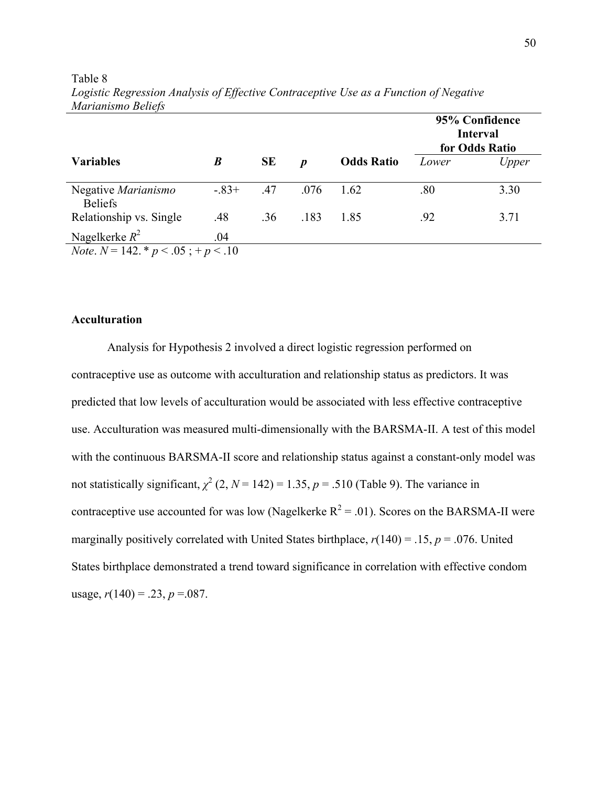|                                                                     |         |           |                  |                   | 95% Confidence<br><b>Interval</b><br>for Odds Ratio |       |  |
|---------------------------------------------------------------------|---------|-----------|------------------|-------------------|-----------------------------------------------------|-------|--|
| <b>Variables</b>                                                    | B       | <b>SE</b> | $\boldsymbol{p}$ | <b>Odds Ratio</b> | Lower                                               | Upper |  |
| Negative Marianismo<br><b>Beliefs</b>                               | $-.83+$ | .47       | .076             | 1.62              | .80                                                 | 3.30  |  |
| Relationship vs. Single                                             | .48     | .36       | .183             | 1.85              | .92                                                 | 3.71  |  |
| Nagelkerke $R^2$<br><i>Note.</i> $N = 142. * p < .05$ ; + $p < .10$ | .04     |           |                  |                   |                                                     |       |  |

Table 8 *Logistic Regression Analysis of Effective Contraceptive Use as a Function of Negative Marianismo Beliefs*

# **Acculturation**

Analysis for Hypothesis 2 involved a direct logistic regression performed on contraceptive use as outcome with acculturation and relationship status as predictors. It was predicted that low levels of acculturation would be associated with less effective contraceptive use. Acculturation was measured multi-dimensionally with the BARSMA-II. A test of this model with the continuous BARSMA-II score and relationship status against a constant-only model was not statistically significant,  $\chi^2$  (2,  $N = 142$ ) = 1.35,  $p = .510$  (Table 9). The variance in contraceptive use accounted for was low (Nagelkerke  $R^2 = .01$ ). Scores on the BARSMA-II were marginally positively correlated with United States birthplace,  $r(140) = .15$ ,  $p = .076$ . United States birthplace demonstrated a trend toward significance in correlation with effective condom usage,  $r(140) = .23$ ,  $p = .087$ .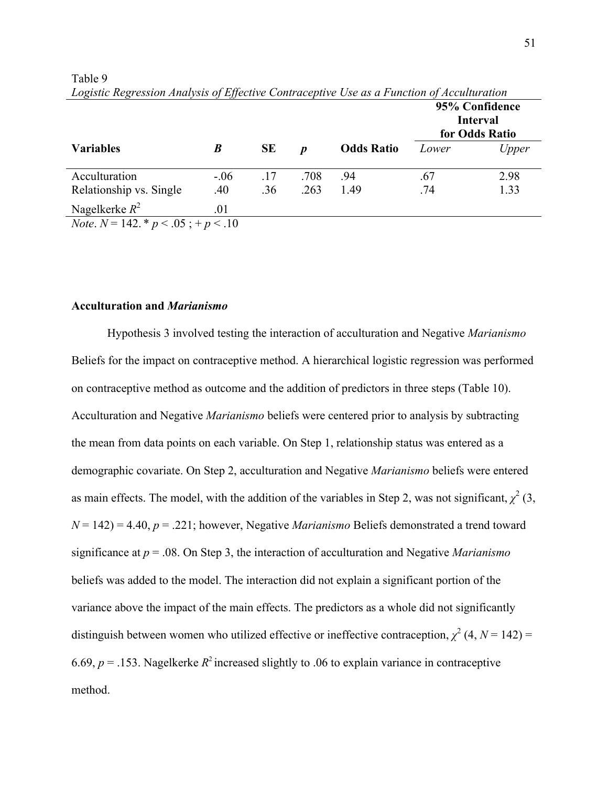|                                                            |        |           |                  |                   | 95% Confidence<br><b>Interval</b><br>for Odds Ratio |       |  |  |
|------------------------------------------------------------|--------|-----------|------------------|-------------------|-----------------------------------------------------|-------|--|--|
| <b>Variables</b>                                           | B      | <b>SE</b> | $\boldsymbol{n}$ | <b>Odds Ratio</b> | Lower                                               | Upper |  |  |
| Acculturation                                              | $-.06$ | .17       | .708             | .94               | .67                                                 | 2.98  |  |  |
| Relationship vs. Single                                    | .40    | .36       | .263             | 1.49              | .74                                                 | 1.33  |  |  |
| Nagelkerke $R^2$                                           | .01    |           |                  |                   |                                                     |       |  |  |
| $N_{\text{obs}}$ $N = 142$ * $n \times 05$ $+ n \times 10$ |        |           |                  |                   |                                                     |       |  |  |

Table 9 *Logistic Regression Analysis of Effective Contraceptive Use as a Function of Acculturation*

*Note*.  $N = 142. * p < .05 ; + p < .10$ 

# **Acculturation and** *Marianismo*

Hypothesis 3 involved testing the interaction of acculturation and Negative *Marianismo* Beliefs for the impact on contraceptive method. A hierarchical logistic regression was performed on contraceptive method as outcome and the addition of predictors in three steps (Table 10). Acculturation and Negative *Marianismo* beliefs were centered prior to analysis by subtracting the mean from data points on each variable. On Step 1, relationship status was entered as a demographic covariate. On Step 2, acculturation and Negative *Marianismo* beliefs were entered as main effects. The model, with the addition of the variables in Step 2, was not significant,  $\chi^2$  (3, *N* = 142) = 4.40, *p* = .221; however, Negative *Marianismo* Beliefs demonstrated a trend toward significance at *p* = .08. On Step 3, the interaction of acculturation and Negative *Marianismo* beliefs was added to the model. The interaction did not explain a significant portion of the variance above the impact of the main effects. The predictors as a whole did not significantly distinguish between women who utilized effective or ineffective contraception,  $\chi^2$  (4, *N* = 142) = 6.69,  $p = 0.153$ . Nagelkerke  $R^2$  increased slightly to 0.06 to explain variance in contraceptive method.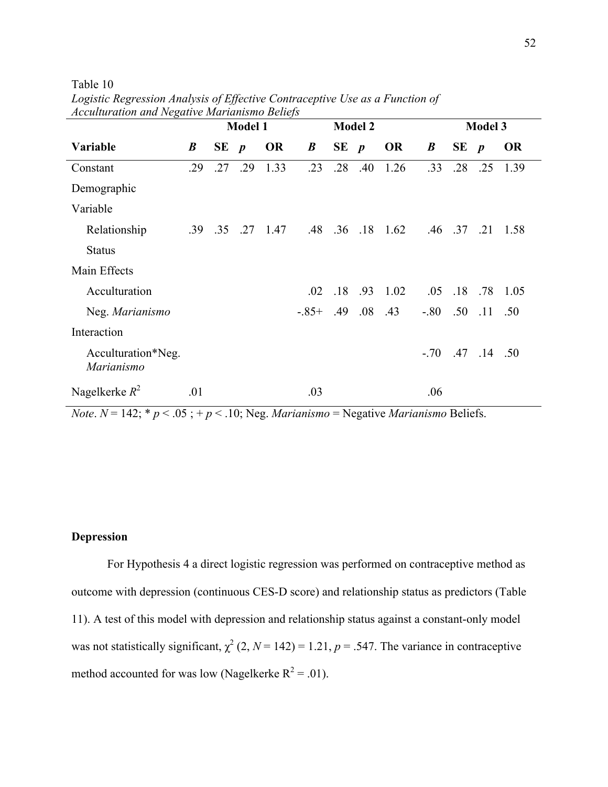Table 10

| recummenton ana regame manusino Benejo |                  | <b>Model 1</b> |     |            |                  | <b>Model 2</b> |             |                          |                      | <b>Model 3</b> |     |                          |
|----------------------------------------|------------------|----------------|-----|------------|------------------|----------------|-------------|--------------------------|----------------------|----------------|-----|--------------------------|
| Variable                               | $\boldsymbol{B}$ | $SE$ $p$       |     | <b>OR</b>  | $\boldsymbol{B}$ | $SE$ $p$       |             | <b>OR</b>                | $\boldsymbol{B}$     | $SE$ $p$       |     | <b>OR</b>                |
| Constant                               | .29              | .27            | .29 | 1.33       | .23              |                | $.28$ $.40$ | 1.26                     | .33                  | .28            | .25 | 1.39                     |
| Demographic                            |                  |                |     |            |                  |                |             |                          |                      |                |     |                          |
| Variable                               |                  |                |     |            |                  |                |             |                          |                      |                |     |                          |
| Relationship                           | .39              | .35            |     | $.27$ 1.47 |                  |                |             | $.48$ $.36$ $.18$ $1.62$ |                      |                |     | $.46$ $.37$ $.21$ $1.58$ |
| <b>Status</b>                          |                  |                |     |            |                  |                |             |                          |                      |                |     |                          |
| Main Effects                           |                  |                |     |            |                  |                |             |                          |                      |                |     |                          |
| Acculturation                          |                  |                |     |            | .02              | .18            |             | $.93 \quad 1.02$         |                      |                |     | $.05$ $.18$ $.78$ $1.05$ |
| Neg. Marianismo                        |                  |                |     |            | $-85+ 49$        |                | $.08\,$     | .43                      | $-80$ $50$ $11$ $50$ |                |     |                          |
| Interaction                            |                  |                |     |            |                  |                |             |                          |                      |                |     |                          |
| Acculturation*Neg.<br>Marianismo       |                  |                |     |            |                  |                |             |                          | $-70$ 47 14 50       |                |     |                          |
| Nagelkerke $R^2$                       | .01              |                |     |            | .03              |                |             |                          | .06                  |                |     |                          |

*Logistic Regression Analysis of Effective Contraceptive Use as a Function of Acculturation and Negative Marianismo Beliefs*

*Note*.  $N = 142$ ;  $* p < .05$ ;  $+ p < .10$ ; Neg. *Marianismo* = Negative *Marianismo* Beliefs.

# **Depression**

For Hypothesis 4 a direct logistic regression was performed on contraceptive method as outcome with depression (continuous CES-D score) and relationship status as predictors (Table 11). A test of this model with depression and relationship status against a constant-only model was not statistically significant,  $\chi^2$  (2, *N* = 142) = 1.21, *p* = .547. The variance in contraceptive method accounted for was low (Nagelkerke  $R^2 = .01$ ).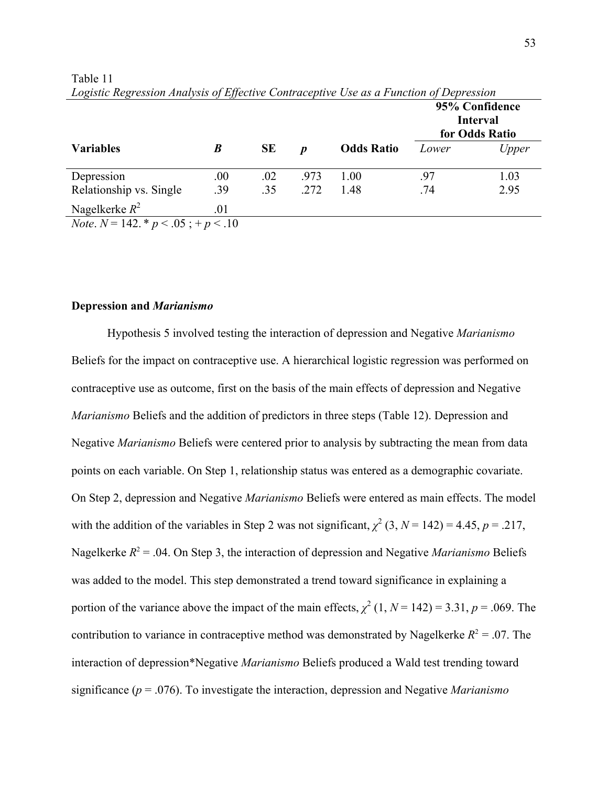|         |                                                              |      |                   |       | 95% Confidence<br><b>Interval</b><br>for Odds Ratio |
|---------|--------------------------------------------------------------|------|-------------------|-------|-----------------------------------------------------|
| B       | <b>SE</b>                                                    | D    | <b>Odds Ratio</b> | Lower | Upper                                               |
| $.00\,$ | .02                                                          | .973 | 1.00              | .97   | 1.03                                                |
| .39     | .35                                                          | .272 | 1.48              | .74   | 2.95                                                |
| .01     |                                                              |      |                   |       |                                                     |
|         | $N_{\alpha\alpha}$ $N = 142$ * $n \times 05$ $+ n \times 10$ |      |                   |       |                                                     |

Table 11 *Logistic Regression Analysis of Effective Contraceptive Use as a Function of Depression*

*Note*.  $N = 142. * p < .05 ; + p < .10$ 

# **Depression and** *Marianismo*

Hypothesis 5 involved testing the interaction of depression and Negative *Marianismo* Beliefs for the impact on contraceptive use. A hierarchical logistic regression was performed on contraceptive use as outcome, first on the basis of the main effects of depression and Negative *Marianismo* Beliefs and the addition of predictors in three steps (Table 12). Depression and Negative *Marianismo* Beliefs were centered prior to analysis by subtracting the mean from data points on each variable. On Step 1, relationship status was entered as a demographic covariate. On Step 2, depression and Negative *Marianismo* Beliefs were entered as main effects. The model with the addition of the variables in Step 2 was not significant,  $\chi^2$  (3, *N* = 142) = 4.45, *p* = .217, Nagelkerke  $R^2$  = .04. On Step 3, the interaction of depression and Negative *Marianismo* Beliefs was added to the model. This step demonstrated a trend toward significance in explaining a portion of the variance above the impact of the main effects,  $\chi^2$  (1, *N* = 142) = 3.31, *p* = .069. The contribution to variance in contraceptive method was demonstrated by Nagelkerke  $R^2 = 0.07$ . The interaction of depression\*Negative *Marianismo* Beliefs produced a Wald test trending toward significance (*p* = .076). To investigate the interaction, depression and Negative *Marianismo*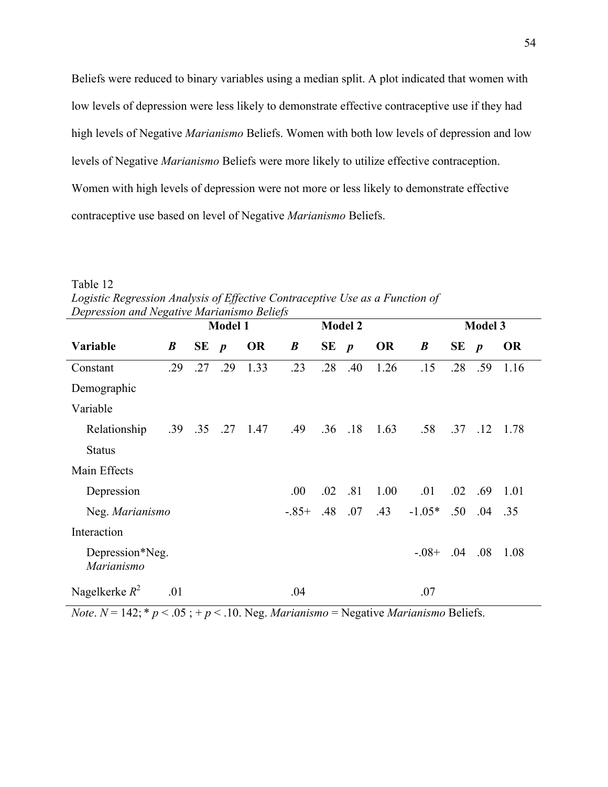Beliefs were reduced to binary variables using a median split. A plot indicated that women with low levels of depression were less likely to demonstrate effective contraceptive use if they had high levels of Negative *Marianismo* Beliefs. Women with both low levels of depression and low levels of Negative *Marianismo* Beliefs were more likely to utilize effective contraception. Women with high levels of depression were not more or less likely to demonstrate effective contraceptive use based on level of Negative *Marianismo* Beliefs.

| Depression and Negative Marianismo Bellefs |                  |             |                |            |                  |                |     |           |                  |     |                  |           |  |
|--------------------------------------------|------------------|-------------|----------------|------------|------------------|----------------|-----|-----------|------------------|-----|------------------|-----------|--|
|                                            |                  |             | <b>Model 2</b> |            |                  | <b>Model 3</b> |     |           |                  |     |                  |           |  |
| Variable                                   | $\boldsymbol{B}$ | $SE$ $p$    |                | <b>OR</b>  | $\boldsymbol{B}$ | $SE$ $p$       |     | <b>OR</b> | $\boldsymbol{B}$ | SE  | $\boldsymbol{p}$ | <b>OR</b> |  |
| Constant                                   | .29              | .27         | .29            | 1.33       | .23              | .28            | .40 | 1.26      | .15              | .28 | .59              | 1.16      |  |
| Demographic                                |                  |             |                |            |                  |                |     |           |                  |     |                  |           |  |
| Variable                                   |                  |             |                |            |                  |                |     |           |                  |     |                  |           |  |
| Relationship                               |                  | $.39$ $.35$ |                | $.27$ 1.47 | .49              | .36            | .18 | 1.63      | .58              |     | $.37$ $.12$      | 1.78      |  |
| <b>Status</b>                              |                  |             |                |            |                  |                |     |           |                  |     |                  |           |  |
| Main Effects                               |                  |             |                |            |                  |                |     |           |                  |     |                  |           |  |
| Depression                                 |                  |             |                |            | .00.             | .02            | .81 | 1.00      | .01              | .02 | .69              | 1.01      |  |
| Neg. Marianismo                            |                  |             |                |            | $-.85+$          | .48            | .07 | .43       | $-1.05*$         | .50 | .04              | .35       |  |
| Interaction                                |                  |             |                |            |                  |                |     |           |                  |     |                  |           |  |
| Depression*Neg.<br>Marianismo              |                  |             |                |            |                  |                |     |           | $-0.08 +$        | .04 | .08              | 1.08      |  |
| Nagelkerke $R^2$                           | .01              |             |                |            | .04              |                |     |           | .07              |     |                  |           |  |

Table 12 Logistic Regression Analysis of Effective Contraceptive Use as a Function of *Depression and Negative Marianismo Beliefs*

*Note*.  $N = 142$ ;  $* p < .05$ ;  $+ p < .10$ . Neg. *Marianismo* = Negative *Marianismo* Beliefs.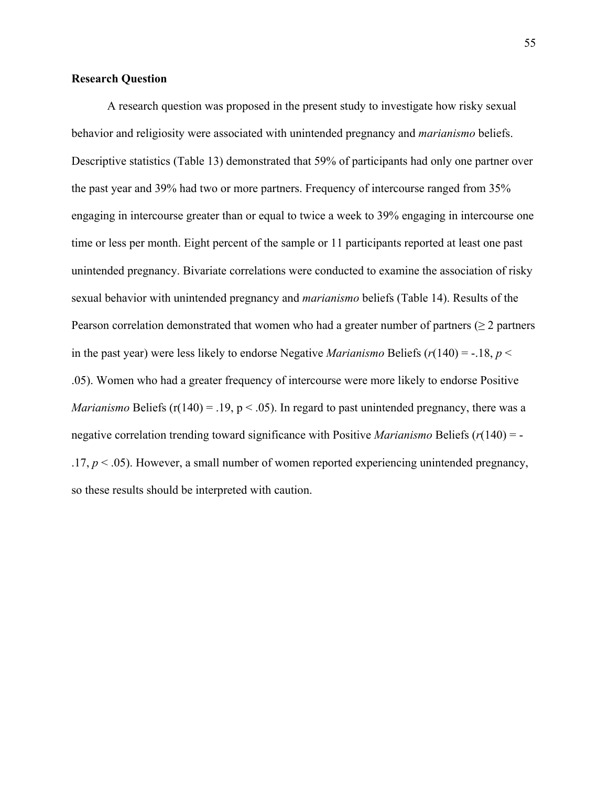## **Research Question**

A research question was proposed in the present study to investigate how risky sexual behavior and religiosity were associated with unintended pregnancy and *marianismo* beliefs. Descriptive statistics (Table 13) demonstrated that 59% of participants had only one partner over the past year and 39% had two or more partners. Frequency of intercourse ranged from 35% engaging in intercourse greater than or equal to twice a week to 39% engaging in intercourse one time or less per month. Eight percent of the sample or 11 participants reported at least one past unintended pregnancy. Bivariate correlations were conducted to examine the association of risky sexual behavior with unintended pregnancy and *marianismo* beliefs (Table 14). Results of the Pearson correlation demonstrated that women who had a greater number of partners ( $\geq 2$  partners in the past year) were less likely to endorse Negative *Marianismo* Beliefs  $(r(140) = -18, p <$ .05). Women who had a greater frequency of intercourse were more likely to endorse Positive *Marianismo* Beliefs ( $r(140) = .19$ ,  $p < .05$ ). In regard to past unintended pregnancy, there was a negative correlation trending toward significance with Positive *Marianismo* Beliefs (*r*(140) = -  $.17, p \leq .05$ ). However, a small number of women reported experiencing unintended pregnancy, so these results should be interpreted with caution.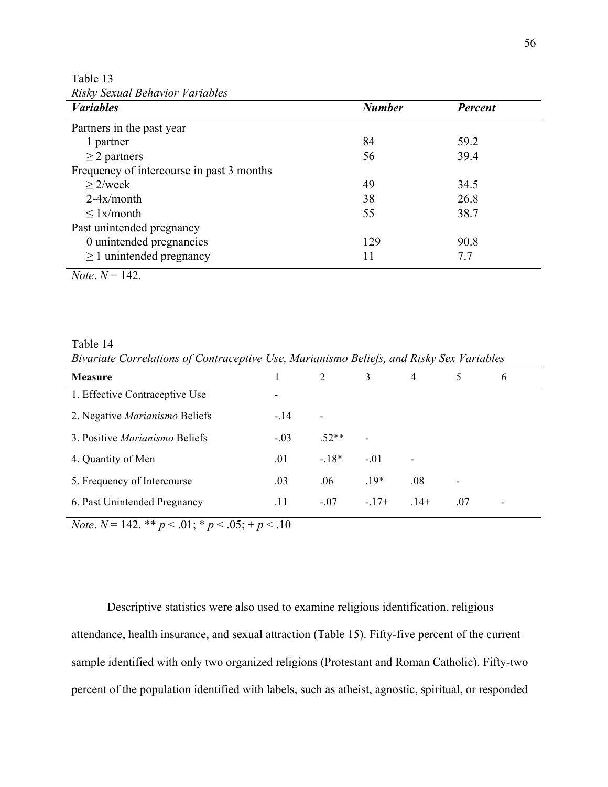Table 13 *Risky Sexual Behavior Variables*

| <b><i>Variables</i></b>                   | <b>Number</b> | <b>Percent</b> |
|-------------------------------------------|---------------|----------------|
| Partners in the past year                 |               |                |
| 1 partner                                 | 84            | 59.2           |
| $\geq$ 2 partners                         | 56            | 39.4           |
| Frequency of intercourse in past 3 months |               |                |
| $>2$ /week                                | 49            | 34.5           |
| $2-4x/m$ onth                             | 38            | 26.8           |
| $\leq$ 1x/month                           | 55            | 38.7           |
| Past unintended pregnancy                 |               |                |
| 0 unintended pregnancies                  | 129           | 90.8           |
| $\geq$ 1 unintended pregnancy             | 11            | 7.7            |

 $Note: N = 142.$ 

Table 14 *Bivariate Correlations of Contraceptive Use, Marianismo Beliefs, and Risky Sex Variables*

| Measure                               |        | 2       | 3                        | $\overline{4}$ | 5   | $\mathbf{6}$ |
|---------------------------------------|--------|---------|--------------------------|----------------|-----|--------------|
| 1. Effective Contraceptive Use        | ٠      |         |                          |                |     |              |
| 2. Negative Marianismo Beliefs        | $-.14$ | ۰       |                          |                |     |              |
| 3. Positive <i>Marianismo</i> Beliefs | $-.03$ | $.52**$ | $\overline{\phantom{0}}$ |                |     |              |
| 4. Quantity of Men                    | .01    | $-18*$  | $-.01$                   | $\blacksquare$ |     |              |
| 5. Frequency of Intercourse           | .03    | .06     | $.19*$                   | $.08\,$        |     |              |
| 6. Past Unintended Pregnancy          | .11    | $-.07$  | $-17+$                   | $14+$          | .07 |              |

*Note*.  $N = 142$ . \*\*  $p < .01$ ; \*  $p < .05$ ; +  $p < .10$ 

Descriptive statistics were also used to examine religious identification, religious attendance, health insurance, and sexual attraction (Table 15). Fifty-five percent of the current sample identified with only two organized religions (Protestant and Roman Catholic). Fifty-two percent of the population identified with labels, such as atheist, agnostic, spiritual, or responded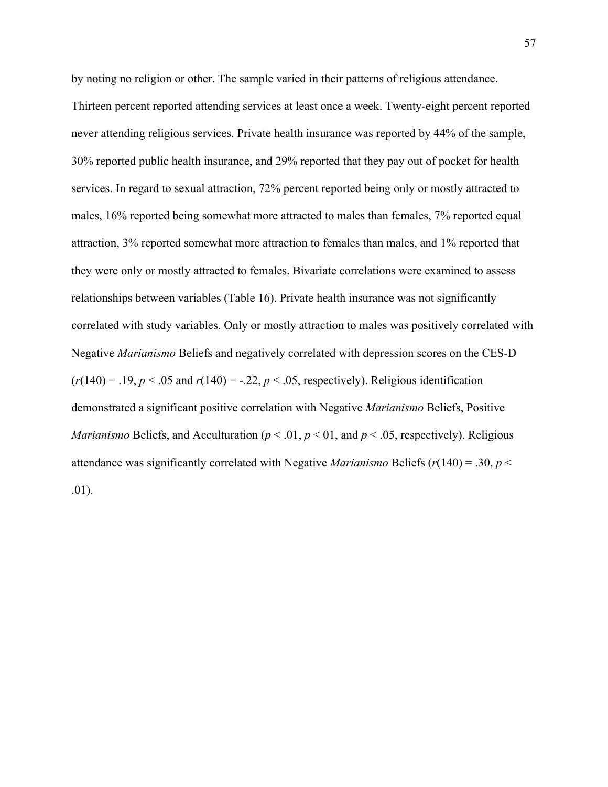by noting no religion or other. The sample varied in their patterns of religious attendance. Thirteen percent reported attending services at least once a week. Twenty-eight percent reported never attending religious services. Private health insurance was reported by 44% of the sample, 30% reported public health insurance, and 29% reported that they pay out of pocket for health services. In regard to sexual attraction, 72% percent reported being only or mostly attracted to males, 16% reported being somewhat more attracted to males than females, 7% reported equal attraction, 3% reported somewhat more attraction to females than males, and 1% reported that they were only or mostly attracted to females. Bivariate correlations were examined to assess relationships between variables (Table 16). Private health insurance was not significantly correlated with study variables. Only or mostly attraction to males was positively correlated with Negative *Marianismo* Beliefs and negatively correlated with depression scores on the CES-D  $(r(140) = .19, p < .05$  and  $r(140) = -.22, p < .05$ , respectively). Religious identification demonstrated a significant positive correlation with Negative *Marianismo* Beliefs, Positive *Marianismo* Beliefs, and Acculturation ( $p < .01$ ,  $p < .01$ , and  $p < .05$ , respectively). Religious attendance was significantly correlated with Negative *Marianismo* Beliefs (*r*(140) = .30, *p* < .01).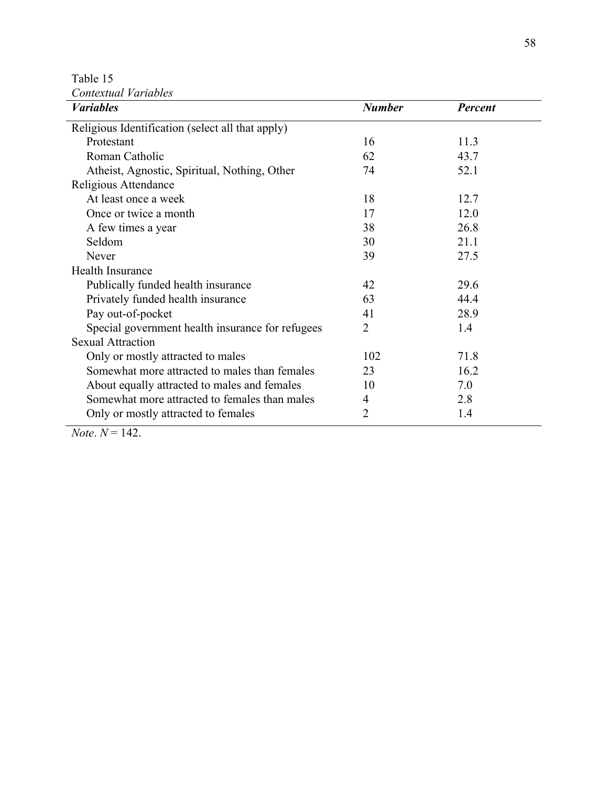Table 15

| Contextual Variables                             |                |                |  |  |  |  |
|--------------------------------------------------|----------------|----------------|--|--|--|--|
| <b><i>Variables</i></b>                          | <b>Number</b>  | <b>Percent</b> |  |  |  |  |
| Religious Identification (select all that apply) |                |                |  |  |  |  |
| Protestant                                       | 16             | 11.3           |  |  |  |  |
| Roman Catholic                                   | 62             | 43.7           |  |  |  |  |
| Atheist, Agnostic, Spiritual, Nothing, Other     | 74             | 52.1           |  |  |  |  |
| Religious Attendance                             |                |                |  |  |  |  |
| At least once a week                             | 18             | 12.7           |  |  |  |  |
| Once or twice a month                            | 17             | 12.0           |  |  |  |  |
| A few times a year                               | 38             | 26.8           |  |  |  |  |
| Seldom                                           | 30             | 21.1           |  |  |  |  |
| Never                                            | 39             | 27.5           |  |  |  |  |
| Health Insurance                                 |                |                |  |  |  |  |
| Publically funded health insurance               | 42             | 29.6           |  |  |  |  |
| Privately funded health insurance                | 63             | 44.4           |  |  |  |  |
| Pay out-of-pocket                                | 41             | 28.9           |  |  |  |  |
| Special government health insurance for refugees | 2              | 1.4            |  |  |  |  |
| <b>Sexual Attraction</b>                         |                |                |  |  |  |  |
| Only or mostly attracted to males                | 102            | 71.8           |  |  |  |  |
| Somewhat more attracted to males than females    | 23             | 16.2           |  |  |  |  |
| About equally attracted to males and females     | 10             | 7.0            |  |  |  |  |
| Somewhat more attracted to females than males    | 4              | 2.8            |  |  |  |  |
| Only or mostly attracted to females              | $\overline{2}$ | 1.4            |  |  |  |  |

*Note*.  $N = 142$ .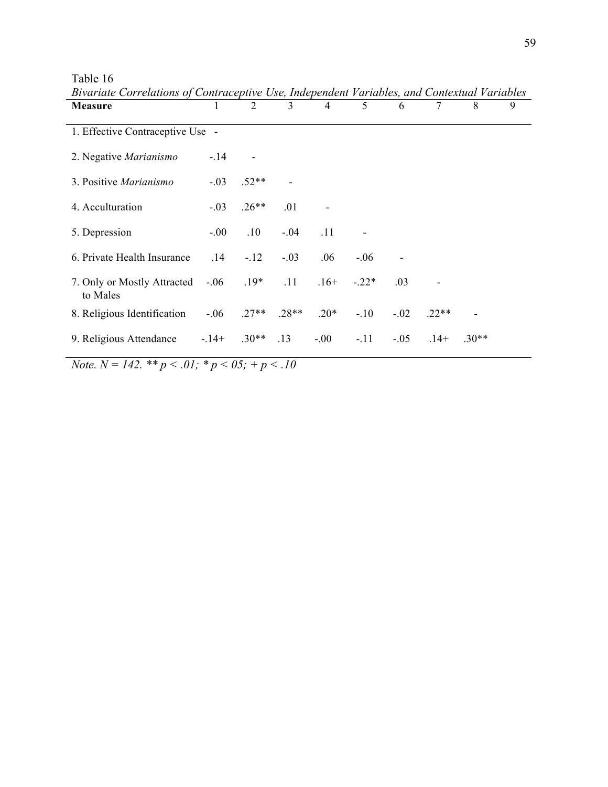| <b>Measure</b>                          | 1       | $\overline{2}$ | 3       | $\overline{4}$ | 5       | 6      | $\overline{7}$ | 8       | 9 |
|-----------------------------------------|---------|----------------|---------|----------------|---------|--------|----------------|---------|---|
| 1. Effective Contraceptive Use -        |         |                |         |                |         |        |                |         |   |
| 2. Negative Marianismo                  | $-.14$  |                |         |                |         |        |                |         |   |
| 3. Positive Marianismo                  | $-.03$  | $.52**$        |         |                |         |        |                |         |   |
| 4. Acculturation                        | $-.03$  | $.26**$        | .01     |                |         |        |                |         |   |
| 5. Depression                           | $-0.00$ | .10            | $-.04$  | .11            |         |        |                |         |   |
| 6. Private Health Insurance             | .14     | $-.12$         | $-.03$  | .06            | $-.06$  |        |                |         |   |
| 7. Only or Mostly Attracted<br>to Males | $-.06$  | $.19*$         | .11     | $.16+$         | $-.22*$ | .03    |                |         |   |
| 8. Religious Identification             | $-.06$  | $.27**$        | $.28**$ | $.20*$         | $-.10$  | $-.02$ | $22**$         |         |   |
| 9. Religious Attendance                 | $-14+$  | $.30**$        | .13     | $-.00$         | $-.11$  | $-.05$ | $.14+$         | $.30**$ |   |

Table 16 *Bivariate Correlations of Contraceptive Use, Independent Variables, and Contextual Variables*

*Note.*  $N = 142$ . \*\*  $p < .01$ ; \*  $p < .05$ ; +  $p < .10$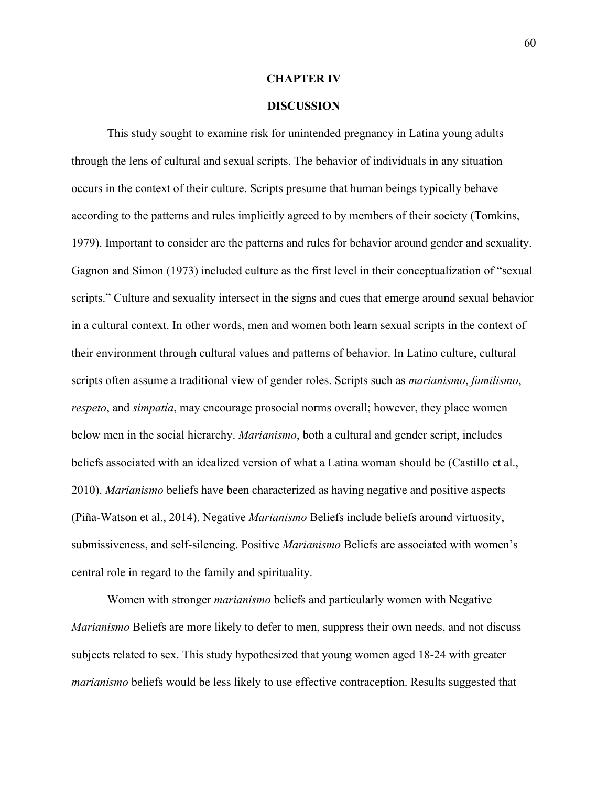#### **CHAPTER IV**

# **DISCUSSION**

This study sought to examine risk for unintended pregnancy in Latina young adults through the lens of cultural and sexual scripts. The behavior of individuals in any situation occurs in the context of their culture. Scripts presume that human beings typically behave according to the patterns and rules implicitly agreed to by members of their society (Tomkins, 1979). Important to consider are the patterns and rules for behavior around gender and sexuality. Gagnon and Simon (1973) included culture as the first level in their conceptualization of "sexual scripts." Culture and sexuality intersect in the signs and cues that emerge around sexual behavior in a cultural context. In other words, men and women both learn sexual scripts in the context of their environment through cultural values and patterns of behavior. In Latino culture, cultural scripts often assume a traditional view of gender roles. Scripts such as *marianismo*, *familismo*, *respeto*, and *simpatía*, may encourage prosocial norms overall; however, they place women below men in the social hierarchy. *Marianismo*, both a cultural and gender script, includes beliefs associated with an idealized version of what a Latina woman should be (Castillo et al., 2010). *Marianismo* beliefs have been characterized as having negative and positive aspects (Piña-Watson et al., 2014). Negative *Marianismo* Beliefs include beliefs around virtuosity, submissiveness, and self-silencing. Positive *Marianismo* Beliefs are associated with women's central role in regard to the family and spirituality.

Women with stronger *marianismo* beliefs and particularly women with Negative *Marianismo* Beliefs are more likely to defer to men, suppress their own needs, and not discuss subjects related to sex. This study hypothesized that young women aged 18-24 with greater *marianismo* beliefs would be less likely to use effective contraception. Results suggested that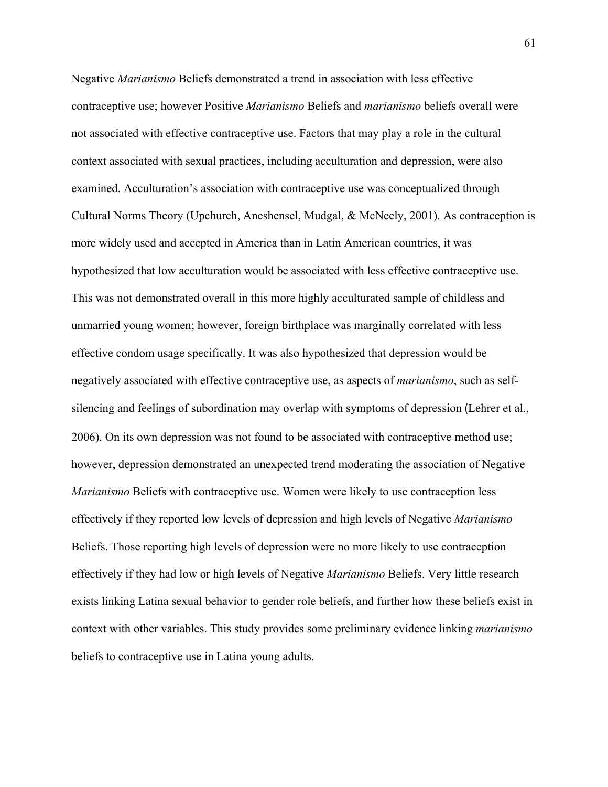Negative *Marianismo* Beliefs demonstrated a trend in association with less effective contraceptive use; however Positive *Marianismo* Beliefs and *marianismo* beliefs overall were not associated with effective contraceptive use. Factors that may play a role in the cultural context associated with sexual practices, including acculturation and depression, were also examined. Acculturation's association with contraceptive use was conceptualized through Cultural Norms Theory (Upchurch, Aneshensel, Mudgal, & McNeely, 2001). As contraception is more widely used and accepted in America than in Latin American countries, it was hypothesized that low acculturation would be associated with less effective contraceptive use. This was not demonstrated overall in this more highly acculturated sample of childless and unmarried young women; however, foreign birthplace was marginally correlated with less effective condom usage specifically. It was also hypothesized that depression would be negatively associated with effective contraceptive use, as aspects of *marianismo*, such as selfsilencing and feelings of subordination may overlap with symptoms of depression (Lehrer et al., 2006). On its own depression was not found to be associated with contraceptive method use; however, depression demonstrated an unexpected trend moderating the association of Negative *Marianismo* Beliefs with contraceptive use. Women were likely to use contraception less effectively if they reported low levels of depression and high levels of Negative *Marianismo* Beliefs. Those reporting high levels of depression were no more likely to use contraception effectively if they had low or high levels of Negative *Marianismo* Beliefs. Very little research exists linking Latina sexual behavior to gender role beliefs, and further how these beliefs exist in context with other variables. This study provides some preliminary evidence linking *marianismo* beliefs to contraceptive use in Latina young adults.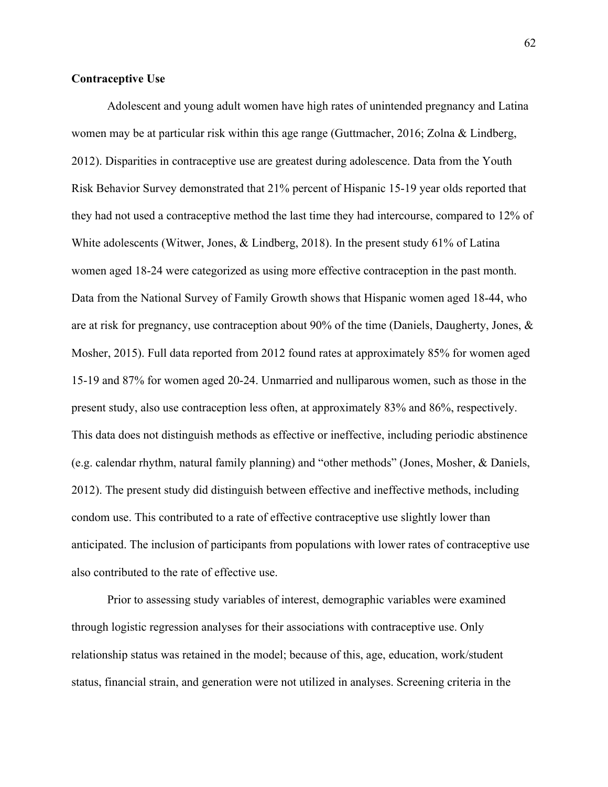# **Contraceptive Use**

Adolescent and young adult women have high rates of unintended pregnancy and Latina women may be at particular risk within this age range (Guttmacher, 2016; Zolna & Lindberg, 2012). Disparities in contraceptive use are greatest during adolescence. Data from the Youth Risk Behavior Survey demonstrated that 21% percent of Hispanic 15-19 year olds reported that they had not used a contraceptive method the last time they had intercourse, compared to 12% of White adolescents (Witwer, Jones, & Lindberg, 2018). In the present study 61% of Latina women aged 18-24 were categorized as using more effective contraception in the past month. Data from the National Survey of Family Growth shows that Hispanic women aged 18-44, who are at risk for pregnancy, use contraception about 90% of the time (Daniels, Daugherty, Jones, & Mosher, 2015). Full data reported from 2012 found rates at approximately 85% for women aged 15-19 and 87% for women aged 20-24. Unmarried and nulliparous women, such as those in the present study, also use contraception less often, at approximately 83% and 86%, respectively. This data does not distinguish methods as effective or ineffective, including periodic abstinence (e.g. calendar rhythm, natural family planning) and "other methods" (Jones, Mosher, & Daniels, 2012). The present study did distinguish between effective and ineffective methods, including condom use. This contributed to a rate of effective contraceptive use slightly lower than anticipated. The inclusion of participants from populations with lower rates of contraceptive use also contributed to the rate of effective use.

Prior to assessing study variables of interest, demographic variables were examined through logistic regression analyses for their associations with contraceptive use. Only relationship status was retained in the model; because of this, age, education, work/student status, financial strain, and generation were not utilized in analyses. Screening criteria in the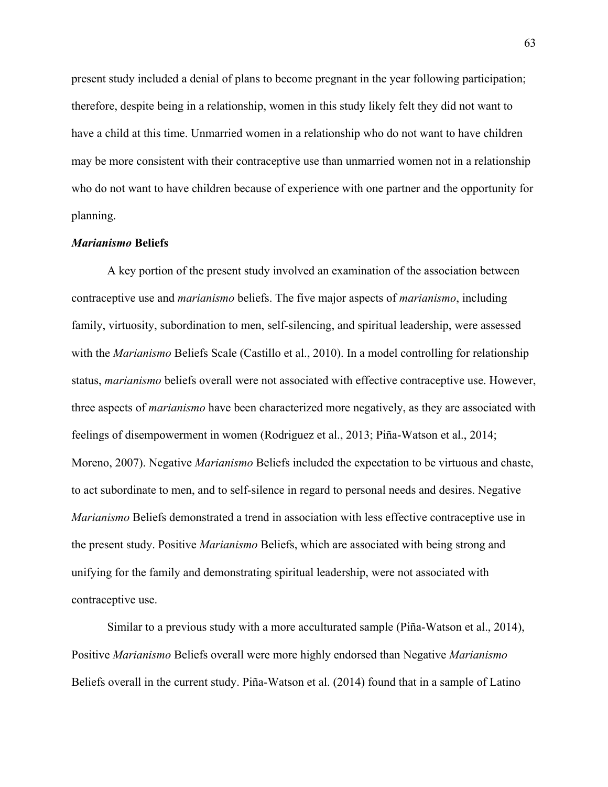present study included a denial of plans to become pregnant in the year following participation; therefore, despite being in a relationship, women in this study likely felt they did not want to have a child at this time. Unmarried women in a relationship who do not want to have children may be more consistent with their contraceptive use than unmarried women not in a relationship who do not want to have children because of experience with one partner and the opportunity for planning.

#### *Marianismo* **Beliefs**

A key portion of the present study involved an examination of the association between contraceptive use and *marianismo* beliefs. The five major aspects of *marianismo*, including family, virtuosity, subordination to men, self-silencing, and spiritual leadership, were assessed with the *Marianismo* Beliefs Scale (Castillo et al., 2010). In a model controlling for relationship status, *marianismo* beliefs overall were not associated with effective contraceptive use. However, three aspects of *marianismo* have been characterized more negatively, as they are associated with feelings of disempowerment in women (Rodriguez et al., 2013; Piña-Watson et al., 2014; Moreno, 2007). Negative *Marianismo* Beliefs included the expectation to be virtuous and chaste, to act subordinate to men, and to self-silence in regard to personal needs and desires. Negative *Marianismo* Beliefs demonstrated a trend in association with less effective contraceptive use in the present study. Positive *Marianismo* Beliefs, which are associated with being strong and unifying for the family and demonstrating spiritual leadership, were not associated with contraceptive use.

Similar to a previous study with a more acculturated sample (Piña-Watson et al., 2014), Positive *Marianismo* Beliefs overall were more highly endorsed than Negative *Marianismo* Beliefs overall in the current study. Piña-Watson et al. (2014) found that in a sample of Latino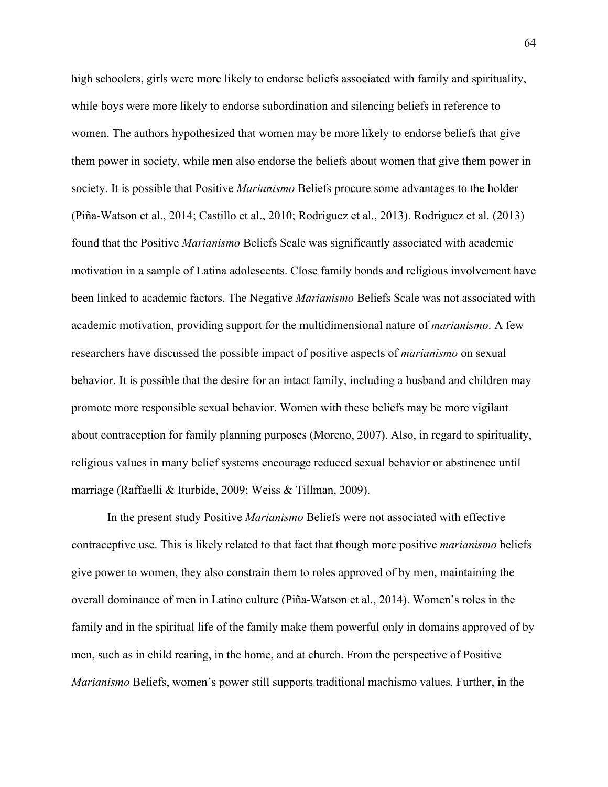high schoolers, girls were more likely to endorse beliefs associated with family and spirituality, while boys were more likely to endorse subordination and silencing beliefs in reference to women. The authors hypothesized that women may be more likely to endorse beliefs that give them power in society, while men also endorse the beliefs about women that give them power in society. It is possible that Positive *Marianismo* Beliefs procure some advantages to the holder (Piña-Watson et al., 2014; Castillo et al., 2010; Rodriguez et al., 2013). Rodriguez et al. (2013) found that the Positive *Marianismo* Beliefs Scale was significantly associated with academic motivation in a sample of Latina adolescents. Close family bonds and religious involvement have been linked to academic factors. The Negative *Marianismo* Beliefs Scale was not associated with academic motivation, providing support for the multidimensional nature of *marianismo*. A few researchers have discussed the possible impact of positive aspects of *marianismo* on sexual behavior. It is possible that the desire for an intact family, including a husband and children may promote more responsible sexual behavior. Women with these beliefs may be more vigilant about contraception for family planning purposes (Moreno, 2007). Also, in regard to spirituality, religious values in many belief systems encourage reduced sexual behavior or abstinence until marriage (Raffaelli & Iturbide, 2009; Weiss & Tillman, 2009).

In the present study Positive *Marianismo* Beliefs were not associated with effective contraceptive use. This is likely related to that fact that though more positive *marianismo* beliefs give power to women, they also constrain them to roles approved of by men, maintaining the overall dominance of men in Latino culture (Piña-Watson et al., 2014). Women's roles in the family and in the spiritual life of the family make them powerful only in domains approved of by men, such as in child rearing, in the home, and at church. From the perspective of Positive *Marianismo* Beliefs, women's power still supports traditional machismo values. Further, in the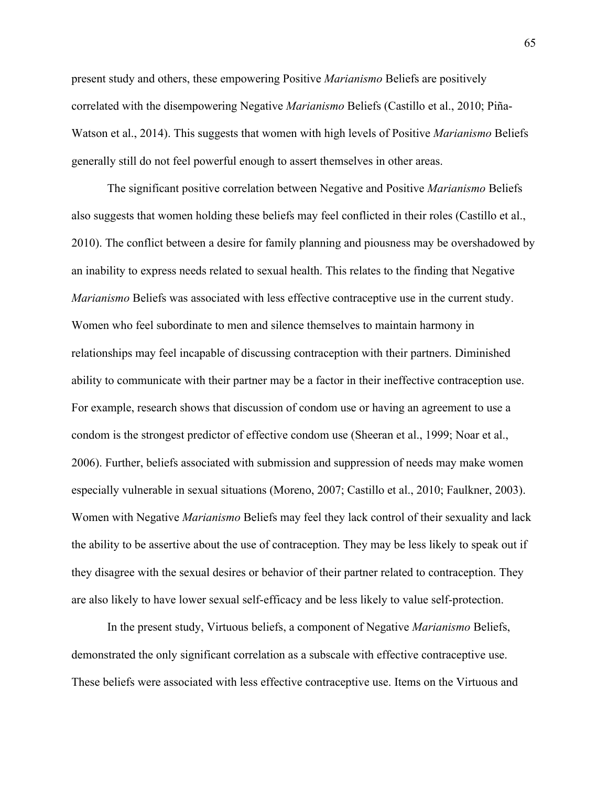present study and others, these empowering Positive *Marianismo* Beliefs are positively correlated with the disempowering Negative *Marianismo* Beliefs (Castillo et al., 2010; Piña-Watson et al., 2014). This suggests that women with high levels of Positive *Marianismo* Beliefs generally still do not feel powerful enough to assert themselves in other areas.

The significant positive correlation between Negative and Positive *Marianismo* Beliefs also suggests that women holding these beliefs may feel conflicted in their roles (Castillo et al., 2010). The conflict between a desire for family planning and piousness may be overshadowed by an inability to express needs related to sexual health. This relates to the finding that Negative *Marianismo* Beliefs was associated with less effective contraceptive use in the current study. Women who feel subordinate to men and silence themselves to maintain harmony in relationships may feel incapable of discussing contraception with their partners. Diminished ability to communicate with their partner may be a factor in their ineffective contraception use. For example, research shows that discussion of condom use or having an agreement to use a condom is the strongest predictor of effective condom use (Sheeran et al., 1999; Noar et al., 2006). Further, beliefs associated with submission and suppression of needs may make women especially vulnerable in sexual situations (Moreno, 2007; Castillo et al., 2010; Faulkner, 2003). Women with Negative *Marianismo* Beliefs may feel they lack control of their sexuality and lack the ability to be assertive about the use of contraception. They may be less likely to speak out if they disagree with the sexual desires or behavior of their partner related to contraception. They are also likely to have lower sexual self-efficacy and be less likely to value self-protection.

In the present study, Virtuous beliefs, a component of Negative *Marianismo* Beliefs, demonstrated the only significant correlation as a subscale with effective contraceptive use. These beliefs were associated with less effective contraceptive use. Items on the Virtuous and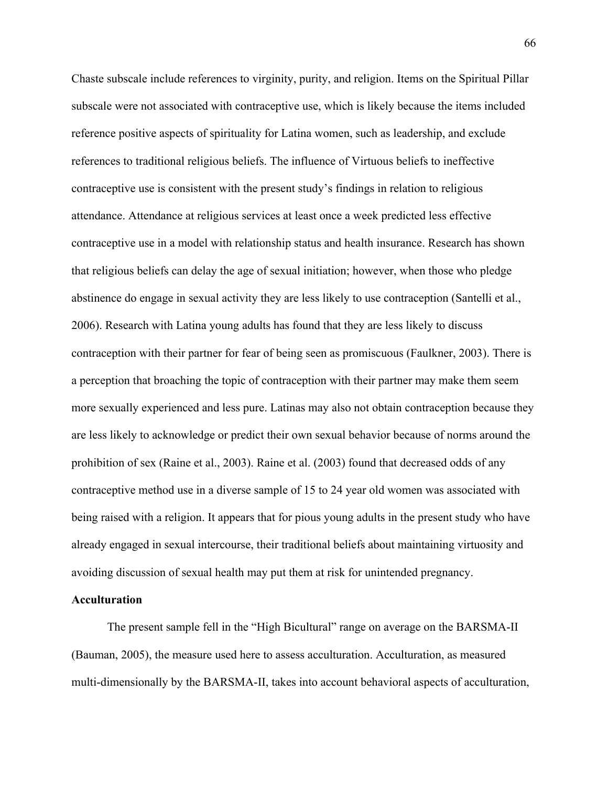Chaste subscale include references to virginity, purity, and religion. Items on the Spiritual Pillar subscale were not associated with contraceptive use, which is likely because the items included reference positive aspects of spirituality for Latina women, such as leadership, and exclude references to traditional religious beliefs. The influence of Virtuous beliefs to ineffective contraceptive use is consistent with the present study's findings in relation to religious attendance. Attendance at religious services at least once a week predicted less effective contraceptive use in a model with relationship status and health insurance. Research has shown that religious beliefs can delay the age of sexual initiation; however, when those who pledge abstinence do engage in sexual activity they are less likely to use contraception (Santelli et al., 2006). Research with Latina young adults has found that they are less likely to discuss contraception with their partner for fear of being seen as promiscuous (Faulkner, 2003). There is a perception that broaching the topic of contraception with their partner may make them seem more sexually experienced and less pure. Latinas may also not obtain contraception because they are less likely to acknowledge or predict their own sexual behavior because of norms around the prohibition of sex (Raine et al., 2003). Raine et al. (2003) found that decreased odds of any contraceptive method use in a diverse sample of 15 to 24 year old women was associated with being raised with a religion. It appears that for pious young adults in the present study who have already engaged in sexual intercourse, their traditional beliefs about maintaining virtuosity and avoiding discussion of sexual health may put them at risk for unintended pregnancy.

#### **Acculturation**

The present sample fell in the "High Bicultural" range on average on the BARSMA-II (Bauman, 2005), the measure used here to assess acculturation. Acculturation, as measured multi-dimensionally by the BARSMA-II, takes into account behavioral aspects of acculturation,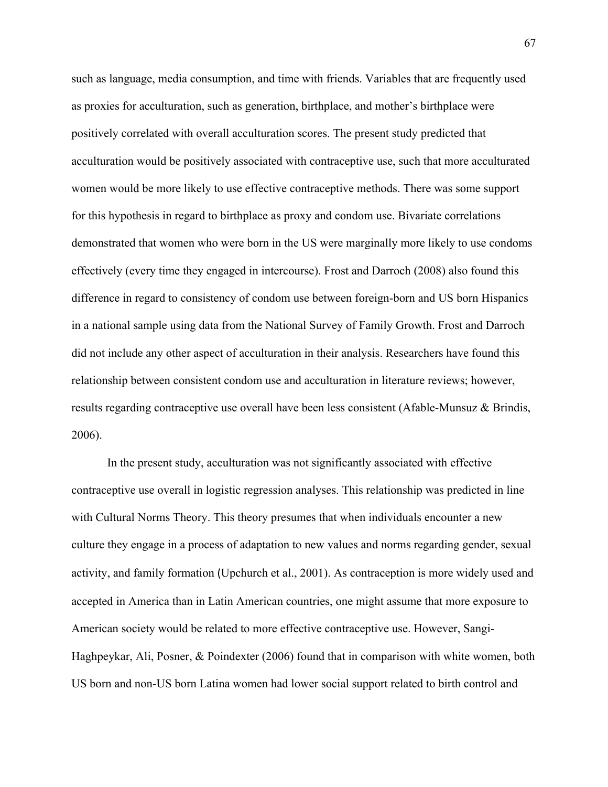such as language, media consumption, and time with friends. Variables that are frequently used as proxies for acculturation, such as generation, birthplace, and mother's birthplace were positively correlated with overall acculturation scores. The present study predicted that acculturation would be positively associated with contraceptive use, such that more acculturated women would be more likely to use effective contraceptive methods. There was some support for this hypothesis in regard to birthplace as proxy and condom use. Bivariate correlations demonstrated that women who were born in the US were marginally more likely to use condoms effectively (every time they engaged in intercourse). Frost and Darroch (2008) also found this difference in regard to consistency of condom use between foreign-born and US born Hispanics in a national sample using data from the National Survey of Family Growth. Frost and Darroch did not include any other aspect of acculturation in their analysis. Researchers have found this relationship between consistent condom use and acculturation in literature reviews; however, results regarding contraceptive use overall have been less consistent (Afable-Munsuz & Brindis, 2006).

In the present study, acculturation was not significantly associated with effective contraceptive use overall in logistic regression analyses. This relationship was predicted in line with Cultural Norms Theory. This theory presumes that when individuals encounter a new culture they engage in a process of adaptation to new values and norms regarding gender, sexual activity, and family formation (Upchurch et al., 2001). As contraception is more widely used and accepted in America than in Latin American countries, one might assume that more exposure to American society would be related to more effective contraceptive use. However, Sangi-Haghpeykar, Ali, Posner, & Poindexter (2006) found that in comparison with white women, both US born and non-US born Latina women had lower social support related to birth control and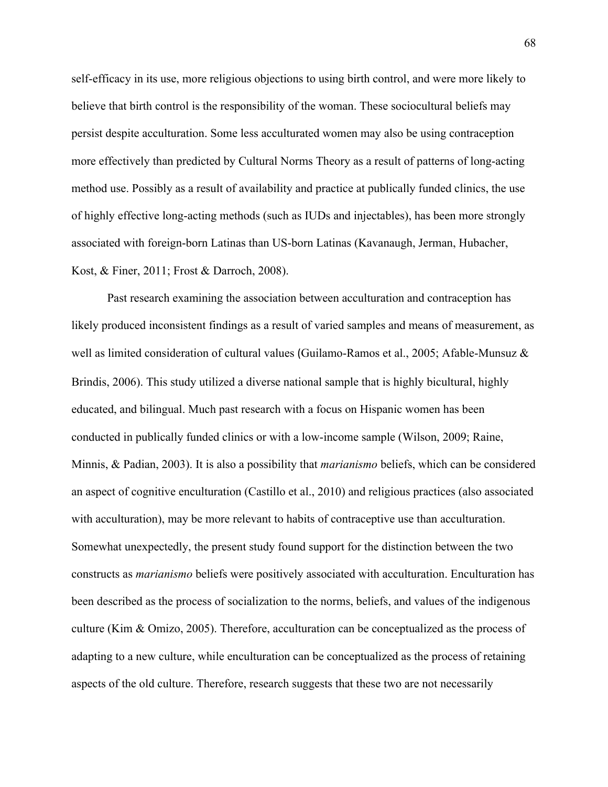self-efficacy in its use, more religious objections to using birth control, and were more likely to believe that birth control is the responsibility of the woman. These sociocultural beliefs may persist despite acculturation. Some less acculturated women may also be using contraception more effectively than predicted by Cultural Norms Theory as a result of patterns of long-acting method use. Possibly as a result of availability and practice at publically funded clinics, the use of highly effective long-acting methods (such as IUDs and injectables), has been more strongly associated with foreign-born Latinas than US-born Latinas (Kavanaugh, Jerman, Hubacher, Kost, & Finer, 2011; Frost & Darroch, 2008).

Past research examining the association between acculturation and contraception has likely produced inconsistent findings as a result of varied samples and means of measurement, as well as limited consideration of cultural values (Guilamo-Ramos et al., 2005; Afable-Munsuz & Brindis, 2006). This study utilized a diverse national sample that is highly bicultural, highly educated, and bilingual. Much past research with a focus on Hispanic women has been conducted in publically funded clinics or with a low-income sample (Wilson, 2009; Raine, Minnis, & Padian, 2003). It is also a possibility that *marianismo* beliefs, which can be considered an aspect of cognitive enculturation (Castillo et al., 2010) and religious practices (also associated with acculturation), may be more relevant to habits of contraceptive use than acculturation. Somewhat unexpectedly, the present study found support for the distinction between the two constructs as *marianismo* beliefs were positively associated with acculturation. Enculturation has been described as the process of socialization to the norms, beliefs, and values of the indigenous culture (Kim & Omizo, 2005). Therefore, acculturation can be conceptualized as the process of adapting to a new culture, while enculturation can be conceptualized as the process of retaining aspects of the old culture. Therefore, research suggests that these two are not necessarily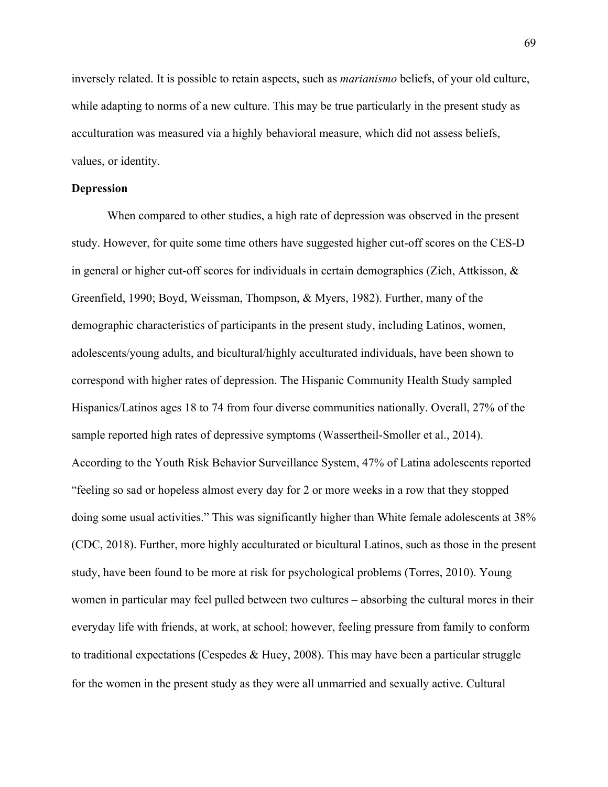inversely related. It is possible to retain aspects, such as *marianismo* beliefs, of your old culture, while adapting to norms of a new culture. This may be true particularly in the present study as acculturation was measured via a highly behavioral measure, which did not assess beliefs, values, or identity.

### **Depression**

When compared to other studies, a high rate of depression was observed in the present study. However, for quite some time others have suggested higher cut-off scores on the CES-D in general or higher cut-off scores for individuals in certain demographics (Zich, Attkisson, & Greenfield, 1990; Boyd, Weissman, Thompson, & Myers, 1982). Further, many of the demographic characteristics of participants in the present study, including Latinos, women, adolescents/young adults, and bicultural/highly acculturated individuals, have been shown to correspond with higher rates of depression. The Hispanic Community Health Study sampled Hispanics/Latinos ages 18 to 74 from four diverse communities nationally. Overall, 27% of the sample reported high rates of depressive symptoms (Wassertheil-Smoller et al., 2014). According to the Youth Risk Behavior Surveillance System, 47% of Latina adolescents reported "feeling so sad or hopeless almost every day for 2 or more weeks in a row that they stopped doing some usual activities." This was significantly higher than White female adolescents at 38% (CDC, 2018). Further, more highly acculturated or bicultural Latinos, such as those in the present study, have been found to be more at risk for psychological problems (Torres, 2010). Young women in particular may feel pulled between two cultures – absorbing the cultural mores in their everyday life with friends, at work, at school; however, feeling pressure from family to conform to traditional expectations (Cespedes & Huey, 2008). This may have been a particular struggle for the women in the present study as they were all unmarried and sexually active. Cultural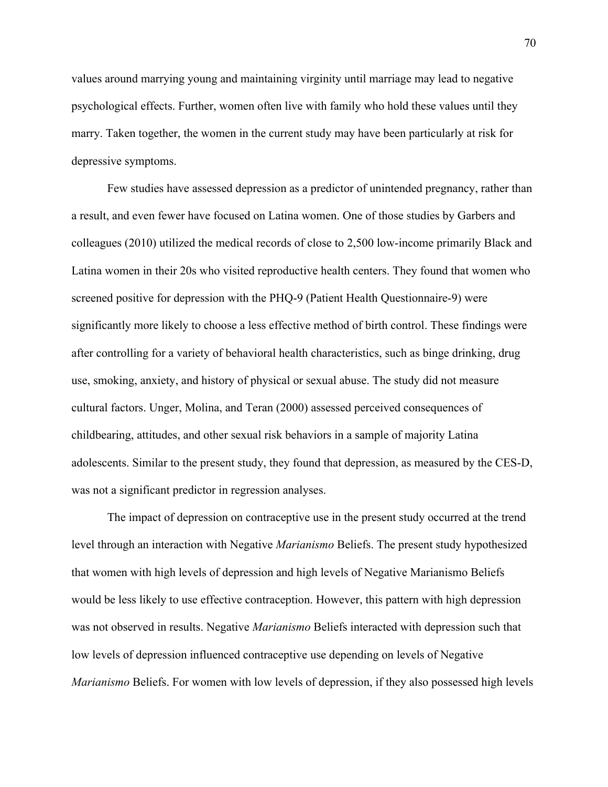values around marrying young and maintaining virginity until marriage may lead to negative psychological effects. Further, women often live with family who hold these values until they marry. Taken together, the women in the current study may have been particularly at risk for depressive symptoms.

Few studies have assessed depression as a predictor of unintended pregnancy, rather than a result, and even fewer have focused on Latina women. One of those studies by Garbers and colleagues (2010) utilized the medical records of close to 2,500 low-income primarily Black and Latina women in their 20s who visited reproductive health centers. They found that women who screened positive for depression with the PHQ-9 (Patient Health Questionnaire-9) were significantly more likely to choose a less effective method of birth control. These findings were after controlling for a variety of behavioral health characteristics, such as binge drinking, drug use, smoking, anxiety, and history of physical or sexual abuse. The study did not measure cultural factors. Unger, Molina, and Teran (2000) assessed perceived consequences of childbearing, attitudes, and other sexual risk behaviors in a sample of majority Latina adolescents. Similar to the present study, they found that depression, as measured by the CES-D, was not a significant predictor in regression analyses.

The impact of depression on contraceptive use in the present study occurred at the trend level through an interaction with Negative *Marianismo* Beliefs. The present study hypothesized that women with high levels of depression and high levels of Negative Marianismo Beliefs would be less likely to use effective contraception. However, this pattern with high depression was not observed in results. Negative *Marianismo* Beliefs interacted with depression such that low levels of depression influenced contraceptive use depending on levels of Negative *Marianismo* Beliefs. For women with low levels of depression, if they also possessed high levels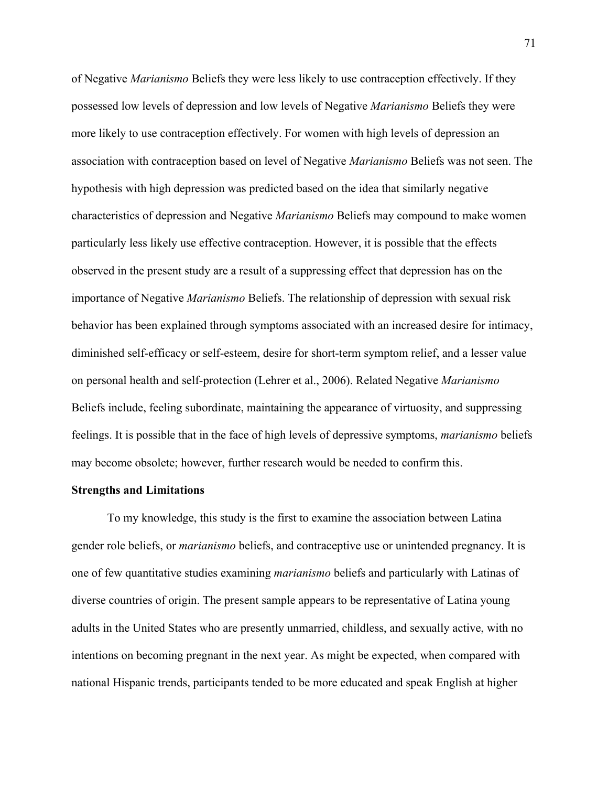of Negative *Marianismo* Beliefs they were less likely to use contraception effectively. If they possessed low levels of depression and low levels of Negative *Marianismo* Beliefs they were more likely to use contraception effectively. For women with high levels of depression an association with contraception based on level of Negative *Marianismo* Beliefs was not seen. The hypothesis with high depression was predicted based on the idea that similarly negative characteristics of depression and Negative *Marianismo* Beliefs may compound to make women particularly less likely use effective contraception. However, it is possible that the effects observed in the present study are a result of a suppressing effect that depression has on the importance of Negative *Marianismo* Beliefs. The relationship of depression with sexual risk behavior has been explained through symptoms associated with an increased desire for intimacy, diminished self-efficacy or self-esteem, desire for short-term symptom relief, and a lesser value on personal health and self-protection (Lehrer et al., 2006). Related Negative *Marianismo* Beliefs include, feeling subordinate, maintaining the appearance of virtuosity, and suppressing feelings. It is possible that in the face of high levels of depressive symptoms, *marianismo* beliefs may become obsolete; however, further research would be needed to confirm this.

#### **Strengths and Limitations**

To my knowledge, this study is the first to examine the association between Latina gender role beliefs, or *marianismo* beliefs, and contraceptive use or unintended pregnancy. It is one of few quantitative studies examining *marianismo* beliefs and particularly with Latinas of diverse countries of origin. The present sample appears to be representative of Latina young adults in the United States who are presently unmarried, childless, and sexually active, with no intentions on becoming pregnant in the next year. As might be expected, when compared with national Hispanic trends, participants tended to be more educated and speak English at higher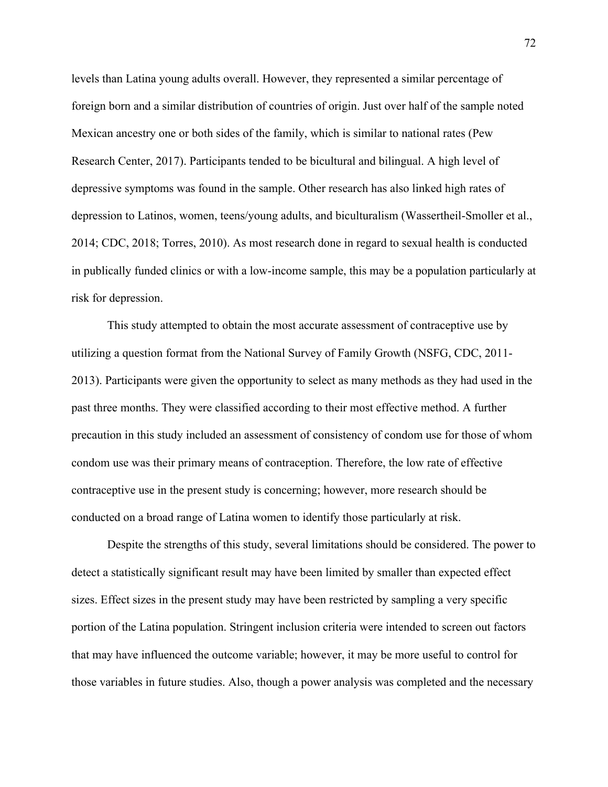levels than Latina young adults overall. However, they represented a similar percentage of foreign born and a similar distribution of countries of origin. Just over half of the sample noted Mexican ancestry one or both sides of the family, which is similar to national rates (Pew Research Center, 2017). Participants tended to be bicultural and bilingual. A high level of depressive symptoms was found in the sample. Other research has also linked high rates of depression to Latinos, women, teens/young adults, and biculturalism (Wassertheil-Smoller et al., 2014; CDC, 2018; Torres, 2010). As most research done in regard to sexual health is conducted in publically funded clinics or with a low-income sample, this may be a population particularly at risk for depression.

This study attempted to obtain the most accurate assessment of contraceptive use by utilizing a question format from the National Survey of Family Growth (NSFG, CDC, 2011- 2013). Participants were given the opportunity to select as many methods as they had used in the past three months. They were classified according to their most effective method. A further precaution in this study included an assessment of consistency of condom use for those of whom condom use was their primary means of contraception. Therefore, the low rate of effective contraceptive use in the present study is concerning; however, more research should be conducted on a broad range of Latina women to identify those particularly at risk.

Despite the strengths of this study, several limitations should be considered. The power to detect a statistically significant result may have been limited by smaller than expected effect sizes. Effect sizes in the present study may have been restricted by sampling a very specific portion of the Latina population. Stringent inclusion criteria were intended to screen out factors that may have influenced the outcome variable; however, it may be more useful to control for those variables in future studies. Also, though a power analysis was completed and the necessary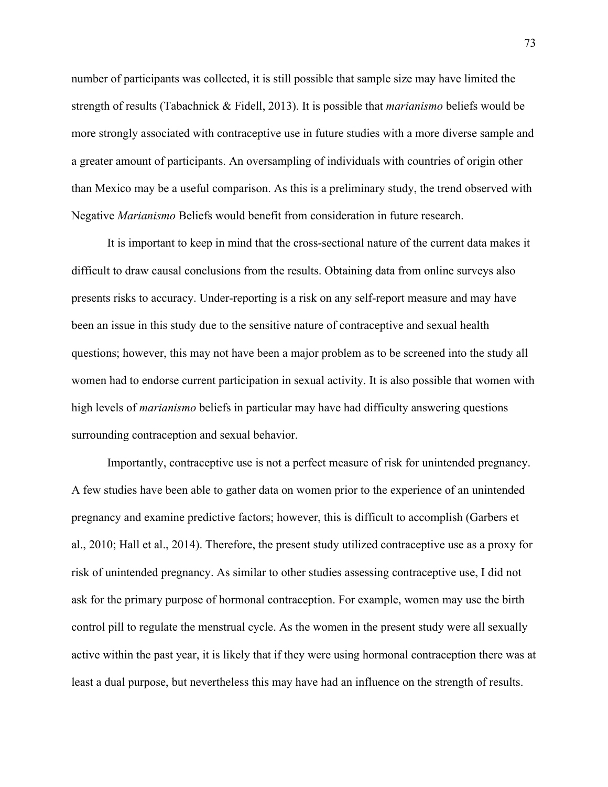number of participants was collected, it is still possible that sample size may have limited the strength of results (Tabachnick & Fidell, 2013). It is possible that *marianismo* beliefs would be more strongly associated with contraceptive use in future studies with a more diverse sample and a greater amount of participants. An oversampling of individuals with countries of origin other than Mexico may be a useful comparison. As this is a preliminary study, the trend observed with Negative *Marianismo* Beliefs would benefit from consideration in future research.

It is important to keep in mind that the cross-sectional nature of the current data makes it difficult to draw causal conclusions from the results. Obtaining data from online surveys also presents risks to accuracy. Under-reporting is a risk on any self-report measure and may have been an issue in this study due to the sensitive nature of contraceptive and sexual health questions; however, this may not have been a major problem as to be screened into the study all women had to endorse current participation in sexual activity. It is also possible that women with high levels of *marianismo* beliefs in particular may have had difficulty answering questions surrounding contraception and sexual behavior.

Importantly, contraceptive use is not a perfect measure of risk for unintended pregnancy. A few studies have been able to gather data on women prior to the experience of an unintended pregnancy and examine predictive factors; however, this is difficult to accomplish (Garbers et al., 2010; Hall et al., 2014). Therefore, the present study utilized contraceptive use as a proxy for risk of unintended pregnancy. As similar to other studies assessing contraceptive use, I did not ask for the primary purpose of hormonal contraception. For example, women may use the birth control pill to regulate the menstrual cycle. As the women in the present study were all sexually active within the past year, it is likely that if they were using hormonal contraception there was at least a dual purpose, but nevertheless this may have had an influence on the strength of results.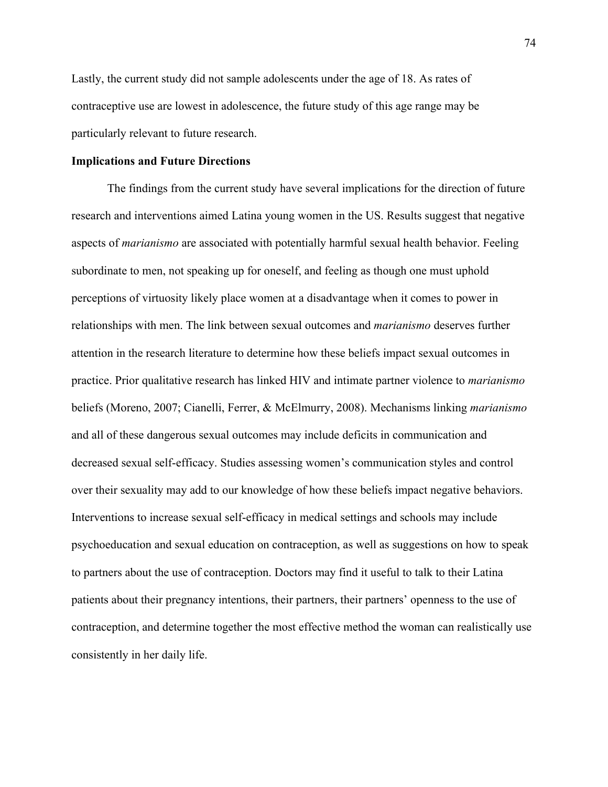Lastly, the current study did not sample adolescents under the age of 18. As rates of contraceptive use are lowest in adolescence, the future study of this age range may be particularly relevant to future research.

### **Implications and Future Directions**

The findings from the current study have several implications for the direction of future research and interventions aimed Latina young women in the US. Results suggest that negative aspects of *marianismo* are associated with potentially harmful sexual health behavior. Feeling subordinate to men, not speaking up for oneself, and feeling as though one must uphold perceptions of virtuosity likely place women at a disadvantage when it comes to power in relationships with men. The link between sexual outcomes and *marianismo* deserves further attention in the research literature to determine how these beliefs impact sexual outcomes in practice. Prior qualitative research has linked HIV and intimate partner violence to *marianismo* beliefs (Moreno, 2007; Cianelli, Ferrer, & McElmurry, 2008). Mechanisms linking *marianismo* and all of these dangerous sexual outcomes may include deficits in communication and decreased sexual self-efficacy. Studies assessing women's communication styles and control over their sexuality may add to our knowledge of how these beliefs impact negative behaviors. Interventions to increase sexual self-efficacy in medical settings and schools may include psychoeducation and sexual education on contraception, as well as suggestions on how to speak to partners about the use of contraception. Doctors may find it useful to talk to their Latina patients about their pregnancy intentions, their partners, their partners' openness to the use of contraception, and determine together the most effective method the woman can realistically use consistently in her daily life.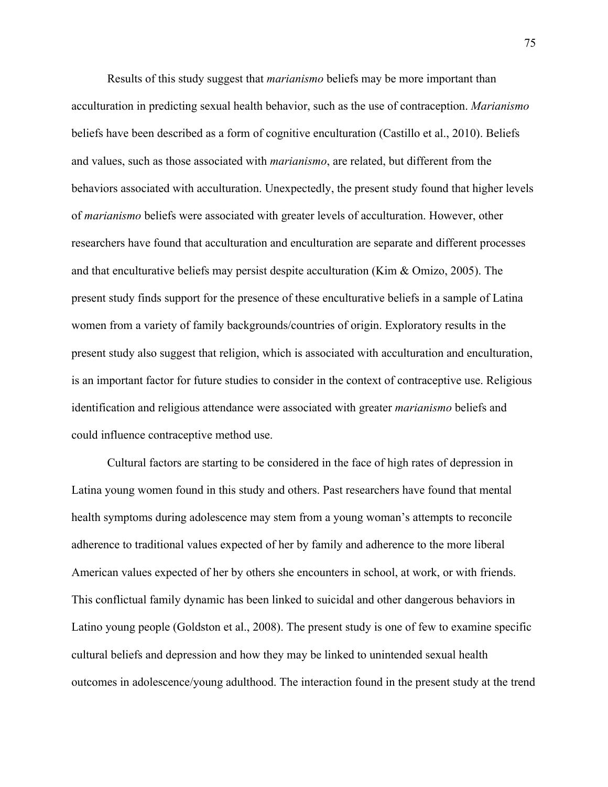Results of this study suggest that *marianismo* beliefs may be more important than acculturation in predicting sexual health behavior, such as the use of contraception. *Marianismo* beliefs have been described as a form of cognitive enculturation (Castillo et al., 2010). Beliefs and values, such as those associated with *marianismo*, are related, but different from the behaviors associated with acculturation. Unexpectedly, the present study found that higher levels of *marianismo* beliefs were associated with greater levels of acculturation. However, other researchers have found that acculturation and enculturation are separate and different processes and that enculturative beliefs may persist despite acculturation (Kim & Omizo, 2005). The present study finds support for the presence of these enculturative beliefs in a sample of Latina women from a variety of family backgrounds/countries of origin. Exploratory results in the present study also suggest that religion, which is associated with acculturation and enculturation, is an important factor for future studies to consider in the context of contraceptive use. Religious identification and religious attendance were associated with greater *marianismo* beliefs and could influence contraceptive method use.

Cultural factors are starting to be considered in the face of high rates of depression in Latina young women found in this study and others. Past researchers have found that mental health symptoms during adolescence may stem from a young woman's attempts to reconcile adherence to traditional values expected of her by family and adherence to the more liberal American values expected of her by others she encounters in school, at work, or with friends. This conflictual family dynamic has been linked to suicidal and other dangerous behaviors in Latino young people (Goldston et al., 2008). The present study is one of few to examine specific cultural beliefs and depression and how they may be linked to unintended sexual health outcomes in adolescence/young adulthood. The interaction found in the present study at the trend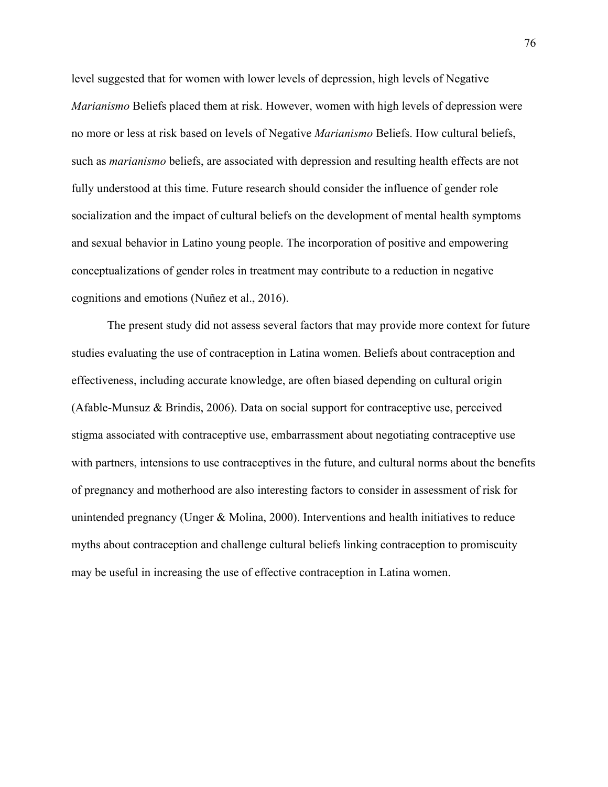level suggested that for women with lower levels of depression, high levels of Negative *Marianismo* Beliefs placed them at risk. However, women with high levels of depression were no more or less at risk based on levels of Negative *Marianismo* Beliefs. How cultural beliefs, such as *marianismo* beliefs, are associated with depression and resulting health effects are not fully understood at this time. Future research should consider the influence of gender role socialization and the impact of cultural beliefs on the development of mental health symptoms and sexual behavior in Latino young people. The incorporation of positive and empowering conceptualizations of gender roles in treatment may contribute to a reduction in negative cognitions and emotions (Nuñez et al., 2016).

The present study did not assess several factors that may provide more context for future studies evaluating the use of contraception in Latina women. Beliefs about contraception and effectiveness, including accurate knowledge, are often biased depending on cultural origin (Afable-Munsuz & Brindis, 2006). Data on social support for contraceptive use, perceived stigma associated with contraceptive use, embarrassment about negotiating contraceptive use with partners, intensions to use contraceptives in the future, and cultural norms about the benefits of pregnancy and motherhood are also interesting factors to consider in assessment of risk for unintended pregnancy (Unger & Molina, 2000). Interventions and health initiatives to reduce myths about contraception and challenge cultural beliefs linking contraception to promiscuity may be useful in increasing the use of effective contraception in Latina women.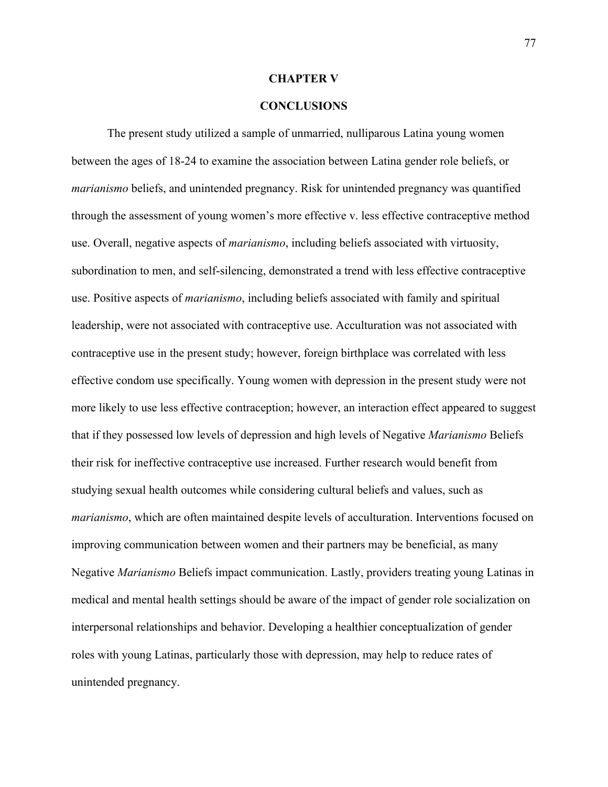#### **CHAPTER V**

## **CONCLUSIONS**

The present study utilized a sample of unmarried, nulliparous Latina young women between the ages of 18-24 to examine the association between Latina gender role beliefs, or *marianismo* beliefs, and unintended pregnancy. Risk for unintended pregnancy was quantified through the assessment of young women's more effective v. less effective contraceptive method use. Overall, negative aspects of *marianismo*, including beliefs associated with virtuosity, subordination to men, and self-silencing, demonstrated a trend with less effective contraceptive use. Positive aspects of *marianismo*, including beliefs associated with family and spiritual leadership, were not associated with contraceptive use. Acculturation was not associated with contraceptive use in the present study; however, foreign birthplace was correlated with less effective condom use specifically. Young women with depression in the present study were not more likely to use less effective contraception; however, an interaction effect appeared to suggest that if they possessed low levels of depression and high levels of Negative *Marianismo* Beliefs their risk for ineffective contraceptive use increased. Further research would benefit from studying sexual health outcomes while considering cultural beliefs and values, such as *marianismo*, which are often maintained despite levels of acculturation. Interventions focused on improving communication between women and their partners may be beneficial, as many Negative *Marianismo* Beliefs impact communication. Lastly, providers treating young Latinas in medical and mental health settings should be aware of the impact of gender role socialization on interpersonal relationships and behavior. Developing a healthier conceptualization of gender roles with young Latinas, particularly those with depression, may help to reduce rates of unintended pregnancy.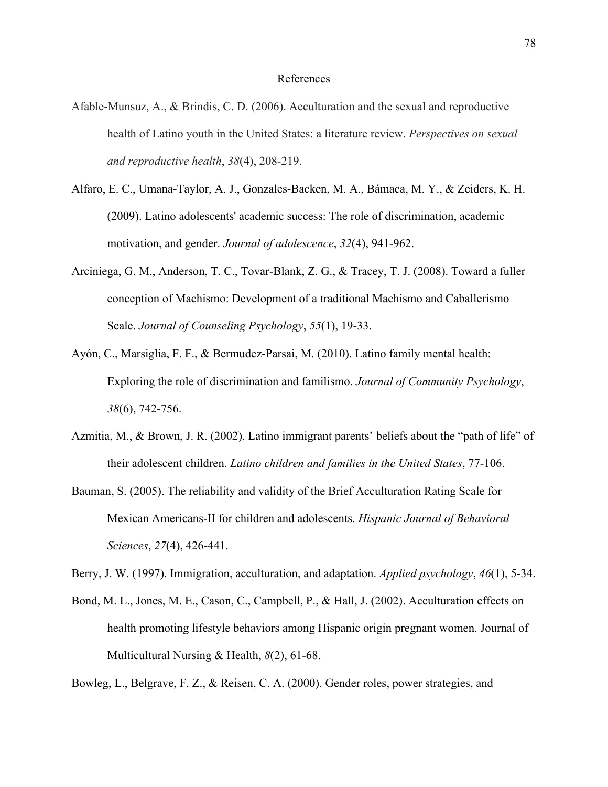#### References

- Afable-Munsuz, A., & Brindis, C. D. (2006). Acculturation and the sexual and reproductive health of Latino youth in the United States: a literature review. *Perspectives on sexual and reproductive health*, *38*(4), 208-219.
- Alfaro, E. C., Umana-Taylor, A. J., Gonzales-Backen, M. A., Bámaca, M. Y., & Zeiders, K. H. (2009). Latino adolescents' academic success: The role of discrimination, academic motivation, and gender. *Journal of adolescence*, *32*(4), 941-962.
- Arciniega, G. M., Anderson, T. C., Tovar-Blank, Z. G., & Tracey, T. J. (2008). Toward a fuller conception of Machismo: Development of a traditional Machismo and Caballerismo Scale. *Journal of Counseling Psychology*, *55*(1), 19-33.
- Ayón, C., Marsiglia, F. F., & Bermudez-Parsai, M. (2010). Latino family mental health: Exploring the role of discrimination and familismo. *Journal of Community Psychology*, *38*(6), 742-756.
- Azmitia, M., & Brown, J. R. (2002). Latino immigrant parents' beliefs about the "path of life" of their adolescent children. *Latino children and families in the United States*, 77-106.
- Bauman, S. (2005). The reliability and validity of the Brief Acculturation Rating Scale for Mexican Americans-II for children and adolescents. *Hispanic Journal of Behavioral Sciences*, *27*(4), 426-441.

Berry, J. W. (1997). Immigration, acculturation, and adaptation. *Applied psychology*, *46*(1), 5-34.

Bond, M. L., Jones, M. E., Cason, C., Campbell, P., & Hall, J. (2002). Acculturation effects on health promoting lifestyle behaviors among Hispanic origin pregnant women. Journal of Multicultural Nursing & Health, *8*(2), 61-68.

Bowleg, L., Belgrave, F. Z., & Reisen, C. A. (2000). Gender roles, power strategies, and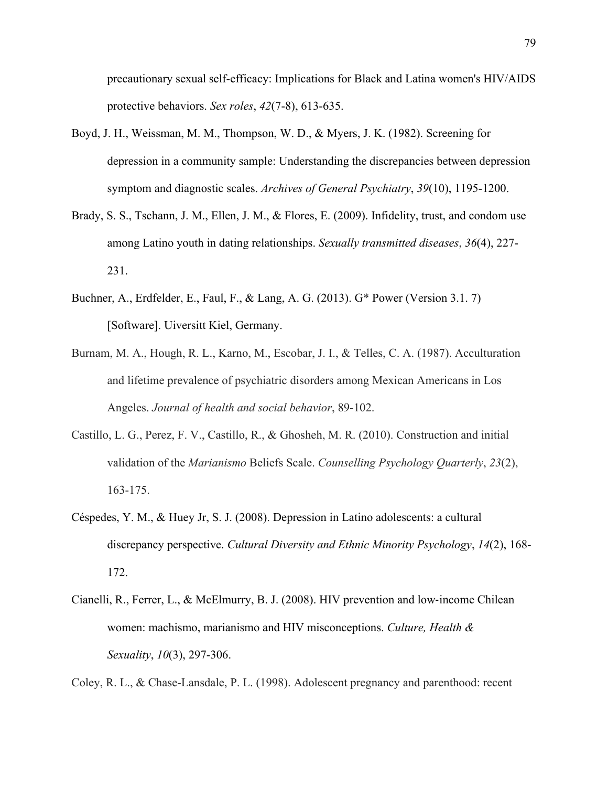precautionary sexual self-efficacy: Implications for Black and Latina women's HIV/AIDS protective behaviors. *Sex roles*, *42*(7-8), 613-635.

- Boyd, J. H., Weissman, M. M., Thompson, W. D., & Myers, J. K. (1982). Screening for depression in a community sample: Understanding the discrepancies between depression symptom and diagnostic scales. *Archives of General Psychiatry*, *39*(10), 1195-1200.
- Brady, S. S., Tschann, J. M., Ellen, J. M., & Flores, E. (2009). Infidelity, trust, and condom use among Latino youth in dating relationships. *Sexually transmitted diseases*, *36*(4), 227- 231.
- Buchner, A., Erdfelder, E., Faul, F., & Lang, A. G. (2013). G\* Power (Version 3.1. 7) [Software]. Uiversitt Kiel, Germany.
- Burnam, M. A., Hough, R. L., Karno, M., Escobar, J. I., & Telles, C. A. (1987). Acculturation and lifetime prevalence of psychiatric disorders among Mexican Americans in Los Angeles. *Journal of health and social behavior*, 89-102.
- Castillo, L. G., Perez, F. V., Castillo, R., & Ghosheh, M. R. (2010). Construction and initial validation of the *Marianismo* Beliefs Scale. *Counselling Psychology Quarterly*, *23*(2), 163-175.
- Céspedes, Y. M., & Huey Jr, S. J. (2008). Depression in Latino adolescents: a cultural discrepancy perspective. *Cultural Diversity and Ethnic Minority Psychology*, *14*(2), 168- 172.
- Cianelli, R., Ferrer, L., & McElmurry, B. J. (2008). HIV prevention and low-income Chilean women: machismo, marianismo and HIV misconceptions. *Culture, Health & Sexuality*, *10*(3), 297-306.

Coley, R. L., & Chase-Lansdale, P. L. (1998). Adolescent pregnancy and parenthood: recent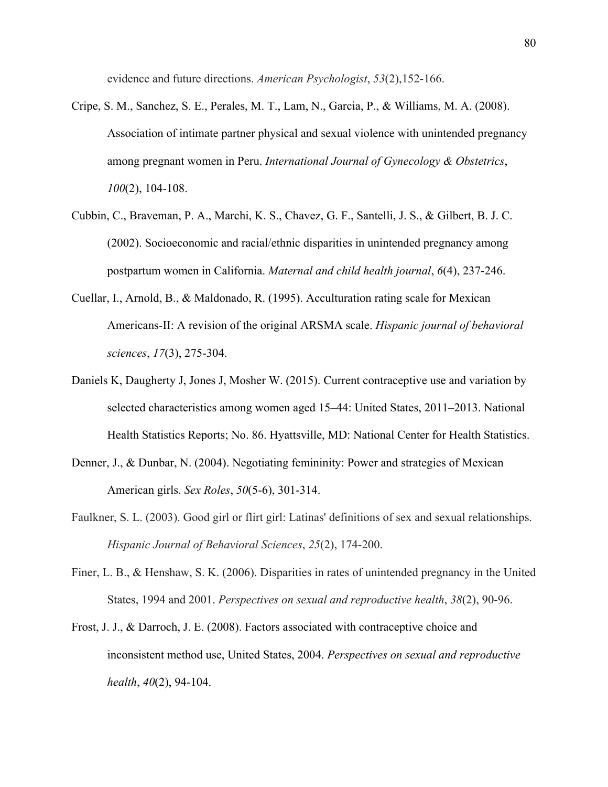evidence and future directions. *American Psychologist*, *53*(2),152-166.

- Cripe, S. M., Sanchez, S. E., Perales, M. T., Lam, N., Garcia, P., & Williams, M. A. (2008). Association of intimate partner physical and sexual violence with unintended pregnancy among pregnant women in Peru. *International Journal of Gynecology & Obstetrics*, *100*(2), 104-108.
- Cubbin, C., Braveman, P. A., Marchi, K. S., Chavez, G. F., Santelli, J. S., & Gilbert, B. J. C. (2002). Socioeconomic and racial/ethnic disparities in unintended pregnancy among postpartum women in California. *Maternal and child health journal*, *6*(4), 237-246.
- Cuellar, I., Arnold, B., & Maldonado, R. (1995). Acculturation rating scale for Mexican Americans-II: A revision of the original ARSMA scale. *Hispanic journal of behavioral sciences*, *17*(3), 275-304.
- Daniels K, Daugherty J, Jones J, Mosher W. (2015). Current contraceptive use and variation by selected characteristics among women aged 15–44: United States, 2011–2013. National Health Statistics Reports; No. 86. Hyattsville, MD: National Center for Health Statistics.
- Denner, J., & Dunbar, N. (2004). Negotiating femininity: Power and strategies of Mexican American girls. *Sex Roles*, *50*(5-6), 301-314.
- Faulkner, S. L. (2003). Good girl or flirt girl: Latinas' definitions of sex and sexual relationships. *Hispanic Journal of Behavioral Sciences*, *25*(2), 174-200.
- Finer, L. B., & Henshaw, S. K. (2006). Disparities in rates of unintended pregnancy in the United States, 1994 and 2001. *Perspectives on sexual and reproductive health*, *38*(2), 90-96.
- Frost, J. J., & Darroch, J. E. (2008). Factors associated with contraceptive choice and inconsistent method use, United States, 2004. *Perspectives on sexual and reproductive health*, *40*(2), 94-104.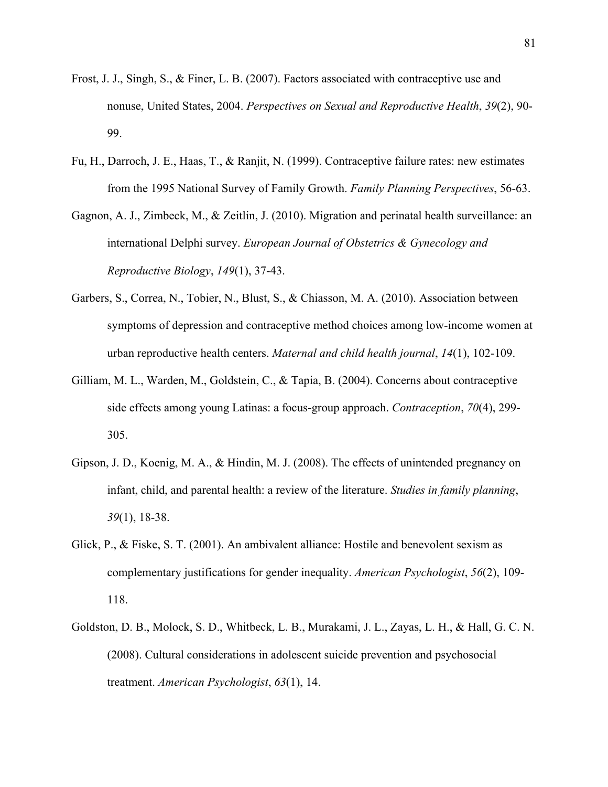- Frost, J. J., Singh, S., & Finer, L. B. (2007). Factors associated with contraceptive use and nonuse, United States, 2004. *Perspectives on Sexual and Reproductive Health*, *39*(2), 90- 99.
- Fu, H., Darroch, J. E., Haas, T., & Ranjit, N. (1999). Contraceptive failure rates: new estimates from the 1995 National Survey of Family Growth. *Family Planning Perspectives*, 56-63.
- Gagnon, A. J., Zimbeck, M., & Zeitlin, J. (2010). Migration and perinatal health surveillance: an international Delphi survey. *European Journal of Obstetrics & Gynecology and Reproductive Biology*, *149*(1), 37-43.
- Garbers, S., Correa, N., Tobier, N., Blust, S., & Chiasson, M. A. (2010). Association between symptoms of depression and contraceptive method choices among low-income women at urban reproductive health centers. *Maternal and child health journal*, *14*(1), 102-109.
- Gilliam, M. L., Warden, M., Goldstein, C., & Tapia, B. (2004). Concerns about contraceptive side effects among young Latinas: a focus-group approach. *Contraception*, *70*(4), 299- 305.
- Gipson, J. D., Koenig, M. A., & Hindin, M. J. (2008). The effects of unintended pregnancy on infant, child, and parental health: a review of the literature. *Studies in family planning*, *39*(1), 18-38.
- Glick, P., & Fiske, S. T. (2001). An ambivalent alliance: Hostile and benevolent sexism as complementary justifications for gender inequality. *American Psychologist*, *56*(2), 109- 118.
- Goldston, D. B., Molock, S. D., Whitbeck, L. B., Murakami, J. L., Zayas, L. H., & Hall, G. C. N. (2008). Cultural considerations in adolescent suicide prevention and psychosocial treatment. *American Psychologist*, *63*(1), 14.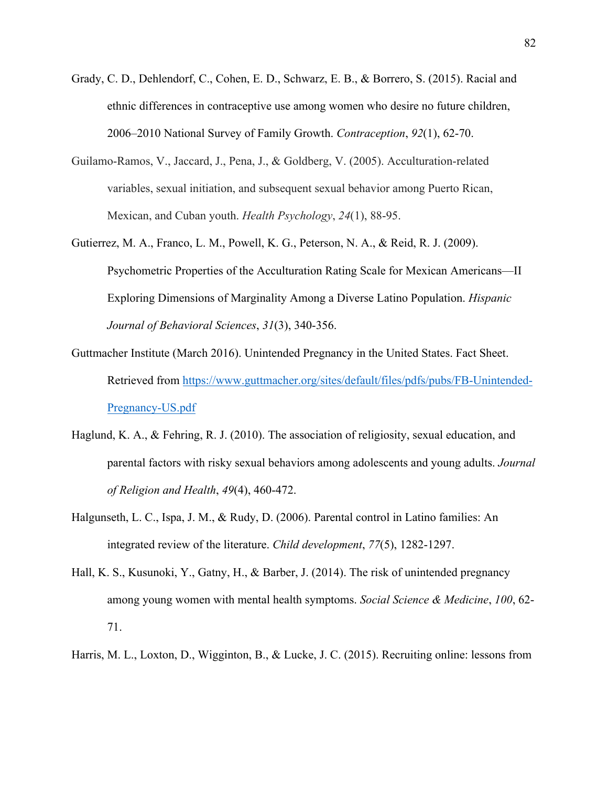- Grady, C. D., Dehlendorf, C., Cohen, E. D., Schwarz, E. B., & Borrero, S. (2015). Racial and ethnic differences in contraceptive use among women who desire no future children, 2006–2010 National Survey of Family Growth. *Contraception*, *92*(1), 62-70.
- Guilamo-Ramos, V., Jaccard, J., Pena, J., & Goldberg, V. (2005). Acculturation-related variables, sexual initiation, and subsequent sexual behavior among Puerto Rican, Mexican, and Cuban youth. *Health Psychology*, *24*(1), 88-95.
- Gutierrez, M. A., Franco, L. M., Powell, K. G., Peterson, N. A., & Reid, R. J. (2009). Psychometric Properties of the Acculturation Rating Scale for Mexican Americans—II Exploring Dimensions of Marginality Among a Diverse Latino Population. *Hispanic Journal of Behavioral Sciences*, *31*(3), 340-356.
- Guttmacher Institute (March 2016). Unintended Pregnancy in the United States. Fact Sheet. Retrieved from https://www.guttmacher.org/sites/default/files/pdfs/pubs/FB-Unintended-Pregnancy-US.pdf
- Haglund, K. A., & Fehring, R. J. (2010). The association of religiosity, sexual education, and parental factors with risky sexual behaviors among adolescents and young adults. *Journal of Religion and Health*, *49*(4), 460-472.
- Halgunseth, L. C., Ispa, J. M., & Rudy, D. (2006). Parental control in Latino families: An integrated review of the literature. *Child development*, *77*(5), 1282-1297.
- Hall, K. S., Kusunoki, Y., Gatny, H., & Barber, J. (2014). The risk of unintended pregnancy among young women with mental health symptoms. *Social Science & Medicine*, *100*, 62- 71.
- Harris, M. L., Loxton, D., Wigginton, B., & Lucke, J. C. (2015). Recruiting online: lessons from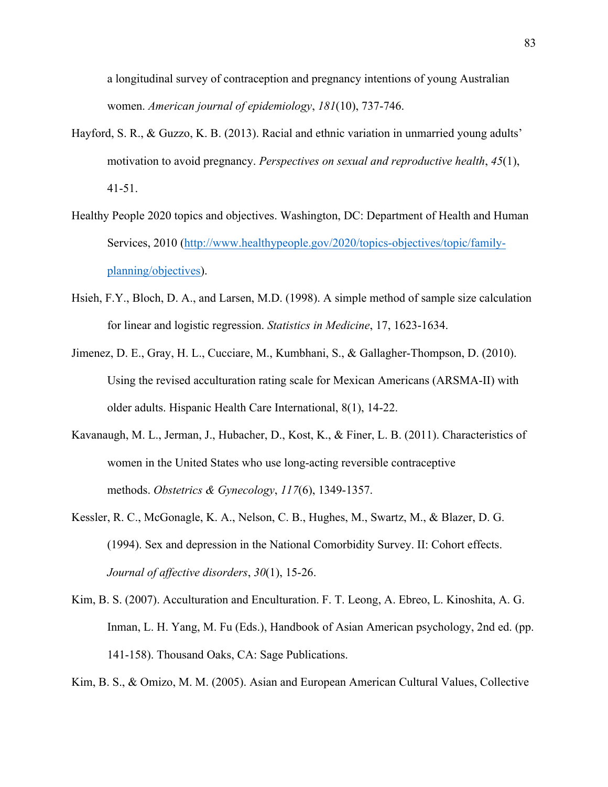a longitudinal survey of contraception and pregnancy intentions of young Australian women. *American journal of epidemiology*, *181*(10), 737-746.

- Hayford, S. R., & Guzzo, K. B. (2013). Racial and ethnic variation in unmarried young adults' motivation to avoid pregnancy. *Perspectives on sexual and reproductive health*, *45*(1), 41-51.
- Healthy People 2020 topics and objectives. Washington, DC: Department of Health and Human Services, 2010 (http://www.healthypeople.gov/2020/topics-objectives/topic/familyplanning/objectives).
- Hsieh, F.Y., Bloch, D. A., and Larsen, M.D. (1998). A simple method of sample size calculation for linear and logistic regression. *Statistics in Medicine*, 17, 1623-1634.
- Jimenez, D. E., Gray, H. L., Cucciare, M., Kumbhani, S., & Gallagher-Thompson, D. (2010). Using the revised acculturation rating scale for Mexican Americans (ARSMA-II) with older adults. Hispanic Health Care International, 8(1), 14-22.
- Kavanaugh, M. L., Jerman, J., Hubacher, D., Kost, K., & Finer, L. B. (2011). Characteristics of women in the United States who use long-acting reversible contraceptive methods. *Obstetrics & Gynecology*, *117*(6), 1349-1357.
- Kessler, R. C., McGonagle, K. A., Nelson, C. B., Hughes, M., Swartz, M., & Blazer, D. G. (1994). Sex and depression in the National Comorbidity Survey. II: Cohort effects. *Journal of affective disorders*, *30*(1), 15-26.
- Kim, B. S. (2007). Acculturation and Enculturation. F. T. Leong, A. Ebreo, L. Kinoshita, A. G. Inman, L. H. Yang, M. Fu (Eds.), Handbook of Asian American psychology, 2nd ed. (pp. 141-158). Thousand Oaks, CA: Sage Publications.

Kim, B. S., & Omizo, M. M. (2005). Asian and European American Cultural Values, Collective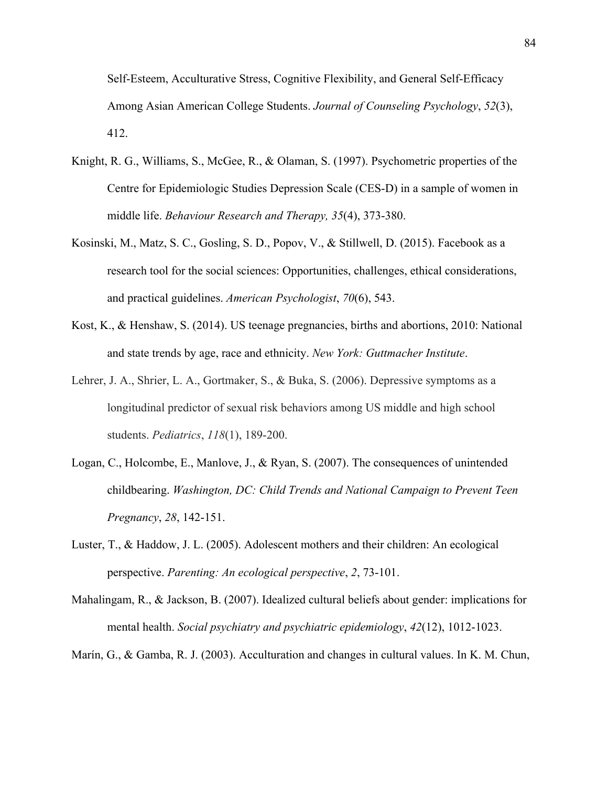Self-Esteem, Acculturative Stress, Cognitive Flexibility, and General Self-Efficacy Among Asian American College Students. *Journal of Counseling Psychology*, *52*(3), 412.

- Knight, R. G., Williams, S., McGee, R., & Olaman, S. (1997). Psychometric properties of the Centre for Epidemiologic Studies Depression Scale (CES-D) in a sample of women in middle life. *Behaviour Research and Therapy, 35*(4), 373-380.
- Kosinski, M., Matz, S. C., Gosling, S. D., Popov, V., & Stillwell, D. (2015). Facebook as a research tool for the social sciences: Opportunities, challenges, ethical considerations, and practical guidelines. *American Psychologist*, *70*(6), 543.
- Kost, K., & Henshaw, S. (2014). US teenage pregnancies, births and abortions, 2010: National and state trends by age, race and ethnicity. *New York: Guttmacher Institute*.
- Lehrer, J. A., Shrier, L. A., Gortmaker, S., & Buka, S. (2006). Depressive symptoms as a longitudinal predictor of sexual risk behaviors among US middle and high school students. *Pediatrics*, *118*(1), 189-200.
- Logan, C., Holcombe, E., Manlove, J., & Ryan, S. (2007). The consequences of unintended childbearing. *Washington, DC: Child Trends and National Campaign to Prevent Teen Pregnancy*, *28*, 142-151.
- Luster, T., & Haddow, J. L. (2005). Adolescent mothers and their children: An ecological perspective. *Parenting: An ecological perspective*, *2*, 73-101.
- Mahalingam, R., & Jackson, B. (2007). Idealized cultural beliefs about gender: implications for mental health. *Social psychiatry and psychiatric epidemiology*, *42*(12), 1012-1023.

Marín, G., & Gamba, R. J. (2003). Acculturation and changes in cultural values. In K. M. Chun,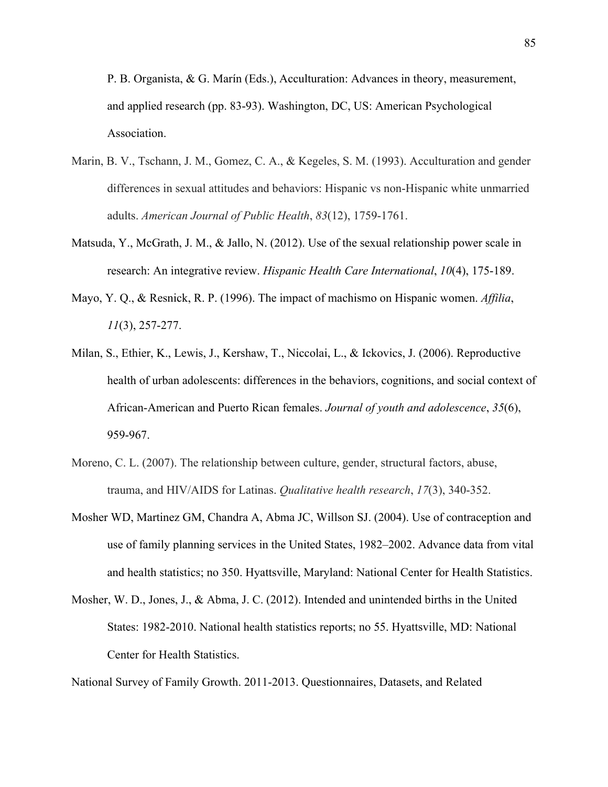P. B. Organista, & G. Marín (Eds.), Acculturation: Advances in theory, measurement, and applied research (pp. 83-93). Washington, DC, US: American Psychological Association.

- Marin, B. V., Tschann, J. M., Gomez, C. A., & Kegeles, S. M. (1993). Acculturation and gender differences in sexual attitudes and behaviors: Hispanic vs non-Hispanic white unmarried adults. *American Journal of Public Health*, *83*(12), 1759-1761.
- Matsuda, Y., McGrath, J. M., & Jallo, N. (2012). Use of the sexual relationship power scale in research: An integrative review. *Hispanic Health Care International*, *10*(4), 175-189.
- Mayo, Y. Q., & Resnick, R. P. (1996). The impact of machismo on Hispanic women. *Affilia*, *11*(3), 257-277.
- Milan, S., Ethier, K., Lewis, J., Kershaw, T., Niccolai, L., & Ickovics, J. (2006). Reproductive health of urban adolescents: differences in the behaviors, cognitions, and social context of African-American and Puerto Rican females. *Journal of youth and adolescence*, *35*(6), 959-967.
- Moreno, C. L. (2007). The relationship between culture, gender, structural factors, abuse, trauma, and HIV/AIDS for Latinas. *Qualitative health research*, *17*(3), 340-352.
- Mosher WD, Martinez GM, Chandra A, Abma JC, Willson SJ. (2004). Use of contraception and use of family planning services in the United States, 1982–2002. Advance data from vital and health statistics; no 350. Hyattsville, Maryland: National Center for Health Statistics.
- Mosher, W. D., Jones, J., & Abma, J. C. (2012). Intended and unintended births in the United States: 1982-2010. National health statistics reports; no 55. Hyattsville, MD: National Center for Health Statistics.

National Survey of Family Growth. 2011-2013. Questionnaires, Datasets, and Related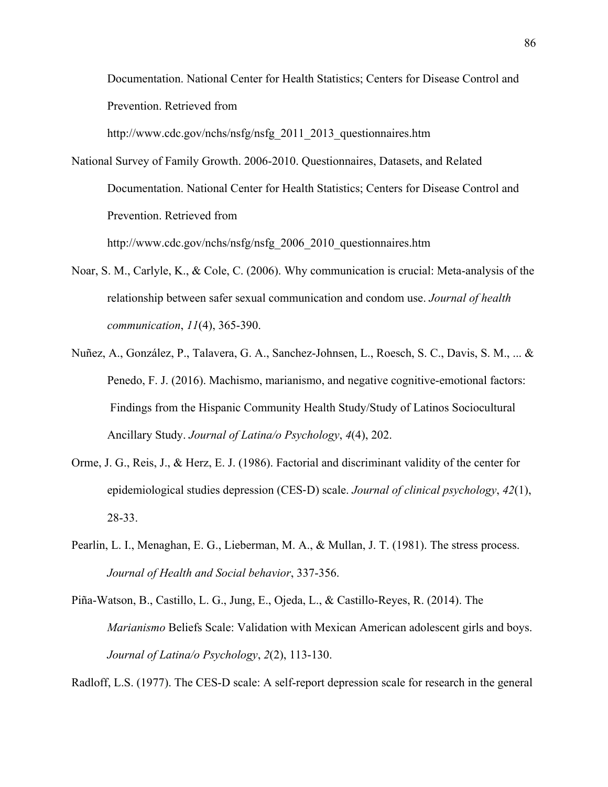Documentation. National Center for Health Statistics; Centers for Disease Control and Prevention. Retrieved from

http://www.cdc.gov/nchs/nsfg/nsfg\_2011\_2013\_questionnaires.htm

National Survey of Family Growth. 2006-2010. Questionnaires, Datasets, and Related Documentation. National Center for Health Statistics; Centers for Disease Control and Prevention. Retrieved from

http://www.cdc.gov/nchs/nsfg/nsfg\_2006\_2010\_questionnaires.htm

- Noar, S. M., Carlyle, K., & Cole, C. (2006). Why communication is crucial: Meta-analysis of the relationship between safer sexual communication and condom use. *Journal of health communication*, *11*(4), 365-390.
- Nuñez, A., González, P., Talavera, G. A., Sanchez-Johnsen, L., Roesch, S. C., Davis, S. M., ... & Penedo, F. J. (2016). Machismo, marianismo, and negative cognitive-emotional factors: Findings from the Hispanic Community Health Study/Study of Latinos Sociocultural Ancillary Study. *Journal of Latina/o Psychology*, *4*(4), 202.
- Orme, J. G., Reis, J., & Herz, E. J. (1986). Factorial and discriminant validity of the center for epidemiological studies depression (CES-D) scale. *Journal of clinical psychology*, *42*(1), 28-33.
- Pearlin, L. I., Menaghan, E. G., Lieberman, M. A., & Mullan, J. T. (1981). The stress process. *Journal of Health and Social behavior*, 337-356.
- Piña-Watson, B., Castillo, L. G., Jung, E., Ojeda, L., & Castillo-Reyes, R. (2014). The *Marianismo* Beliefs Scale: Validation with Mexican American adolescent girls and boys. *Journal of Latina/o Psychology*, *2*(2), 113-130.

Radloff, L.S. (1977). The CES-D scale: A self-report depression scale for research in the general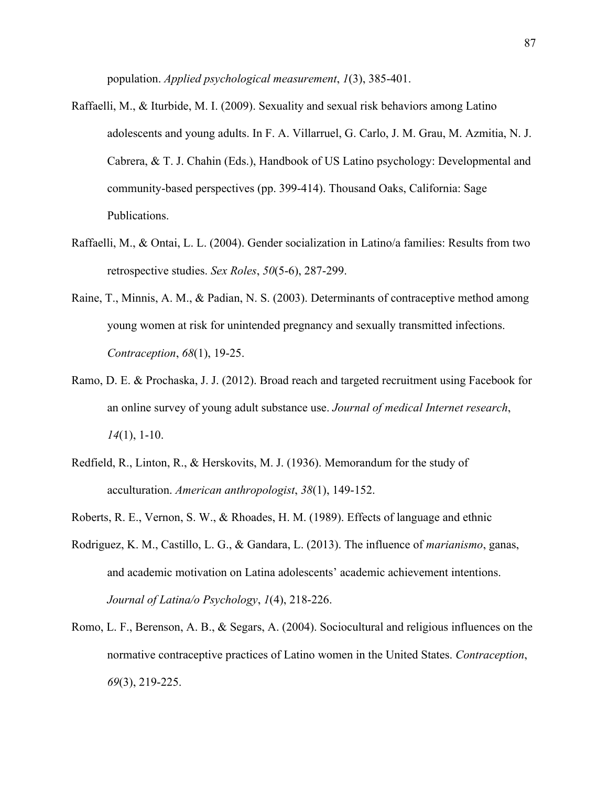population. *Applied psychological measurement*, *1*(3), 385-401.

- Raffaelli, M., & Iturbide, M. I. (2009). Sexuality and sexual risk behaviors among Latino adolescents and young adults. In F. A. Villarruel, G. Carlo, J. M. Grau, M. Azmitia, N. J. Cabrera, & T. J. Chahin (Eds.), Handbook of US Latino psychology: Developmental and community-based perspectives (pp. 399-414). Thousand Oaks, California: Sage Publications.
- Raffaelli, M., & Ontai, L. L. (2004). Gender socialization in Latino/a families: Results from two retrospective studies. *Sex Roles*, *50*(5-6), 287-299.
- Raine, T., Minnis, A. M., & Padian, N. S. (2003). Determinants of contraceptive method among young women at risk for unintended pregnancy and sexually transmitted infections. *Contraception*, *68*(1), 19-25.
- Ramo, D. E. & Prochaska, J. J. (2012). Broad reach and targeted recruitment using Facebook for an online survey of young adult substance use. *Journal of medical Internet research*, *14*(1), 1-10.
- Redfield, R., Linton, R., & Herskovits, M. J. (1936). Memorandum for the study of acculturation. *American anthropologist*, *38*(1), 149-152.
- Roberts, R. E., Vernon, S. W., & Rhoades, H. M. (1989). Effects of language and ethnic
- Rodriguez, K. M., Castillo, L. G., & Gandara, L. (2013). The influence of *marianismo*, ganas, and academic motivation on Latina adolescents' academic achievement intentions. *Journal of Latina/o Psychology*, *1*(4), 218-226.
- Romo, L. F., Berenson, A. B., & Segars, A. (2004). Sociocultural and religious influences on the normative contraceptive practices of Latino women in the United States. *Contraception*, *69*(3), 219-225.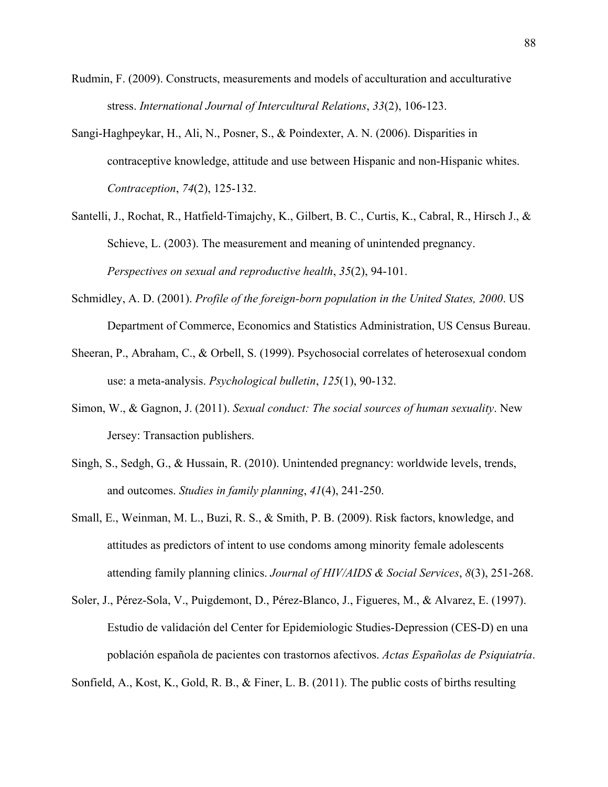- Rudmin, F. (2009). Constructs, measurements and models of acculturation and acculturative stress. *International Journal of Intercultural Relations*, *33*(2), 106-123.
- Sangi-Haghpeykar, H., Ali, N., Posner, S., & Poindexter, A. N. (2006). Disparities in contraceptive knowledge, attitude and use between Hispanic and non-Hispanic whites. *Contraception*, *74*(2), 125-132.
- Santelli, J., Rochat, R., Hatfield-Timajchy, K., Gilbert, B. C., Curtis, K., Cabral, R., Hirsch J., & Schieve, L. (2003). The measurement and meaning of unintended pregnancy. *Perspectives on sexual and reproductive health*, *35*(2), 94-101.
- Schmidley, A. D. (2001). *Profile of the foreign-born population in the United States, 2000*. US Department of Commerce, Economics and Statistics Administration, US Census Bureau.
- Sheeran, P., Abraham, C., & Orbell, S. (1999). Psychosocial correlates of heterosexual condom use: a meta-analysis. *Psychological bulletin*, *125*(1), 90-132.
- Simon, W., & Gagnon, J. (2011). *Sexual conduct: The social sources of human sexuality*. New Jersey: Transaction publishers.
- Singh, S., Sedgh, G., & Hussain, R. (2010). Unintended pregnancy: worldwide levels, trends, and outcomes. *Studies in family planning*, *41*(4), 241-250.
- Small, E., Weinman, M. L., Buzi, R. S., & Smith, P. B. (2009). Risk factors, knowledge, and attitudes as predictors of intent to use condoms among minority female adolescents attending family planning clinics. *Journal of HIV/AIDS & Social Services*, *8*(3), 251-268.
- Soler, J., Pérez-Sola, V., Puigdemont, D., Pérez-Blanco, J., Figueres, M., & Alvarez, E. (1997). Estudio de validación del Center for Epidemiologic Studies-Depression (CES-D) en una población española de pacientes con trastornos afectivos. *Actas Españolas de Psiquiatría*.

Sonfield, A., Kost, K., Gold, R. B., & Finer, L. B. (2011). The public costs of births resulting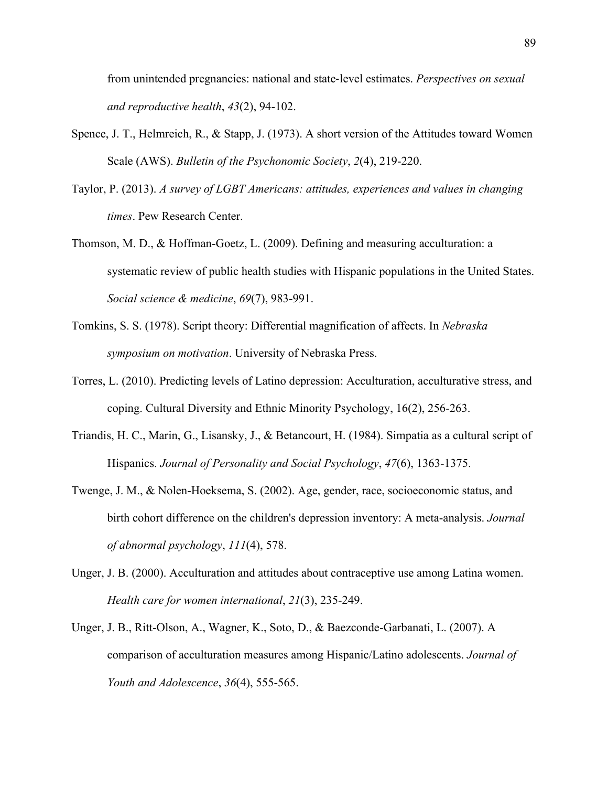from unintended pregnancies: national and state-level estimates. *Perspectives on sexual and reproductive health*, *43*(2), 94-102.

- Spence, J. T., Helmreich, R., & Stapp, J. (1973). A short version of the Attitudes toward Women Scale (AWS). *Bulletin of the Psychonomic Society*, *2*(4), 219-220.
- Taylor, P. (2013). *A survey of LGBT Americans: attitudes, experiences and values in changing times*. Pew Research Center.
- Thomson, M. D., & Hoffman-Goetz, L. (2009). Defining and measuring acculturation: a systematic review of public health studies with Hispanic populations in the United States. *Social science & medicine*, *69*(7), 983-991.
- Tomkins, S. S. (1978). Script theory: Differential magnification of affects. In *Nebraska symposium on motivation*. University of Nebraska Press.
- Torres, L. (2010). Predicting levels of Latino depression: Acculturation, acculturative stress, and coping. Cultural Diversity and Ethnic Minority Psychology, 16(2), 256-263.
- Triandis, H. C., Marin, G., Lisansky, J., & Betancourt, H. (1984). Simpatia as a cultural script of Hispanics. *Journal of Personality and Social Psychology*, *47*(6), 1363-1375.
- Twenge, J. M., & Nolen-Hoeksema, S. (2002). Age, gender, race, socioeconomic status, and birth cohort difference on the children's depression inventory: A meta-analysis. *Journal of abnormal psychology*, *111*(4), 578.
- Unger, J. B. (2000). Acculturation and attitudes about contraceptive use among Latina women. *Health care for women international*, *21*(3), 235-249.
- Unger, J. B., Ritt-Olson, A., Wagner, K., Soto, D., & Baezconde-Garbanati, L. (2007). A comparison of acculturation measures among Hispanic/Latino adolescents. *Journal of Youth and Adolescence*, *36*(4), 555-565.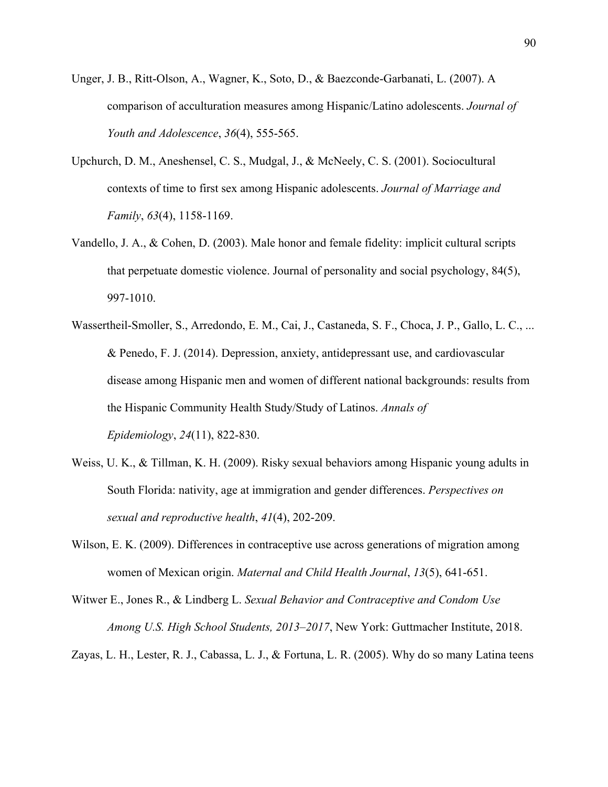- Unger, J. B., Ritt-Olson, A., Wagner, K., Soto, D., & Baezconde-Garbanati, L. (2007). A comparison of acculturation measures among Hispanic/Latino adolescents. *Journal of Youth and Adolescence*, *36*(4), 555-565.
- Upchurch, D. M., Aneshensel, C. S., Mudgal, J., & McNeely, C. S. (2001). Sociocultural contexts of time to first sex among Hispanic adolescents. *Journal of Marriage and Family*, *63*(4), 1158-1169.
- Vandello, J. A., & Cohen, D. (2003). Male honor and female fidelity: implicit cultural scripts that perpetuate domestic violence. Journal of personality and social psychology, 84(5), 997-1010.
- Wassertheil-Smoller, S., Arredondo, E. M., Cai, J., Castaneda, S. F., Choca, J. P., Gallo, L. C., ... & Penedo, F. J. (2014). Depression, anxiety, antidepressant use, and cardiovascular disease among Hispanic men and women of different national backgrounds: results from the Hispanic Community Health Study/Study of Latinos. *Annals of Epidemiology*, *24*(11), 822-830.
- Weiss, U. K., & Tillman, K. H. (2009). Risky sexual behaviors among Hispanic young adults in South Florida: nativity, age at immigration and gender differences. *Perspectives on sexual and reproductive health*, *41*(4), 202-209.
- Wilson, E. K. (2009). Differences in contraceptive use across generations of migration among women of Mexican origin. *Maternal and Child Health Journal*, *13*(5), 641-651.
- Witwer E., Jones R., & Lindberg L. *Sexual Behavior and Contraceptive and Condom Use Among U.S. High School Students, 2013–2017*, New York: Guttmacher Institute, 2018.

Zayas, L. H., Lester, R. J., Cabassa, L. J., & Fortuna, L. R. (2005). Why do so many Latina teens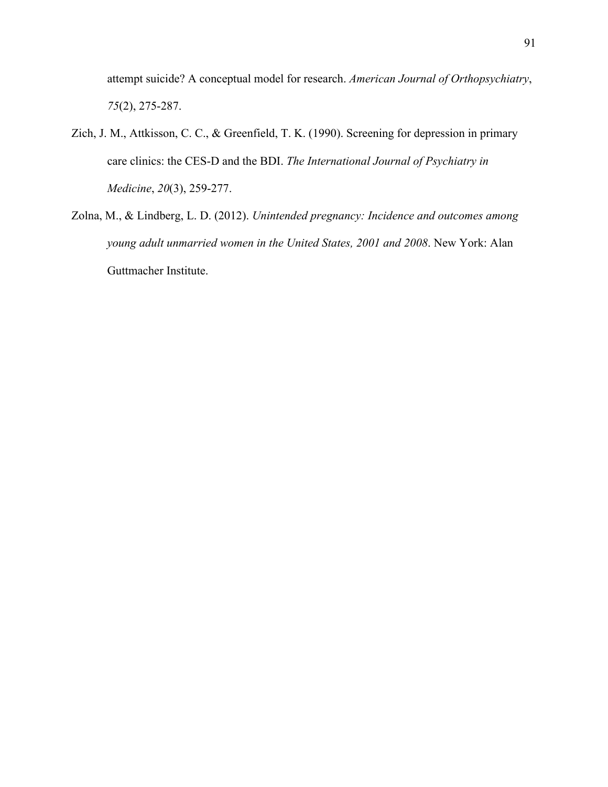attempt suicide? A conceptual model for research. *American Journal of Orthopsychiatry*, *75*(2), 275-287.

- Zich, J. M., Attkisson, C. C., & Greenfield, T. K. (1990). Screening for depression in primary care clinics: the CES-D and the BDI. *The International Journal of Psychiatry in Medicine*, *20*(3), 259-277.
- Zolna, M., & Lindberg, L. D. (2012). *Unintended pregnancy: Incidence and outcomes among young adult unmarried women in the United States, 2001 and 2008*. New York: Alan Guttmacher Institute.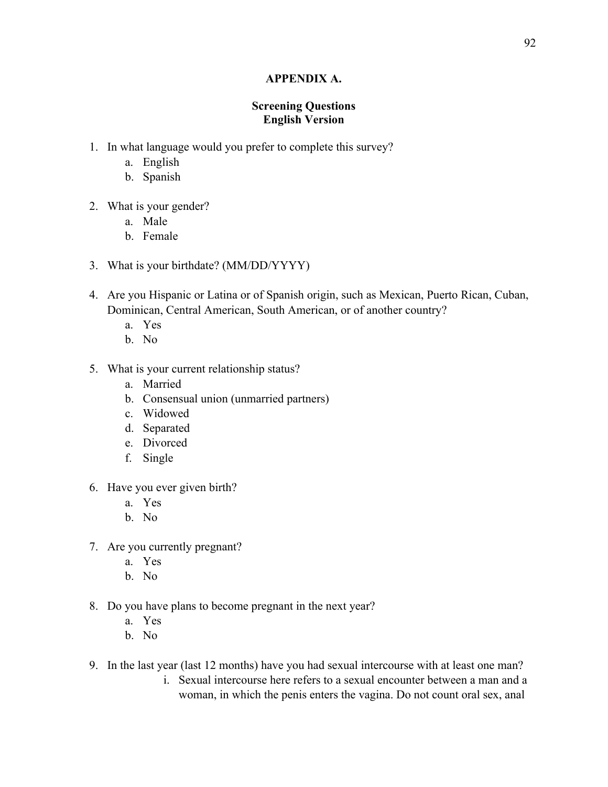### **APPENDIX A.**

# **Screening Questions English Version**

- 1. In what language would you prefer to complete this survey?
	- a. English
	- b. Spanish
- 2. What is your gender?
	- a. Male
	- b. Female
- 3. What is your birthdate? (MM/DD/YYYY)
- 4. Are you Hispanic or Latina or of Spanish origin, such as Mexican, Puerto Rican, Cuban, Dominican, Central American, South American, or of another country?
	- a. Yes
	- b. No
- 5. What is your current relationship status?
	- a. Married
	- b. Consensual union (unmarried partners)
	- c. Widowed
	- d. Separated
	- e. Divorced
	- f. Single
- 6. Have you ever given birth?
	- a. Yes
	- b. No
- 7. Are you currently pregnant?
	- a. Yes
	- b. No
- 8. Do you have plans to become pregnant in the next year?
	- a. Yes
	- b. No
- 9. In the last year (last 12 months) have you had sexual intercourse with at least one man?
	- i. Sexual intercourse here refers to a sexual encounter between a man and a woman, in which the penis enters the vagina. Do not count oral sex, anal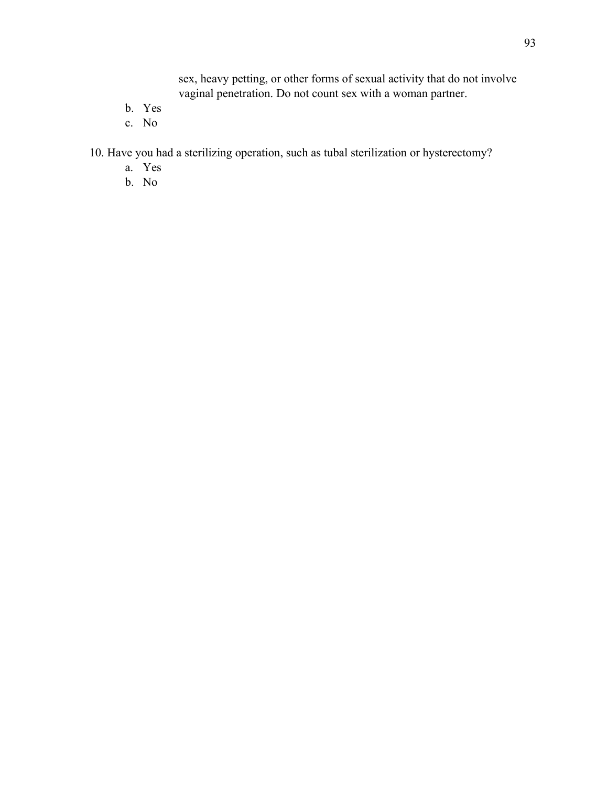sex, heavy petting, or other forms of sexual activity that do not involve vaginal penetration. Do not count sex with a woman partner.

- b. Yes
- c. No

10. Have you had a sterilizing operation, such as tubal sterilization or hysterectomy?

- a. Yes
- b. No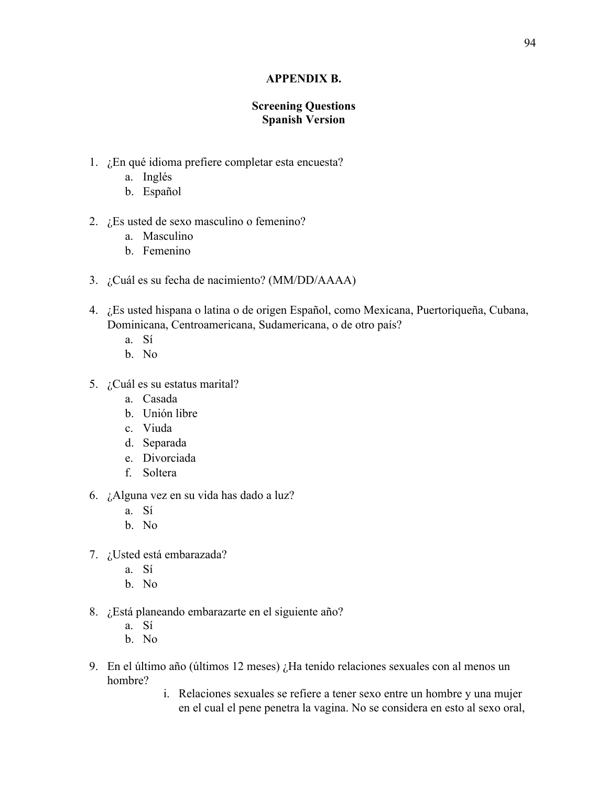### **APPENDIX B.**

# **Screening Questions Spanish Version**

- 1. ¿En qué idioma prefiere completar esta encuesta?
	- a. Inglés
	- b. Español
- 2. ¿Es usted de sexo masculino o femenino?
	- a. Masculino
	- b. Femenino
- 3. ¿Cuál es su fecha de nacimiento? (MM/DD/AAAA)
- 4. ¿Es usted hispana o latina o de origen Español, como Mexicana, Puertoriqueña, Cubana, Dominicana, Centroamericana, Sudamericana, o de otro país?
	- a. Sí
	- b. No
- 5. ¿Cuál es su estatus marital?
	- a. Casada
	- b. Unión libre
	- c. Viuda
	- d. Separada
	- e. Divorciada
	- f. Soltera
- 6. ¿Alguna vez en su vida has dado a luz?
	- a. Sí
	- b. No
- 7. ¿Usted está embarazada?
	- a. Sí
	- b. No
- 8. ¿Está planeando embarazarte en el siguiente año?
	- a. Sí
	- b. No
- 9. En el último año (últimos 12 meses) ¿Ha tenido relaciones sexuales con al menos un hombre?
	- i. Relaciones sexuales se refiere a tener sexo entre un hombre y una mujer en el cual el pene penetra la vagina. No se considera en esto al sexo oral,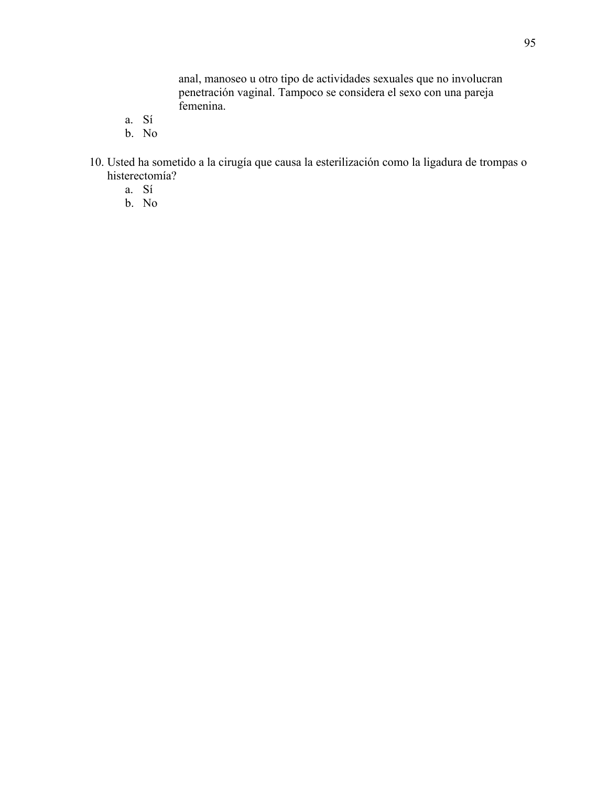anal, manoseo u otro tipo de actividades sexuales que no involucran penetración vaginal. Tampoco se considera el sexo con una pareja femenina.

- a. Sí
- b. No
- 10. Usted ha sometido a la cirugía que causa la esterilización como la ligadura de trompas o histerectomía?
	- a. Sí
	- b. No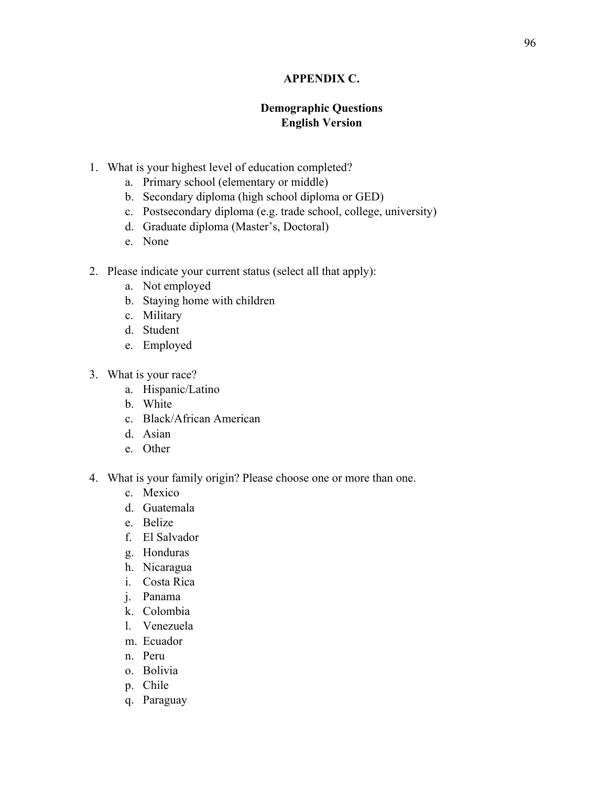# **APPENDIX C.**

# **Demographic Questions English Version**

- 1. What is your highest level of education completed?
	- a. Primary school (elementary or middle)
	- b. Secondary diploma (high school diploma or GED)
	- c. Postsecondary diploma (e.g. trade school, college, university)
	- d. Graduate diploma (Master's, Doctoral)
	- e. None
- 2. Please indicate your current status (select all that apply):
	- a. Not employed
	- b. Staying home with children
	- c. Military
	- d. Student
	- e. Employed
- 3. What is your race?
	- a. Hispanic/Latino
	- b. White
	- c. Black/African American
	- d. Asian
	- e. Other
- 4. What is your family origin? Please choose one or more than one.
	- c. Mexico
	- d. Guatemala
	- e. Belize
	- f. El Salvador
	- g. Honduras
	- h. Nicaragua
	- i. Costa Rica
	- j. Panama
	- k. Colombia
	- l. Venezuela
	- m. Ecuador
	- n. Peru
	- o. Bolivia
	- p. Chile
	- q. Paraguay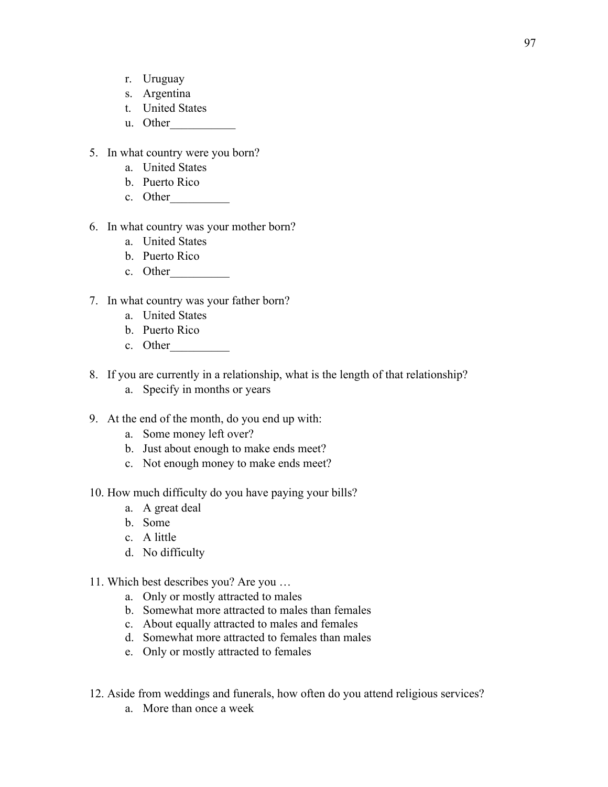- r. Uruguay
- s. Argentina
- t. United States
- u. Other
- 5. In what country were you born?
	- a. United States
	- b. Puerto Rico
	- c. Other\_\_\_\_\_\_\_\_\_\_
- 6. In what country was your mother born?
	- a. United States
	- b. Puerto Rico
	- c. Other
- 7. In what country was your father born?
	- a. United States
	- b. Puerto Rico
	- c. Other
- 8. If you are currently in a relationship, what is the length of that relationship?
	- a. Specify in months or years
- 9. At the end of the month, do you end up with:
	- a. Some money left over?
	- b. Just about enough to make ends meet?
	- c. Not enough money to make ends meet?
- 10. How much difficulty do you have paying your bills?
	- a. A great deal
	- b. Some
	- c. A little
	- d. No difficulty
- 11. Which best describes you? Are you …
	- a. Only or mostly attracted to males
	- b. Somewhat more attracted to males than females
	- c. About equally attracted to males and females
	- d. Somewhat more attracted to females than males
	- e. Only or mostly attracted to females
- 12. Aside from weddings and funerals, how often do you attend religious services?
	- a. More than once a week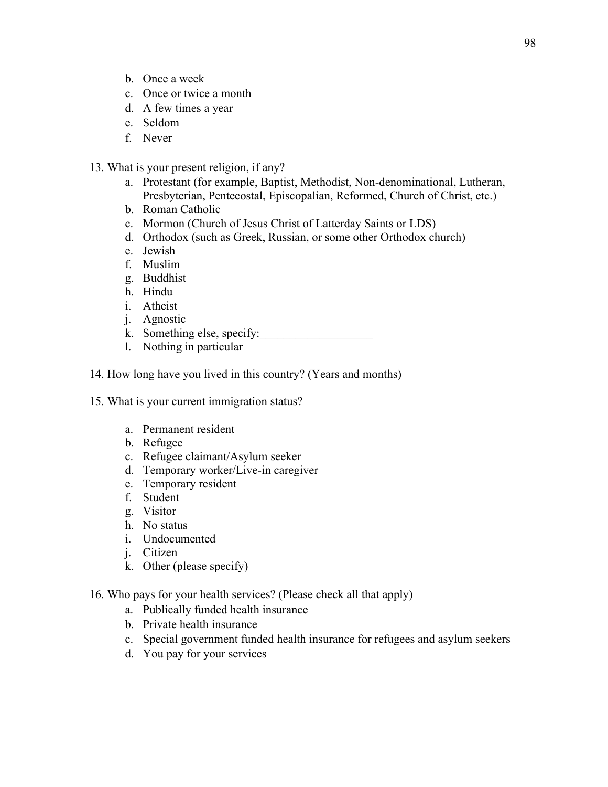- b. Once a week
- c. Once or twice a month
- d. A few times a year
- e. Seldom
- f. Never
- 13. What is your present religion, if any?
	- a. Protestant (for example, Baptist, Methodist, Non-denominational, Lutheran, Presbyterian, Pentecostal, Episcopalian, Reformed, Church of Christ, etc.)
	- b. Roman Catholic
	- c. Mormon (Church of Jesus Christ of Latterday Saints or LDS)
	- d. Orthodox (such as Greek, Russian, or some other Orthodox church)
	- e. Jewish
	- f. Muslim
	- g. Buddhist
	- h. Hindu
	- i. Atheist
	- j. Agnostic
	- k. Something else, specify:
	- l. Nothing in particular
- 14. How long have you lived in this country? (Years and months)
- 15. What is your current immigration status?
	- a. Permanent resident
	- b. Refugee
	- c. Refugee claimant/Asylum seeker
	- d. Temporary worker/Live-in caregiver
	- e. Temporary resident
	- f. Student
	- g. Visitor
	- h. No status
	- i. Undocumented
	- j. Citizen
	- k. Other (please specify)
- 16. Who pays for your health services? (Please check all that apply)
	- a. Publically funded health insurance
	- b. Private health insurance
	- c. Special government funded health insurance for refugees and asylum seekers
	- d. You pay for your services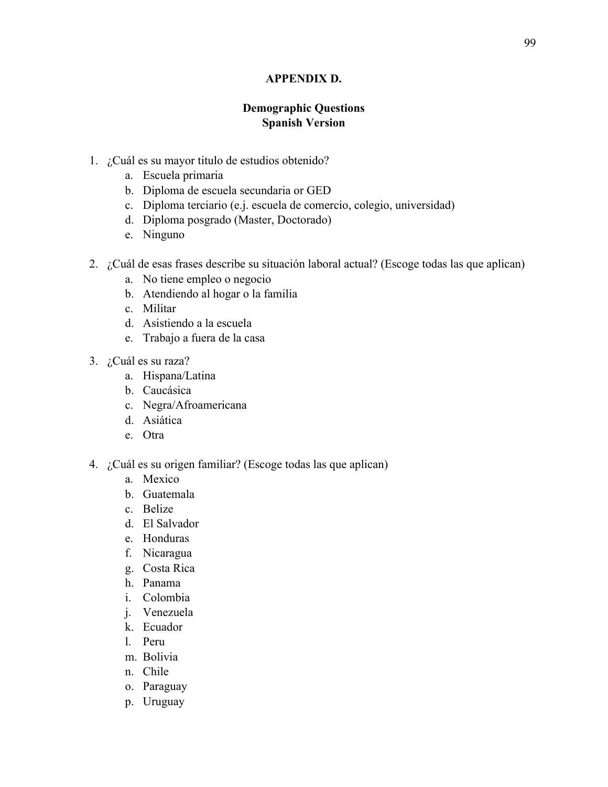## **APPENDIX D.**

## **Demographic Questions Spanish Version**

- 1. ¿Cuál es su mayor titulo de estudios obtenido?
	- a. Escuela primaria
	- b. Diploma de escuela secundaria or GED
	- c. Diploma terciario (e.j. escuela de comercio, colegio, universidad)
	- d. Diploma posgrado (Master, Doctorado)
	- e. Ninguno
- 2. ¿Cuál de esas frases describe su situación laboral actual? (Escoge todas las que aplican)
	- a. No tiene empleo o negocio
	- b. Atendiendo al hogar o la familia
	- c. Militar
	- d. Asistiendo a la escuela
	- e. Trabajo a fuera de la casa
- 3. ¿Cuál es su raza?
	- a. Hispana/Latina
	- b. Caucásica
	- c. Negra/Afroamericana
	- d. Asiática
	- e. Otra
- 4. ¿Cuál es su origen familiar? (Escoge todas las que aplican)
	- a. Mexico
	- b. Guatemala
	- c. Belize
	- d. El Salvador
	- e. Honduras
	- f. Nicaragua
	- g. Costa Rica
	- h. Panama
	- i. Colombia
	- j. Venezuela
	- k. Ecuador
	- l. Peru
	- m. Bolivia
	- n. Chile
	- o. Paraguay
	- p. Uruguay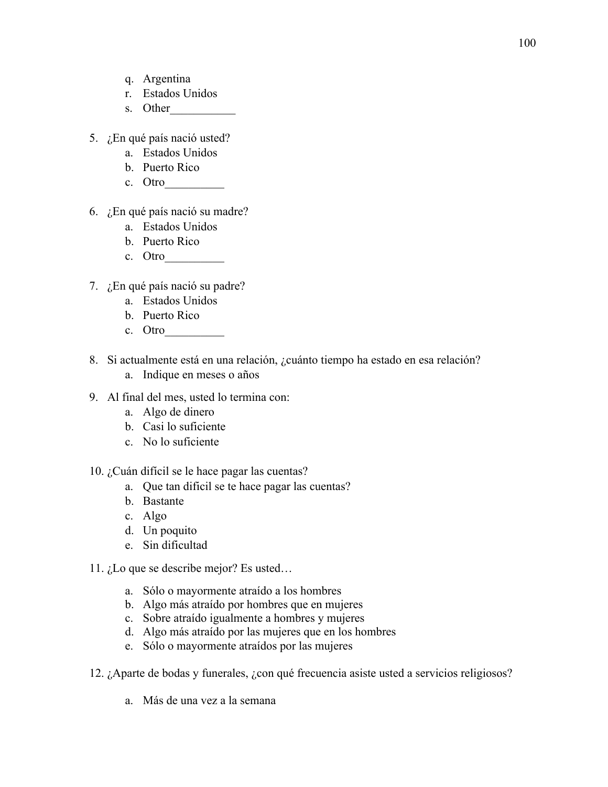- q. Argentina
- r. Estados Unidos
- s. Other
- 5. ¿En qué país nació usted?
	- a. Estados Unidos
	- b. Puerto Rico
	- c. Otro\_\_\_\_\_\_\_\_\_\_
- 6. ¿En qué país nació su madre?
	- a. Estados Unidos
	- b. Puerto Rico
	- c. Otro
- 7. ¿En qué país nació su padre?
	- a. Estados Unidos
	- b. Puerto Rico
	- c. Otro
- 8. Si actualmente está en una relación, ¿cuánto tiempo ha estado en esa relación?
	- a. Indique en meses o años
- 9. Al final del mes, usted lo termina con:
	- a. Algo de dinero
	- b. Casi lo suficiente
	- c. No lo suficiente
- 10. ¿Cuán difícil se le hace pagar las cuentas?
	- a. Que tan dificil se te hace pagar las cuentas?
	- b. Bastante
	- c. Algo
	- d. Un poquito
	- e. Sin dificultad
- 11. ¿Lo que se describe mejor? Es usted…
	- a. Sólo o mayormente atraído a los hombres
	- b. Algo más atraído por hombres que en mujeres
	- c. Sobre atraído igualmente a hombres y mujeres
	- d. Algo más atraído por las mujeres que en los hombres
	- e. Sólo o mayormente atraídos por las mujeres
- 12. ¿Aparte de bodas y funerales, ¿con qué frecuencia asiste usted a servicios religiosos?
	- a. Más de una vez a la semana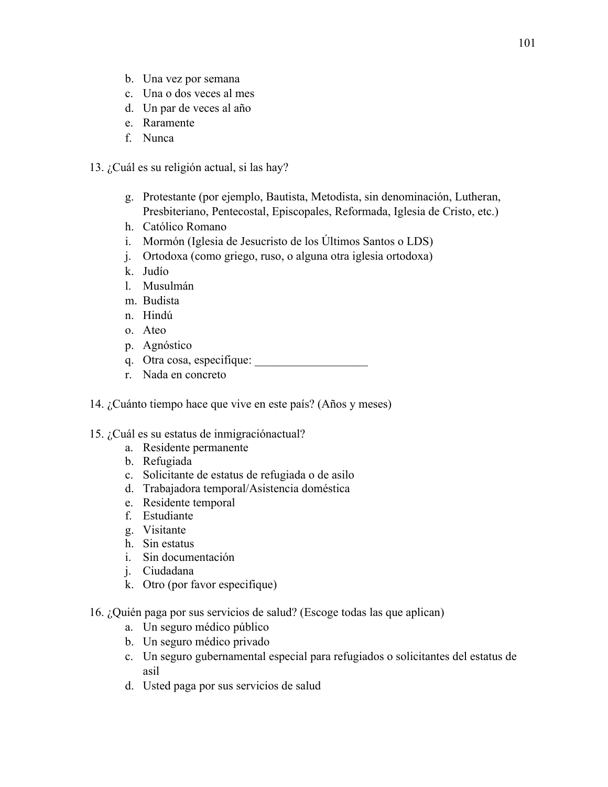- b. Una vez por semana
- c. Una o dos veces al mes
- d. Un par de veces al año
- e. Raramente
- f. Nunca
- 13. ¿Cuál es su religión actual, si las hay?
	- g. Protestante (por ejemplo, Bautista, Metodista, sin denominación, Lutheran, Presbiteriano, Pentecostal, Episcopales, Reformada, Iglesia de Cristo, etc.)
	- h. Católico Romano
	- i. Mormón (Iglesia de Jesucristo de los Últimos Santos o LDS)
	- j. Ortodoxa (como griego, ruso, o alguna otra iglesia ortodoxa)
	- k. Judío
	- l. Musulmán
	- m. Budista
	- n. Hindú
	- o. Ateo
	- p. Agnóstico
	- q. Otra cosa, especifique:
	- r. Nada en concreto
- 14. ¿Cuánto tiempo hace que vive en este país? (Años y meses)
- 15. ¿Cuál es su estatus de inmigraciónactual?
	- a. Residente permanente
	- b. Refugiada
	- c. Solicitante de estatus de refugiada o de asilo
	- d. Trabajadora temporal/Asistencia doméstica
	- e. Residente temporal
	- f. Estudiante
	- g. Visitante
	- h. Sin estatus
	- i. Sin documentación
	- j. Ciudadana
	- k. Otro (por favor especifique)
- 16. ¿Quién paga por sus servicios de salud? (Escoge todas las que aplican)
	- a. Un seguro médico público
	- b. Un seguro médico privado
	- c. Un seguro gubernamental especial para refugiados o solicitantes del estatus de asil
	- d. Usted paga por sus servicios de salud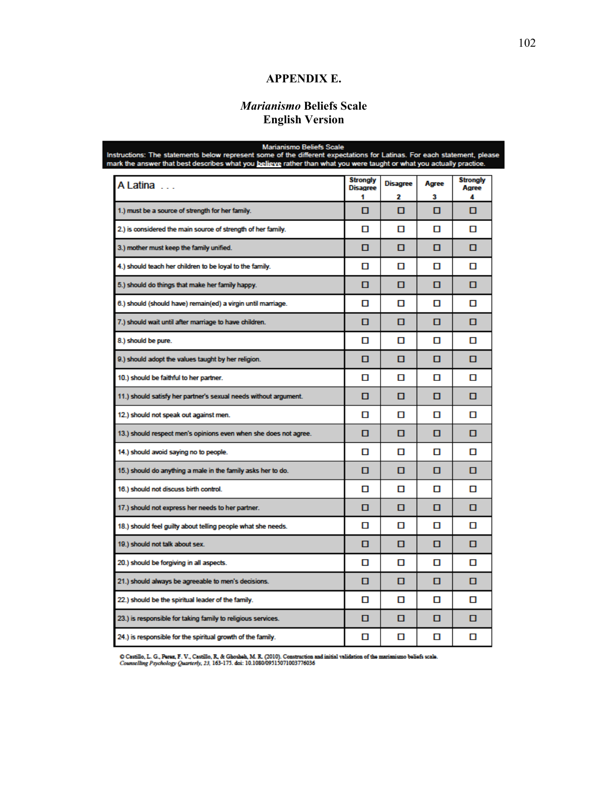## **APPENDIX E.**

## *Marianismo* **Beliefs Scale English Version**

Marianismo Beliefs Scale<br>Instructions: The statements below represent some of the different expectations for Latinas. For each statement, please<br>mark the answer that best describes what you believe rather than what you wer

| A Latina                                                         | <b>Strongly</b><br><b>Disagree</b> | <b>Disagree</b> | Agree | <b>Strongly</b><br>Aaree |
|------------------------------------------------------------------|------------------------------------|-----------------|-------|--------------------------|
|                                                                  | 1                                  | 2               | 3     | 4                        |
| 1.) must be a source of strength for her family.                 | О                                  | о               | о     | о                        |
| 2.) is considered the main source of strength of her family.     | п                                  | п               | п     | п                        |
| 3.) mother must keep the family unified.                         | п                                  | п               | п     | п                        |
| 4.) should teach her children to be loyal to the family.         | п                                  | п               | п     | п                        |
| 5.) should do things that make her family happy.                 | о                                  | о               | о     | о                        |
| 6.) should (should have) remain(ed) a virgin until marriage.     | О                                  | п               | п     | п                        |
| 7.) should wait until after marriage to have children.           | о                                  | о               | о     | о                        |
| 8.) should be pure.                                              | п                                  | п               | п     | п                        |
| 9.) should adopt the values taught by her religion.              | п                                  | п               | п     | п                        |
| 10.) should be faithful to her partner.                          | п                                  | п               | п     | п                        |
| 11.) should satisfy her partner's sexual needs without argument. | п                                  | п               | о     | о                        |
| 12.) should not speak out against men.                           | п                                  | п               | п     | п                        |
| 13.) should respect men's opinions even when she does not agree. | о                                  | о               | о     | о                        |
| 14.) should avoid saying no to people.                           | п                                  | п               | п     | п                        |
| 15.) should do anything a male in the family asks her to do.     | п                                  | п               | п     | п                        |
| 16.) should not discuss birth control.                           | п                                  | п               | п     | п                        |
| 17.) should not express her needs to her partner.                | п                                  | п               | п     | п                        |
| 18.) should feel guilty about telling people what she needs.     | п                                  | п               | п     | п                        |
| 19.) should not talk about sex.                                  | п                                  | п               | п     | п                        |
| 20.) should be forgiving in all aspects.                         | О                                  | п               | О     | п                        |
| 21.) should always be agreeable to men's decisions.              | п                                  | п               | п     | п                        |
| 22.) should be the spiritual leader of the family.               | п                                  | п               | п     | п                        |
| 23.) is responsible for taking family to religious services.     | о                                  | о               | о     | п                        |
| 24.) is responsible for the spiritual growth of the family.      | п                                  | о               | О     | п                        |

O Castillo, L. G., Perez, F. V., Castillo, R. & Ghosheh, M. R. (2010). Construction and initial validation of the marianismo beliefs scale.<br>Counselling Psychology Quarterly, 23, 163-175. doi: 10.1080/09515071003776036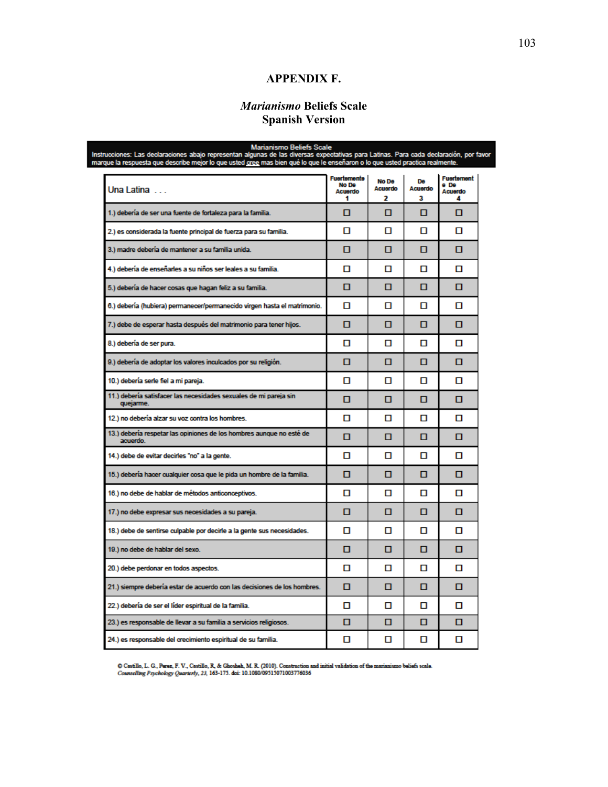## **APPENDIX F.**

## *Marianismo* **Beliefs Scale Spanish Version**

Marianismo Beliefs Scale<br>Instrucciones: Las declaraciones abajo representan algunas de las diversas expectativas para Latinas. Para cada declaración, por favor<br>Inarque la respuesta que describe mejor lo que usted <u>cree</u> ma

| Una Latina                                                                       | Fuertemente<br>No De<br><b>Acuerdo</b><br>٠ | No De<br><b>Acuerdo</b><br>2 | De<br><b>Acuerdo</b><br>3 | Fuertement<br>e De<br>Acuerdo<br>Δ |
|----------------------------------------------------------------------------------|---------------------------------------------|------------------------------|---------------------------|------------------------------------|
| 1.) debería de ser una fuente de fortaleza para la familia.                      | п                                           | п                            | п                         | п                                  |
| 2.) es considerada la fuente principal de fuerza para su familia.                | О                                           | п                            | О                         | О                                  |
| 3.) madre debería de mantener a su familia unida.                                | п                                           | п                            | п                         | п                                  |
| 4.) debería de enseñarles a su niños ser leales a su familia.                    | п                                           | п                            | п                         | п                                  |
| 5.) debería de hacer cosas que hagan feliz a su familia.                         | о                                           | п                            | п                         | п                                  |
| 6.) debería (hubiera) permanecer/permanecido virgen hasta el matrimonio.         | п                                           | п                            | п                         | п                                  |
| 7.) debe de esperar hasta después del matrimonio para tener hijos.               | п                                           | п                            | п                         | п                                  |
| 8.) debería de ser pura.                                                         | п                                           | п                            | п                         | п                                  |
| 9.) debería de adoptar los valores inculcados por su religión.                   | п                                           | п                            | п                         | п                                  |
| 10.) debería serle fiel a mi pareja.                                             | п                                           | п                            | п                         | п                                  |
| 11.) debería satisfacer las necesidades sexuales de mi pareja sin<br>quejarme.   | п                                           | п                            | о                         | п                                  |
| 12.) no debería alzar su voz contra los hombres.                                 | п                                           | п                            | п                         | п                                  |
| 13.) debería respetar las opiniones de los hombres aunque no esté de<br>acuerdo. | п                                           | п                            | п                         | п                                  |
| 14.) debe de evitar decirles "no" a la gente.                                    | О                                           | О                            | О                         | О                                  |
| 15.) debería hacer cualquier cosa que le pida un hombre de la familia.           | О                                           | п                            | о                         | о                                  |
| 16.) no debe de hablar de métodos anticonceptivos.                               | п                                           | п                            | п                         | п                                  |
| 17.) no debe expresar sus necesidades a su pareja.                               | о                                           | п                            | о                         | о                                  |
| 18.) debe de sentirse culpable por decirle a la gente sus necesidades.           | п                                           | п                            | п                         | п                                  |
| 19.) no debe de hablar del sexo.                                                 | п                                           | п                            | п                         | п                                  |
| 20.) debe perdonar en todos aspectos.                                            | п                                           | п                            | п                         | п                                  |
| 21.) siempre debería estar de acuerdo con las decisiones de los hombres.         | п                                           | п                            | п                         | п                                  |
| 22.) debería de ser el líder espiritual de la familia.                           | п                                           | п                            | п                         | п                                  |
| 23.) es responsable de llevar a su familia a servicios religiosos.               | о                                           | п                            | п                         | п                                  |
| 24.) es responsable del crecimiento espiritual de su familia.                    | п                                           | п                            | п                         | п                                  |

O Castillo, L. G., Perez, F. V., Castillo, R. & Ghosheh, M. R. (2010). Construction and initial validation of the marianismo beliefs scale.<br>Counselling Psychology Quarterly, 23, 163-175. doi: 10.1080/09515071003776036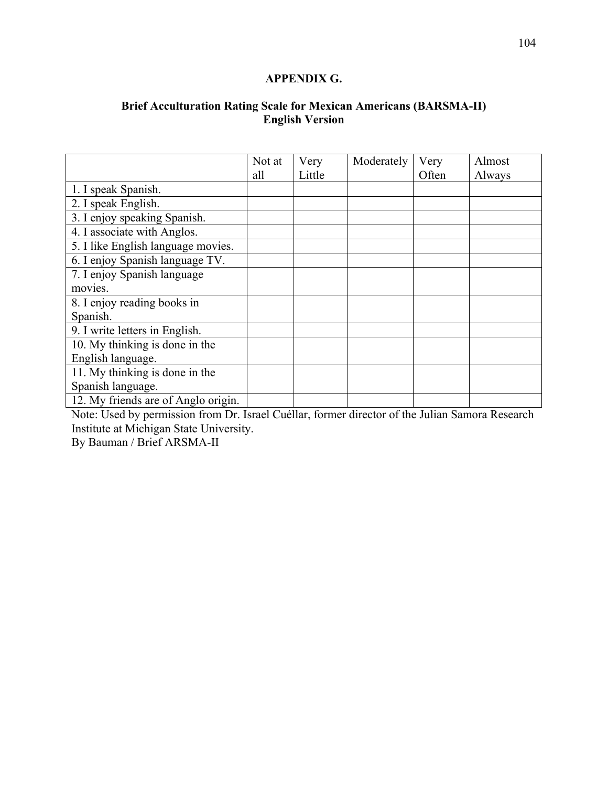## **APPENDIX G.**

## **Brief Acculturation Rating Scale for Mexican Americans (BARSMA-II) English Version**

|                                     | Not at | Very   | Moderately | Very  | Almost |
|-------------------------------------|--------|--------|------------|-------|--------|
|                                     | all    | Little |            | Often | Always |
| 1. I speak Spanish.                 |        |        |            |       |        |
| 2. I speak English.                 |        |        |            |       |        |
| 3. I enjoy speaking Spanish.        |        |        |            |       |        |
| 4. I associate with Anglos.         |        |        |            |       |        |
| 5. I like English language movies.  |        |        |            |       |        |
| 6. I enjoy Spanish language TV.     |        |        |            |       |        |
| 7. I enjoy Spanish language         |        |        |            |       |        |
| movies.                             |        |        |            |       |        |
| 8. I enjoy reading books in         |        |        |            |       |        |
| Spanish.                            |        |        |            |       |        |
| 9. I write letters in English.      |        |        |            |       |        |
| 10. My thinking is done in the      |        |        |            |       |        |
| English language.                   |        |        |            |       |        |
| 11. My thinking is done in the      |        |        |            |       |        |
| Spanish language.                   |        |        |            |       |        |
| 12. My friends are of Anglo origin. |        |        |            |       |        |

Note: Used by permission from Dr. Israel Cuéllar, former director of the Julian Samora Research Institute at Michigan State University.

By Bauman / Brief ARSMA-II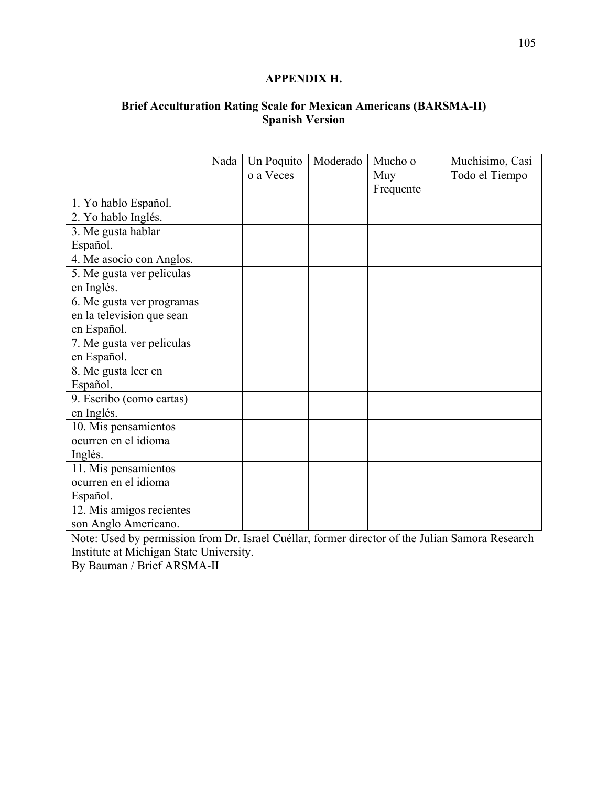## **APPENDIX H.**

## **Brief Acculturation Rating Scale for Mexican Americans (BARSMA-II) Spanish Version**

|                           | Nada | Un Poquito | Moderado | Mucho o   | Muchisimo, Casi |
|---------------------------|------|------------|----------|-----------|-----------------|
|                           |      | o a Veces  |          | Muy       | Todo el Tiempo  |
|                           |      |            |          | Frequente |                 |
| 1. Yo hablo Español.      |      |            |          |           |                 |
| 2. Yo hablo Inglés.       |      |            |          |           |                 |
| 3. Me gusta hablar        |      |            |          |           |                 |
| Español.                  |      |            |          |           |                 |
| 4. Me asocio con Anglos.  |      |            |          |           |                 |
| 5. Me gusta ver peliculas |      |            |          |           |                 |
| en Inglés.                |      |            |          |           |                 |
| 6. Me gusta ver programas |      |            |          |           |                 |
| en la television que sean |      |            |          |           |                 |
| en Español.               |      |            |          |           |                 |
| 7. Me gusta ver peliculas |      |            |          |           |                 |
| en Español.               |      |            |          |           |                 |
| 8. Me gusta leer en       |      |            |          |           |                 |
| Español.                  |      |            |          |           |                 |
| 9. Escribo (como cartas)  |      |            |          |           |                 |
| en Inglés.                |      |            |          |           |                 |
| 10. Mis pensamientos      |      |            |          |           |                 |
| ocurren en el idioma      |      |            |          |           |                 |
| Inglés.                   |      |            |          |           |                 |
| 11. Mis pensamientos      |      |            |          |           |                 |
| ocurren en el idioma      |      |            |          |           |                 |
| Español.                  |      |            |          |           |                 |
| 12. Mis amigos recientes  |      |            |          |           |                 |
| son Anglo Americano.      |      |            |          |           |                 |

Note: Used by permission from Dr. Israel Cuéllar, former director of the Julian Samora Research Institute at Michigan State University.

By Bauman / Brief ARSMA-II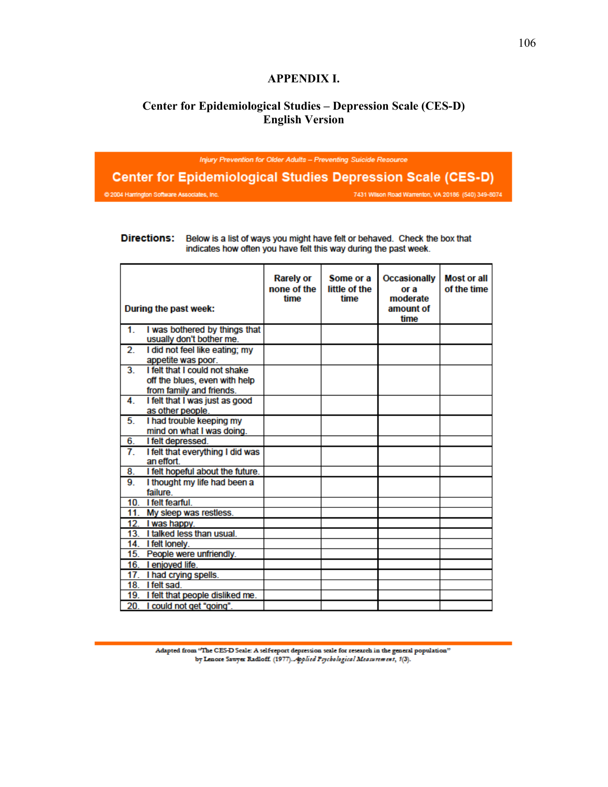## **APPENDIX I.**

## **Center for Epidemiological Studies – Depression Scale (CES-D) English Version**

Injury Prevention for Older Adults - Preventing Suicide Resource

**Center for Epidemiological Studies Depression Scale (CES-D)** © 2004 Harrington Software Associates, Inc 7431 Wilson Road Warrenton, VA 20186 (540) 349-8074

#### **Directions:** Below is a list of ways you might have felt or behaved. Check the box that indicates how often you have felt this way during the past week.

|              | During the past week:                                                                      | <b>Rarely or</b><br>none of the<br>time | Some or a<br>little of the<br>time | <b>Occasionally</b><br>or a<br>moderate<br>amount of<br>time | <b>Most or all</b><br>of the time |
|--------------|--------------------------------------------------------------------------------------------|-----------------------------------------|------------------------------------|--------------------------------------------------------------|-----------------------------------|
| 1.           | I was bothered by things that<br>usually don't bother me.                                  |                                         |                                    |                                                              |                                   |
| $\mathbf{2}$ | I did not feel like eating; my<br>appetite was poor.                                       |                                         |                                    |                                                              |                                   |
| 3.           | I felt that I could not shake<br>off the blues, even with help<br>from family and friends. |                                         |                                    |                                                              |                                   |
| 4.           | I felt that I was just as good<br>as other people.                                         |                                         |                                    |                                                              |                                   |
| 5.           | I had trouble keeping my<br>mind on what I was doing.                                      |                                         |                                    |                                                              |                                   |
| 6.           | I felt depressed.                                                                          |                                         |                                    |                                                              |                                   |
| 7.           | I felt that everything I did was<br>an effort.                                             |                                         |                                    |                                                              |                                   |
| 8.           | I felt hopeful about the future.                                                           |                                         |                                    |                                                              |                                   |
| 9.           | I thought my life had been a<br>failure                                                    |                                         |                                    |                                                              |                                   |
| 10.          | I felt fearful.                                                                            |                                         |                                    |                                                              |                                   |
| 11.          | My sleep was restless.                                                                     |                                         |                                    |                                                              |                                   |
| 12.          | I was happy.                                                                               |                                         |                                    |                                                              |                                   |
| 13.          | I talked less than usual.                                                                  |                                         |                                    |                                                              |                                   |
| 14.          | I felt lonely.                                                                             |                                         |                                    |                                                              |                                   |
| 15.          | People were unfriendly.                                                                    |                                         |                                    |                                                              |                                   |
|              | 16. I enjoyed life.                                                                        |                                         |                                    |                                                              |                                   |
| 17.          | I had crying spells.                                                                       |                                         |                                    |                                                              |                                   |
| 18.          | I felt sad.                                                                                |                                         |                                    |                                                              |                                   |
| 19.          | I felt that people disliked me.                                                            |                                         |                                    |                                                              |                                   |
| 20.          | I could not get "going".                                                                   |                                         |                                    |                                                              |                                   |

Adapted from "The CES-D Scale: A self-report depression scale for research in the general population" by Lenore Sawyer Radloff. (1977). Applied Psychological Measurement, 1(3).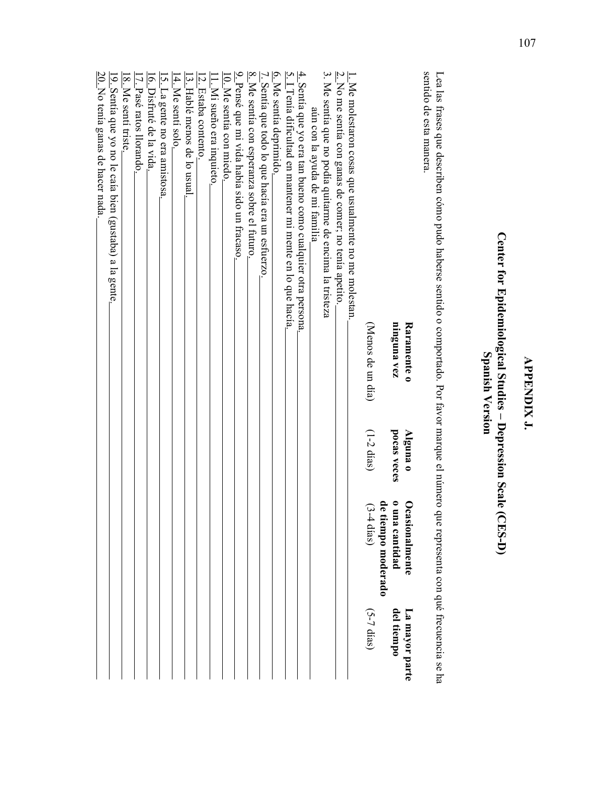| Center for Epidemiological Studies – Depression Scale (CES-D)<br>Spanish Version                                                                                                                                                           |                         |                                                           |                              |
|--------------------------------------------------------------------------------------------------------------------------------------------------------------------------------------------------------------------------------------------|-------------------------|-----------------------------------------------------------|------------------------------|
| sentido de esta manera.<br>Lea las frases que describen cómo pudo haberse sentido o comportado. Por favor marque el número que representa con qué frecuencia se ha                                                                         |                         |                                                           |                              |
| ninguna vez<br>Raramente o                                                                                                                                                                                                                 | pocas veces<br>Alguna o | de<br>o una cantidad<br>Ocasionalmente<br>tiempo moderado | del tiempo<br>La mayor parte |
| (Menos de un día)                                                                                                                                                                                                                          | $(1-2$ dias)            | $(3-4$ días)                                              | $(5-7 \text{ dias})$         |
| 3. Me sentía que no podía quitarme de encima la tristeza<br>$\underline{2}$ . No me sentía con ganas de comer; no tenía apetito.<br>$\underline{1}$ . Me molestaron cosas que usualmente no me molestan.<br>aún con la ayuda de mi familia |                         |                                                           |                              |
| 5. I Tenía dificultad en mantener mi mente en lo que hacía.<br>$\frac{4}{4}$ . Sentía que yo era tan bueno como cualquier otra persona.                                                                                                    |                         |                                                           |                              |
| 6. Me sentía deprimido.<br>7. Sentía que todo lo que hacía era un esfuerzo                                                                                                                                                                 |                         |                                                           |                              |
| $8.$ Me sentía con esperanza sobre el futuro                                                                                                                                                                                               |                         |                                                           |                              |
| $\underline{9}$ . Pensé que mi vida había sido un fracaso.<br>10. Me sentía con miedo.                                                                                                                                                     |                         |                                                           |                              |
| 11. Mi sueño era inquieto.                                                                                                                                                                                                                 |                         |                                                           |                              |
| 12. Estaba contento.                                                                                                                                                                                                                       |                         |                                                           |                              |
| 13: Haple nenos de lo nsual<br>14. Me sentí solo.                                                                                                                                                                                          |                         |                                                           |                              |
| $5.$ La gente no era amistosa.                                                                                                                                                                                                             |                         |                                                           |                              |
| 16. Disfruté de la vida.                                                                                                                                                                                                                   |                         |                                                           |                              |
| 17. Pasé ratos llorando.<br>18. Me senti triste.                                                                                                                                                                                           |                         |                                                           |                              |
| 19. Sentía que yo no le caía bien (gustaba) a la gente                                                                                                                                                                                     |                         |                                                           |                              |
| 20. No tenía ganas de hacer nada.                                                                                                                                                                                                          |                         |                                                           |                              |

107

# **APPENDIX J. APPENDIX J.**

## **Center for Epidemiological Studies –** h ŋ :<br>ڀ  $\overline{\phantom{a}}$  $\sigma$ ical Studie j<br>⊃ **Depression Scale (CES-D)** ļ.  $\mathbf{z}$  $\overline{\phantom{a}}$ **CRSCAN**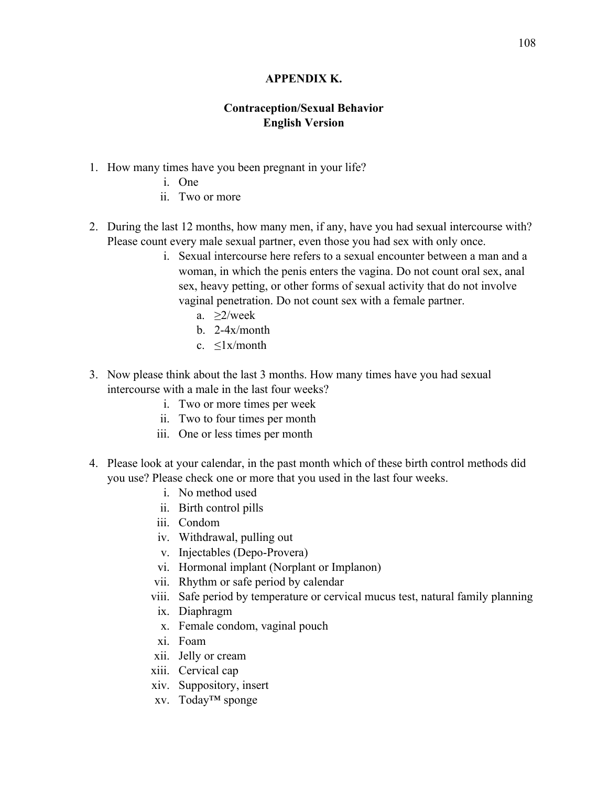## **APPENDIX K.**

## **Contraception/Sexual Behavior English Version**

- 1. How many times have you been pregnant in your life?
	- i. One
	- ii. Two or more
- 2. During the last 12 months, how many men, if any, have you had sexual intercourse with? Please count every male sexual partner, even those you had sex with only once.
	- i. Sexual intercourse here refers to a sexual encounter between a man and a woman, in which the penis enters the vagina. Do not count oral sex, anal sex, heavy petting, or other forms of sexual activity that do not involve vaginal penetration. Do not count sex with a female partner.
		- a. ≥2/week
		- b. 2-4x/month
		- c. ≤1x/month
- 3. Now please think about the last 3 months. How many times have you had sexual intercourse with a male in the last four weeks?
	- i. Two or more times per week
	- ii. Two to four times per month
	- iii. One or less times per month
- 4. Please look at your calendar, in the past month which of these birth control methods did you use? Please check one or more that you used in the last four weeks.
	- i. No method used
	- ii. Birth control pills
	- iii. Condom
	- iv. Withdrawal, pulling out
	- v. Injectables (Depo-Provera)
	- vi. Hormonal implant (Norplant or Implanon)
	- vii. Rhythm or safe period by calendar
	- viii. Safe period by temperature or cervical mucus test, natural family planning
	- ix. Diaphragm
	- x. Female condom, vaginal pouch
	- xi. Foam
	- xii. Jelly or cream
	- xiii. Cervical cap
	- xiv. Suppository, insert
	- xv. Today™ sponge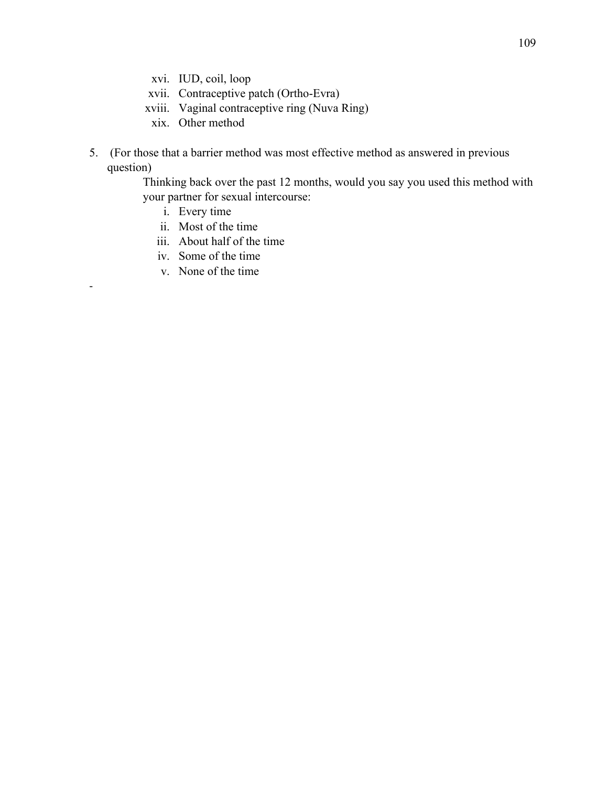- xvi. IUD, coil, loop
- xvii. Contraceptive patch (Ortho-Evra)
- xviii. Vaginal contraceptive ring (Nuva Ring)
	- xix. Other method
- 5. (For those that a barrier method was most effective method as answered in previous question)

Thinking back over the past 12 months, would you say you used this method with your partner for sexual intercourse:

i. Every time

-

- ii. Most of the time
- iii. About half of the time
- iv. Some of the time
- v. None of the time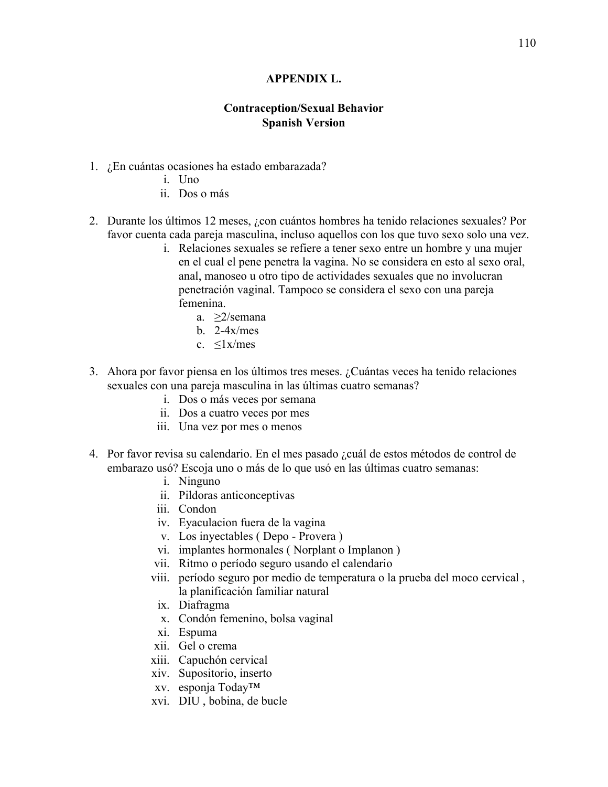## **APPENDIX L.**

## **Contraception/Sexual Behavior Spanish Version**

- 1. ¿En cuántas ocasiones ha estado embarazada?
	- i. Uno
	- ii. Dos o más
- 2. Durante los últimos 12 meses, ¿con cuántos hombres ha tenido relaciones sexuales? Por favor cuenta cada pareja masculina, incluso aquellos con los que tuvo sexo solo una vez.
	- i. Relaciones sexuales se refiere a tener sexo entre un hombre y una mujer en el cual el pene penetra la vagina. No se considera en esto al sexo oral, anal, manoseo u otro tipo de actividades sexuales que no involucran penetración vaginal. Tampoco se considera el sexo con una pareja femenina.
		- a. ≥2/semana
		- $b$  2-4x/mes
		- c.  $\langle 1 \times \rangle$  mes
- 3. Ahora por favor piensa en los últimos tres meses. ¿Cuántas veces ha tenido relaciones sexuales con una pareja masculina in las últimas cuatro semanas?
	- i. Dos o más veces por semana
	- ii. Dos a cuatro veces por mes
	- iii. Una vez por mes o menos
- 4. Por favor revisa su calendario. En el mes pasado ¿cuál de estos métodos de control de embarazo usó? Escoja uno o más de lo que usó en las últimas cuatro semanas:
	- i. Ninguno
	- ii. Pildoras anticonceptivas
	- iii. Condon
	- iv. Eyaculacion fuera de la vagina
	- v. Los inyectables ( Depo Provera )
	- vi. implantes hormonales ( Norplant o Implanon )
	- vii. Ritmo o período seguro usando el calendario
	- viii. período seguro por medio de temperatura o la prueba del moco cervical , la planificación familiar natural
	- ix. Diafragma
	- x. Condón femenino, bolsa vaginal
	- xi. Espuma
	- xii. Gel o crema
	- xiii. Capuchón cervical
	- xiv. Supositorio, inserto
	- xv. esponja Today™
	- xvi. DIU , bobina, de bucle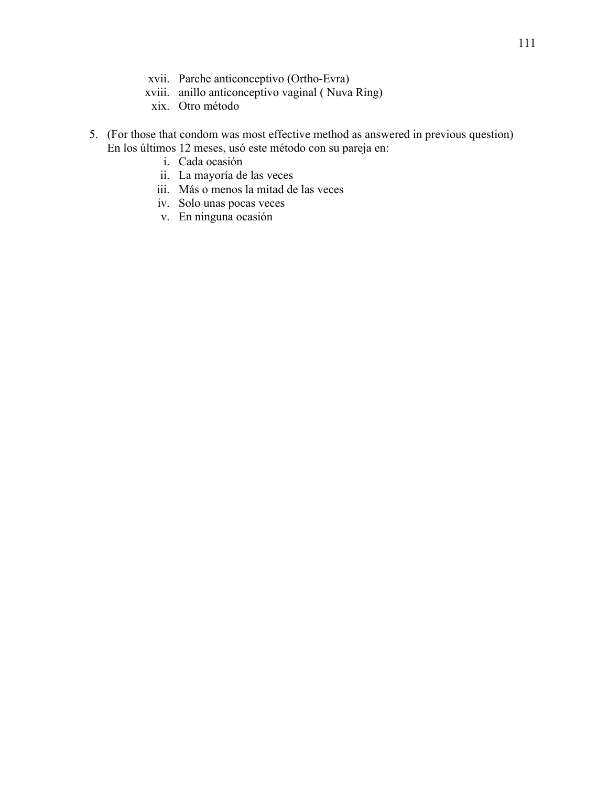- xvii. Parche anticonceptivo (Ortho-Evra)
- xviii. anillo anticonceptivo vaginal ( Nuva Ring)
	- xix. Otro método
- 5. (For those that condom was most effective method as answered in previous question) En los últimos 12 meses, usó este método con su pareja en:
	- i. Cada ocasión
	- ii. La mayoría de las veces
	- iii. Más o menos la mitad de las veces
	- iv. Solo unas pocas veces
	- v. En ninguna ocasión